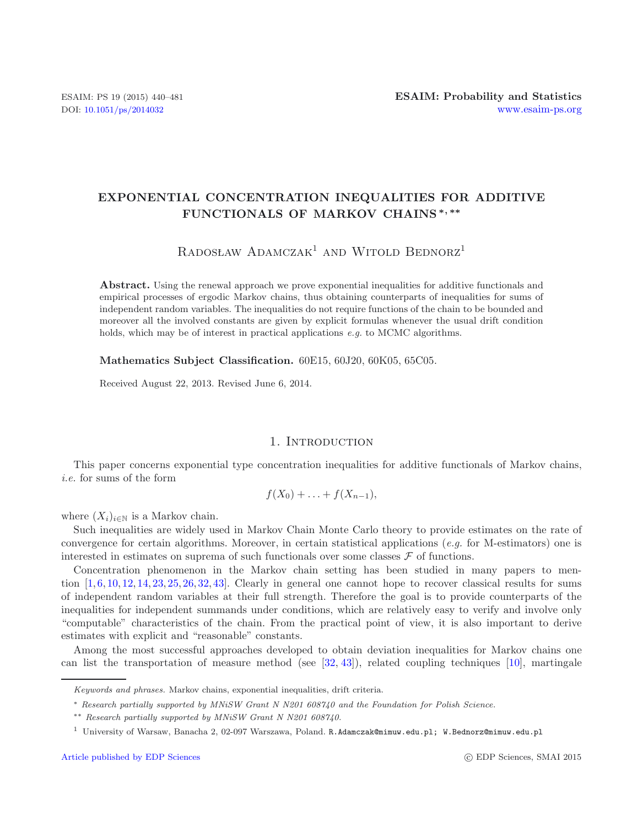# **EXPONENTIAL CONCENTRATION INEQUALITIES FOR ADDITIVE FUNCTIONALS OF MARKOV CHAINS** *<sup>∗</sup>, ∗∗*

# $R$ adosław Adamczak<sup>1</sup> and Witold Bednorz<sup>1</sup>

Abstract. Using the renewal approach we prove exponential inequalities for additive functionals and empirical processes of ergodic Markov chains, thus obtaining counterparts of inequalities for sums of independent random variables. The inequalities do not require functions of the chain to be bounded and moreover all the involved constants are given by explicit formulas whenever the usual drift condition holds, which may be of interest in practical applications *e.g.* to MCMC algorithms.

**Mathematics Subject Classification.** 60E15, 60J20, 60K05, 65C05.

Received August 22, 2013. Revised June 6, 2014.

## 1. INTRODUCTION

This paper concerns exponential type concentration inequalities for additive functionals of Markov chains, *i.e.* for sums of the form

$$
f(X_0)+\ldots+f(X_{n-1}),
$$

where  $(X_i)_{i\in\mathbb{N}}$  is a Markov chain.

Such inequalities are widely used in Markov Chain Monte Carlo theory to provide estimates on the rate of convergence for certain algorithms. Moreover, in certain statistical applications (*e.g.* for M-estimators) one is interested in estimates on suprema of such functionals over some classes  $\mathcal F$  of functions.

Concentration phenomenon in the Markov chain setting has been studied in many papers to mention  $[1, 6, 10, 12, 14, 23, 25, 26, 32, 43]$  $[1, 6, 10, 12, 14, 23, 25, 26, 32, 43]$  $[1, 6, 10, 12, 14, 23, 25, 26, 32, 43]$  $[1, 6, 10, 12, 14, 23, 25, 26, 32, 43]$  $[1, 6, 10, 12, 14, 23, 25, 26, 32, 43]$  $[1, 6, 10, 12, 14, 23, 25, 26, 32, 43]$  $[1, 6, 10, 12, 14, 23, 25, 26, 32, 43]$  $[1, 6, 10, 12, 14, 23, 25, 26, 32, 43]$  $[1, 6, 10, 12, 14, 23, 25, 26, 32, 43]$  $[1, 6, 10, 12, 14, 23, 25, 26, 32, 43]$  $[1, 6, 10, 12, 14, 23, 25, 26, 32, 43]$  $[1, 6, 10, 12, 14, 23, 25, 26, 32, 43]$  $[1, 6, 10, 12, 14, 23, 25, 26, 32, 43]$  $[1, 6, 10, 12, 14, 23, 25, 26, 32, 43]$  $[1, 6, 10, 12, 14, 23, 25, 26, 32, 43]$  $[1, 6, 10, 12, 14, 23, 25, 26, 32, 43]$  $[1, 6, 10, 12, 14, 23, 25, 26, 32, 43]$  $[1, 6, 10, 12, 14, 23, 25, 26, 32, 43]$  $[1, 6, 10, 12, 14, 23, 25, 26, 32, 43]$ . Clearly in general one cannot hope to recover classical results for sums of independent random variables at their full strength. Therefore the goal is to provide counterparts of the inequalities for independent summands under conditions, which are relatively easy to verify and involve only "computable" characteristics of the chain. From the practical point of view, it is also important to derive estimates with explicit and "reasonable" constants.

Among the most successful approaches developed to obtain deviation inequalities for Markov chains one can list the transportation of measure method (see  $[32, 43]$  $[32, 43]$  $[32, 43]$ ), related coupling techniques  $[10]$  $[10]$ , martingale

*Keywords and phrases.* Markov chains, exponential inequalities, drift criteria.

<sup>∗</sup> *Research partially supported by MNiSW Grant N N201 608740 and the Foundation for Polish Science.*

<sup>∗∗</sup> *Research partially supported by MNiSW Grant N N201 608740.*

<sup>1</sup> University of Warsaw, Banacha 2, 02-097 Warszawa, Poland. R.Adamczak@mimuw.edu.pl; W.Bednorz@mimuw.edu.pl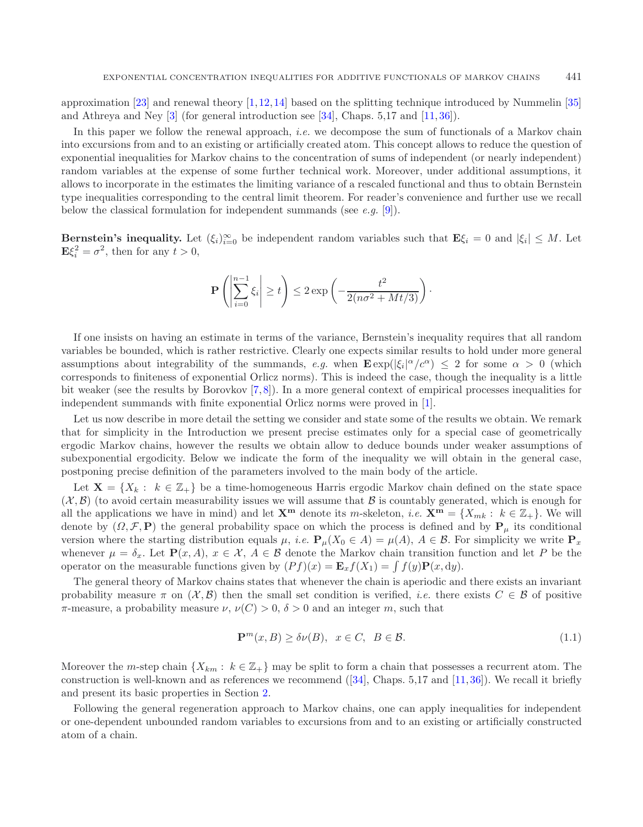approximation [\[23\]](#page-41-1) and renewal theory [\[1,](#page-40-0)[12,](#page-40-3)[14\]](#page-41-0) based on the splitting technique introduced by Nummelin [\[35\]](#page-41-6) and Athreya and Ney [\[3\]](#page-40-4) (for general introduction see [\[34\]](#page-41-7), Chaps. 5,17 and [\[11,](#page-40-5) [36\]](#page-41-8)).

In this paper we follow the renewal approach, *i.e.* we decompose the sum of functionals of a Markov chain into excursions from and to an existing or artificially created atom. This concept allows to reduce the question of exponential inequalities for Markov chains to the concentration of sums of independent (or nearly independent) random variables at the expense of some further technical work. Moreover, under additional assumptions, it allows to incorporate in the estimates the limiting variance of a rescaled functional and thus to obtain Bernstein type inequalities corresponding to the central limit theorem. For reader's convenience and further use we recall below the classical formulation for independent summands (see *e.g.* [\[9\]](#page-40-6)).

**Bernstein's inequality.** Let  $(\xi_i)_{i=0}^{\infty}$  be independent random variables such that  $\mathbf{E}\xi_i = 0$  and  $|\xi_i| \leq M$ . Let  $\mathbf{E}\xi_i^2 = \sigma^2$ , then for any  $t > 0$ ,

<span id="page-1-0"></span>
$$
\mathbf{P}\left(\left|\sum_{i=0}^{n-1}\xi_i\right|\geq t\right)\leq 2\exp\left(-\frac{t^2}{2(n\sigma^2+Mt/3)}\right).
$$

If one insists on having an estimate in terms of the variance, Bernstein's inequality requires that all random variables be bounded, which is rather restrictive. Clearly one expects similar results to hold under more general assumptions about integrability of the summands, *e.g.* when  $\mathbf{E} \exp(|\xi_i|^{\alpha}/c^{\alpha}) \leq 2$  for some  $\alpha > 0$  (which corresponds to finiteness of exponential Orlicz norms). This is indeed the case, though the inequality is a little bit weaker (see the results by Borovkov [\[7,](#page-40-7) [8\]](#page-40-8)). In a more general context of empirical processes inequalities for independent summands with finite exponential Orlicz norms were proved in [\[1](#page-40-0)].

Let us now describe in more detail the setting we consider and state some of the results we obtain. We remark that for simplicity in the Introduction we present precise estimates only for a special case of geometrically ergodic Markov chains, however the results we obtain allow to deduce bounds under weaker assumptions of subexponential ergodicity. Below we indicate the form of the inequality we will obtain in the general case, postponing precise definition of the parameters involved to the main body of the article.

Let  $X = \{X_k : k \in \mathbb{Z}_+\}$  be a time-homogeneous Harris ergodic Markov chain defined on the state space  $(\mathcal{X}, \mathcal{B})$  (to avoid certain measurability issues we will assume that  $\mathcal{B}$  is countably generated, which is enough for all the applications we have in mind) and let  $\mathbf{X}^{\mathbf{m}}$  denote its m-skeleton, *i.e.*  $\mathbf{X}^{\mathbf{m}} = \{X_{mk}: k \in \mathbb{Z}_+\}$ . We will denote by  $(\Omega, \mathcal{F}, \mathbf{P})$  the general probability space on which the process is defined and by  $\mathbf{P}_{\mu}$  its conditional version where the starting distribution equals  $\mu$ , *i.e.*  $\mathbf{P}_{\mu}(X_0 \in A) = \mu(A), A \in \mathcal{B}$ . For simplicity we write  $\mathbf{P}_x$ whenever  $\mu = \delta_x$ . Let  $\mathbf{P}(x, A)$ ,  $x \in \mathcal{X}$ ,  $A \in \mathcal{B}$  denote the Markov chain transition function and let P be the operator on the measurable functions given by  $(Pf)(x) = \mathbf{E}_x f(X_1) = \int f(y) \mathbf{P}(x, dy)$ .

The general theory of Markov chains states that whenever the chain is aperiodic and there exists an invariant probability measure  $\pi$  on  $(\mathcal{X}, \mathcal{B})$  then the small set condition is verified, *i.e.* there exists  $C \in \mathcal{B}$  of positive  $\pi$ -measure, a probability measure  $\nu$ ,  $\nu(C) > 0$ ,  $\delta > 0$  and an integer m, such that

$$
\mathbf{P}^m(x, B) \ge \delta \nu(B), \quad x \in C, \quad B \in \mathcal{B}.\tag{1.1}
$$

Moreover the m-step chain  $\{X_{km} : k \in \mathbb{Z}_+\}$  may be split to form a chain that possesses a recurrent atom. The construction is well-known and as references we recommend  $([34], \text{Chaps. } 5,17 \text{ and } [11,36])$  $([34], \text{Chaps. } 5,17 \text{ and } [11,36])$  $([34], \text{Chaps. } 5,17 \text{ and } [11,36])$  $([34], \text{Chaps. } 5,17 \text{ and } [11,36])$  $([34], \text{Chaps. } 5,17 \text{ and } [11,36])$  $([34], \text{Chaps. } 5,17 \text{ and } [11,36])$ . We recall it briefly and present its basic properties in Section [2.](#page-6-0)

Following the general regeneration approach to Markov chains, one can apply inequalities for independent or one-dependent unbounded random variables to excursions from and to an existing or artificially constructed atom of a chain.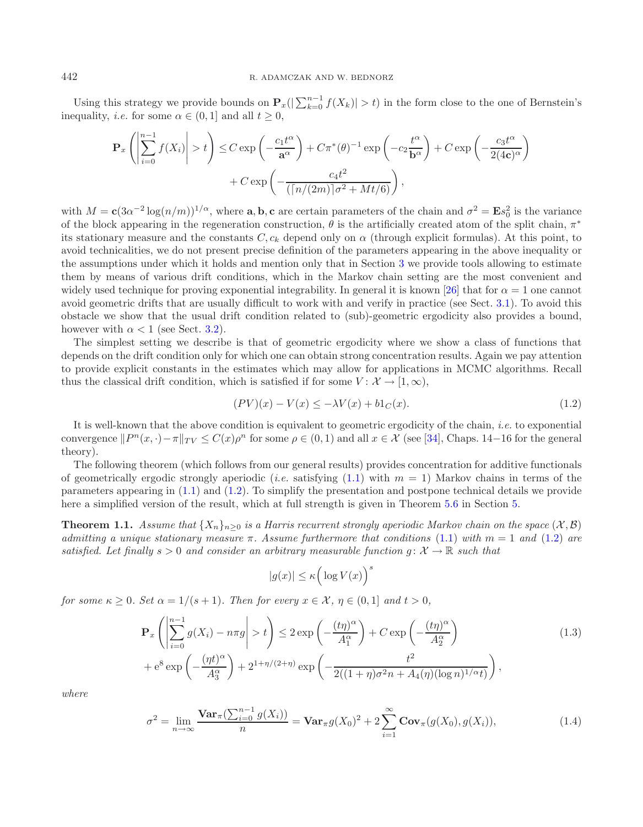Using this strategy we provide bounds on  $\mathbf{P}_x(|\sum_{k=0}^{n-1} f(X_k)| > t)$  in the form close to the one of Bernstein's inequality, *i.e.* for some  $\alpha \in (0, 1]$  and all  $t \geq 0$ ,

$$
\mathbf{P}_{x}\left(\left|\sum_{i=0}^{n-1} f(X_{i})\right| > t\right) \leq C \exp\left(-\frac{c_{1}t^{\alpha}}{a^{\alpha}}\right) + C\pi^{*}(\theta)^{-1} \exp\left(-c_{2}\frac{t^{\alpha}}{b^{\alpha}}\right) + C \exp\left(-\frac{c_{3}t^{\alpha}}{2(4c)^{\alpha}}\right) + C \exp\left(-\frac{c_{4}t^{2}}{(\lceil n/(2m)\rceil\sigma^{2} + Mt/6)}\right),
$$

with  $M = c(3\alpha^{-2} \log(n/m))^{1/\alpha}$ , where **a**, **b**, **c** are certain parameters of the chain and  $\sigma^2 = \mathbf{E} s_0^2$  is the variance of the block appearing in the regeneration construction,  $\theta$  is the artificially created atom of the split chain,  $\pi^*$ its stationary measure and the constants  $C, c_k$  depend only on  $\alpha$  (through explicit formulas). At this point, to avoid technicalities, we do not present precise definition of the parameters appearing in the above inequality or the assumptions under which it holds and mention only that in Section [3](#page-10-0) we provide tools allowing to estimate them by means of various drift conditions, which in the Markov chain setting are the most convenient and widely used technique for proving exponential integrability. In general it is known [\[26\]](#page-41-3) that for  $\alpha = 1$  one cannot avoid geometric drifts that are usually difficult to work with and verify in practice (see Sect. [3.1\)](#page-10-1). To avoid this obstacle we show that the usual drift condition related to (sub)-geometric ergodicity also provides a bound, however with  $\alpha < 1$  (see Sect. [3.2\)](#page-13-0).

The simplest setting we describe is that of geometric ergodicity where we show a class of functions that depends on the drift condition only for which one can obtain strong concentration results. Again we pay attention to provide explicit constants in the estimates which may allow for applications in MCMC algorithms. Recall thus the classical drift condition, which is satisfied if for some  $V: \mathcal{X} \to [1,\infty)$ ,

<span id="page-2-0"></span>
$$
(PV)(x) - V(x) \le -\lambda V(x) + b1_C(x). \tag{1.2}
$$

It is well-known that the above condition is equivalent to geometric ergodicity of the chain, *i.e.* to exponential convergence  $\|P^n(x, \cdot)-\pi\|_{TV} \leq C(x)\rho^n$  for some  $\rho \in (0,1)$  and all  $x \in \mathcal{X}$  (see [\[34](#page-41-7)], Chaps. 14–16 for the general theory).

The following theorem (which follows from our general results) provides concentration for additive functionals of geometrically ergodic strongly aperiodic (*i.e.* satisfying  $(1.1)$  with  $m = 1$ ) Markov chains in terms of the parameters appearing in [\(1.1\)](#page-1-0) and [\(1.2\)](#page-2-0). To simplify the presentation and postpone technical details we provide here a simplified version of the result, which at full strength is given in Theorem [5.6](#page-32-0) in Section [5.](#page-28-0)

<span id="page-2-1"></span>**Theorem 1.1.** *Assume that*  $\{X_n\}_{n>0}$  *is a Harris recurrent strongly aperiodic Markov chain on the space*  $(\mathcal{X}, \mathcal{B})$ *admitting a unique stationary measure* π*. Assume furthermore that conditions* [\(1.1\)](#page-1-0) *with* m = 1 *and* [\(1.2\)](#page-2-0) *are satisfied. Let finally*  $s > 0$  *and consider an arbitrary measurable function*  $g: \mathcal{X} \to \mathbb{R}$  *such that* 

$$
|g(x)| \le \kappa \Big( \log V(x) \Big)
$$

*for some*  $\kappa \geq 0$ *. Set*  $\alpha = 1/(s+1)$ *. Then for every*  $x \in \mathcal{X}$ *,*  $\eta \in (0,1]$  *and*  $t > 0$ *,* 

$$
\mathbf{P}_{x}\left(\left|\sum_{i=0}^{n-1} g(X_{i}) - n\pi g\right| > t\right) \leq 2 \exp\left(-\frac{(t\eta)^{\alpha}}{A_{1}^{\alpha}}\right) + C \exp\left(-\frac{(t\eta)^{\alpha}}{A_{2}^{\alpha}}\right) \n+ e^{8} \exp\left(-\frac{(\eta t)^{\alpha}}{A_{3}^{\alpha}}\right) + 2^{1+\eta/(2+\eta)} \exp\left(-\frac{t^{2}}{2((1+\eta)\sigma^{2}n + A_{4}(\eta)(\log n)^{1/\alpha}t)}\right),
$$
\n(1.3)

<span id="page-2-3"></span><span id="page-2-2"></span>s

*where*

$$
\sigma^{2} = \lim_{n \to \infty} \frac{\text{Var}_{\pi}(\sum_{i=0}^{n-1} g(X_{i}))}{n} = \text{Var}_{\pi} g(X_{0})^{2} + 2 \sum_{i=1}^{\infty} \text{Cov}_{\pi}(g(X_{0}), g(X_{i})), \tag{1.4}
$$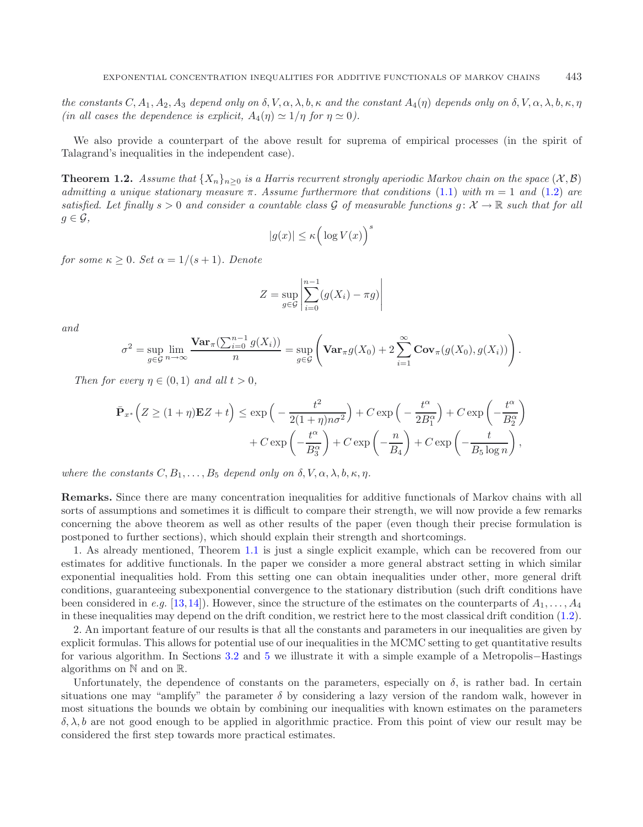*the constants*  $C, A_1, A_2, A_3$  *depend only on*  $\delta, V, \alpha, \lambda, b, \kappa$  *and the constant*  $A_4(\eta)$  *depends only on*  $\delta, V, \alpha, \lambda, b, \kappa, \eta$ *(in all cases the dependence is explicit,*  $A_4(\eta) \simeq 1/\eta$  *for*  $\eta \simeq 0$ *).* 

<span id="page-3-0"></span>We also provide a counterpart of the above result for suprema of empirical processes (in the spirit of Talagrand's inequalities in the independent case).

**Theorem 1.2.** *Assume that*  $\{X_n\}_{n>0}$  *is a Harris recurrent strongly aperiodic Markov chain on the space*  $(\mathcal{X}, \mathcal{B})$ *admitting a unique stationary measure* π*. Assume furthermore that conditions* [\(1.1\)](#page-1-0) *with* m = 1 *and* [\(1.2\)](#page-2-0) *are satisfied. Let finally*  $s > 0$  *and consider a countable class* G *of measurable functions*  $g: \mathcal{X} \to \mathbb{R}$  *such that for all*  $g \in \mathcal{G}$ ,

$$
|g(x)| \le \kappa \Big( \log V(x) \Big)^s
$$

*for some*  $\kappa \geq 0$ *. Set*  $\alpha = 1/(s+1)$ *. Denote* 

$$
Z = \sup_{g \in \mathcal{G}} \left| \sum_{i=0}^{n-1} (g(X_i) - \pi g) \right|
$$

*and*

$$
\sigma^2 = \sup_{g \in \mathcal{G}} \lim_{n \to \infty} \frac{\mathbf{Var}_{\pi}(\sum_{i=0}^{n-1} g(X_i))}{n} = \sup_{g \in \mathcal{G}} \left( \mathbf{Var}_{\pi} g(X_0) + 2 \sum_{i=1}^{\infty} \mathbf{Cov}_{\pi}(g(X_0), g(X_i)) \right).
$$

*Then for every*  $n \in (0, 1)$  *and all*  $t > 0$ *,* 

$$
\overline{\mathbf{P}}_{x^*} \left( Z \ge (1 + \eta) \mathbf{E} Z + t \right) \le \exp \left( - \frac{t^2}{2(1 + \eta)n\sigma^2} \right) + C \exp \left( - \frac{t^\alpha}{2B_1^\alpha} \right) + C \exp \left( - \frac{t^\alpha}{B_2^\alpha} \right) \n+ C \exp \left( - \frac{t^\alpha}{B_3^\alpha} \right) + C \exp \left( - \frac{n}{B_4} \right) + C \exp \left( - \frac{t}{B_5 \log n} \right),
$$

*where the constants*  $C, B_1, \ldots, B_5$  *depend only on*  $\delta, V, \alpha, \lambda, b, \kappa, \eta$ *.* 

**Remarks.** Since there are many concentration inequalities for additive functionals of Markov chains with all sorts of assumptions and sometimes it is difficult to compare their strength, we will now provide a few remarks concerning the above theorem as well as other results of the paper (even though their precise formulation is postponed to further sections), which should explain their strength and shortcomings.

1. As already mentioned, Theorem [1.1](#page-2-1) is just a single explicit example, which can be recovered from our estimates for additive functionals. In the paper we consider a more general abstract setting in which similar exponential inequalities hold. From this setting one can obtain inequalities under other, more general drift conditions, guaranteeing subexponential convergence to the stationary distribution (such drift conditions have been considered in *e.g.* [\[13,](#page-41-9)[14](#page-41-0)]). However, since the structure of the estimates on the counterparts of  $A_1, \ldots, A_4$ in these inequalities may depend on the drift condition, we restrict here to the most classical drift condition [\(1.2\)](#page-2-0).

2. An important feature of our results is that all the constants and parameters in our inequalities are given by explicit formulas. This allows for potential use of our inequalities in the MCMC setting to get quantitative results for various algorithm. In Sections [3.2](#page-13-0) and [5](#page-28-0) we illustrate it with a simple example of a Metropolis−Hastings algorithms on N and on R.

Unfortunately, the dependence of constants on the parameters, especially on  $\delta$ , is rather bad. In certain situations one may "amplify" the parameter  $\delta$  by considering a lazy version of the random walk, however in most situations the bounds we obtain by combining our inequalities with known estimates on the parameters δ, λ, b are not good enough to be applied in algorithmic practice. From this point of view our result may be considered the first step towards more practical estimates.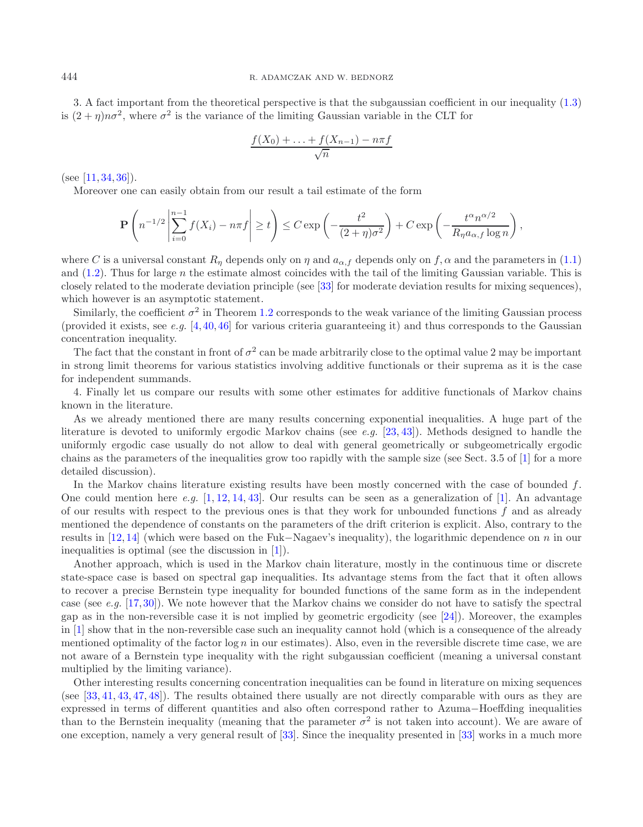3. A fact important from the theoretical perspective is that the subgaussian coefficient in our inequality [\(1.3\)](#page-2-2) is  $(2 + n)n\sigma^2$ , where  $\sigma^2$  is the variance of the limiting Gaussian variable in the CLT for

$$
\frac{f(X_0) + \ldots + f(X_{n-1}) - n\pi f}{\sqrt{n}}
$$

(see  $[11, 34, 36]$  $[11, 34, 36]$  $[11, 34, 36]$  $[11, 34, 36]$  $[11, 34, 36]$ ).

Moreover one can easily obtain from our result a tail estimate of the form

$$
\mathbf{P}\left(n^{-1/2}\left|\sum_{i=0}^{n-1}f(X_i)-n\pi f\right|\geq t\right)\leq C\exp\left(-\frac{t^2}{(2+\eta)\sigma^2}\right)+C\exp\left(-\frac{t^{\alpha}n^{\alpha/2}}{R_{\eta}a_{\alpha,f}\log n}\right)
$$

,

where C is a universal constant  $R_n$  depends only on  $\eta$  and  $a_{\alpha,f}$  depends only on  $f, \alpha$  and the parameters in [\(1.1\)](#page-1-0) and  $(1.2)$ . Thus for large n the estimate almost coincides with the tail of the limiting Gaussian variable. This is closely related to the moderate deviation principle (see [\[33\]](#page-41-10) for moderate deviation results for mixing sequences), which however is an asymptotic statement.

Similarly, the coefficient  $\sigma^2$  in Theorem [1.2](#page-3-0) corresponds to the weak variance of the limiting Gaussian process (provided it exists, see *e.g.* [\[4](#page-40-9),[40,](#page-41-11)[46\]](#page-41-12) for various criteria guaranteeing it) and thus corresponds to the Gaussian concentration inequality.

The fact that the constant in front of  $\sigma^2$  can be made arbitrarily close to the optimal value 2 may be important in strong limit theorems for various statistics involving additive functionals or their suprema as it is the case for independent summands.

4. Finally let us compare our results with some other estimates for additive functionals of Markov chains known in the literature.

As we already mentioned there are many results concerning exponential inequalities. A huge part of the literature is devoted to uniformly ergodic Markov chains (see *e.g.* [\[23](#page-41-1), [43\]](#page-41-5)). Methods designed to handle the uniformly ergodic case usually do not allow to deal with general geometrically or subgeometrically ergodic chains as the parameters of the inequalities grow too rapidly with the sample size (see Sect. 3.5 of [\[1\]](#page-40-0) for a more detailed discussion).

In the Markov chains literature existing results have been mostly concerned with the case of bounded f. One could mention here *e.g.* [\[1,](#page-40-0) [12,](#page-40-3) [14](#page-41-0), [43\]](#page-41-5). Our results can be seen as a generalization of [\[1\]](#page-40-0). An advantage of our results with respect to the previous ones is that they work for unbounded functions  $f$  and as already mentioned the dependence of constants on the parameters of the drift criterion is explicit. Also, contrary to the results in [\[12,](#page-40-3) [14\]](#page-41-0) (which were based on the Fuk−Nagaev's inequality), the logarithmic dependence on n in our inequalities is optimal (see the discussion in [\[1\]](#page-40-0)).

Another approach, which is used in the Markov chain literature, mostly in the continuous time or discrete state-space case is based on spectral gap inequalities. Its advantage stems from the fact that it often allows to recover a precise Bernstein type inequality for bounded functions of the same form as in the independent case (see *e.g.* [\[17,](#page-41-13)[30\]](#page-41-14)). We note however that the Markov chains we consider do not have to satisfy the spectral gap as in the non-reversible case it is not implied by geometric ergodicity (see [\[24\]](#page-41-15)). Moreover, the examples in [\[1\]](#page-40-0) show that in the non-reversible case such an inequality cannot hold (which is a consequence of the already mentioned optimality of the factor  $\log n$  in our estimates). Also, even in the reversible discrete time case, we are not aware of a Bernstein type inequality with the right subgaussian coefficient (meaning a universal constant multiplied by the limiting variance).

Other interesting results concerning concentration inequalities can be found in literature on mixing sequences (see [\[33](#page-41-10), [41,](#page-41-16) [43,](#page-41-5) [47,](#page-41-17) [48\]](#page-41-18)). The results obtained there usually are not directly comparable with ours as they are expressed in terms of different quantities and also often correspond rather to Azuma−Hoeffding inequalities than to the Bernstein inequality (meaning that the parameter  $\sigma^2$  is not taken into account). We are aware of one exception, namely a very general result of [\[33\]](#page-41-10). Since the inequality presented in [\[33](#page-41-10)] works in a much more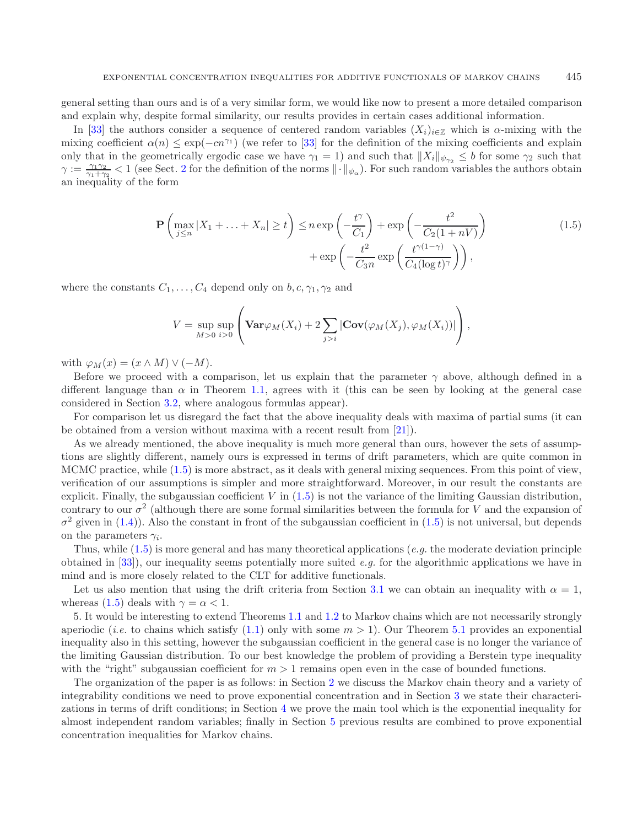general setting than ours and is of a very similar form, we would like now to present a more detailed comparison and explain why, despite formal similarity, our results provides in certain cases additional information.

In [\[33](#page-41-10)] the authors consider a sequence of centered random variables  $(X_i)_{i\in\mathbb{Z}}$  which is  $\alpha$ -mixing with the mixing coefficient  $\alpha(n) \leq \exp(-cn^{\gamma_1})$  (we refer to [\[33](#page-41-10)] for the definition of the mixing coefficients and explain only that in the geometrically ergodic case we have  $\gamma_1 = 1$ ) and such that  $\|X_i\|_{\psi_{\gamma_2}} \leq b$  for some  $\gamma_2$  such that  $\gamma := \frac{\gamma_1 \gamma_2}{\gamma_1 + \gamma_2} < 1$  $\gamma := \frac{\gamma_1 \gamma_2}{\gamma_1 + \gamma_2} < 1$  $\gamma := \frac{\gamma_1 \gamma_2}{\gamma_1 + \gamma_2} < 1$  (see Sect. 2 for the definition of the norms  $\|\cdot\|_{\psi_\alpha}$ ). For such random variables the authors obtain an inequality of the form

<span id="page-5-0"></span>
$$
\mathbf{P}\left(\max_{j\leq n}|X_1+\ldots+X_n|\geq t\right)\leq n\exp\left(-\frac{t^{\gamma}}{C_1}\right)+\exp\left(-\frac{t^2}{C_2(1+nV)}\right) + \exp\left(-\frac{t^2}{C_3n}\exp\left(\frac{t^{\gamma(1-\gamma)}}{C_4(\log t)^{\gamma}}\right)\right),\tag{1.5}
$$

where the constants  $C_1, \ldots, C_4$  depend only on  $b, c, \gamma_1, \gamma_2$  and

$$
V = \sup_{M>0} \sup_{i>0} \left( \mathbf{Var}\varphi_M(X_i) + 2 \sum_{j>i} |\mathbf{Cov}(\varphi_M(X_j), \varphi_M(X_i))| \right),
$$

with  $\varphi_M(x)=(x \wedge M) \vee (-M)$ .

Before we proceed with a comparison, let us explain that the parameter  $\gamma$  above, although defined in a different language than  $\alpha$  in Theorem [1.1,](#page-2-1) agrees with it (this can be seen by looking at the general case considered in Section [3.2,](#page-13-0) where analogous formulas appear).

For comparison let us disregard the fact that the above inequality deals with maxima of partial sums (it can be obtained from a version without maxima with a recent result from [\[21\]](#page-41-19)).

As we already mentioned, the above inequality is much more general than ours, however the sets of assumptions are slightly different, namely ours is expressed in terms of drift parameters, which are quite common in MCMC practice, while [\(1.5\)](#page-5-0) is more abstract, as it deals with general mixing sequences. From this point of view, verification of our assumptions is simpler and more straightforward. Moreover, in our result the constants are explicit. Finally, the subgaussian coefficient  $V$  in  $(1.5)$  is not the variance of the limiting Gaussian distribution, contrary to our  $\sigma^2$  (although there are some formal similarities between the formula for V and the expansion of  $\sigma^2$  given in [\(1.4\)](#page-2-3)). Also the constant in front of the subgaussian coefficient in [\(1.5\)](#page-5-0) is not universal, but depends on the parameters  $\gamma_i$ .

Thus, while [\(1.5\)](#page-5-0) is more general and has many theoretical applications (*e.g.* the moderate deviation principle obtained in [\[33](#page-41-10)]), our inequality seems potentially more suited *e.g.* for the algorithmic applications we have in mind and is more closely related to the CLT for additive functionals.

Let us also mention that using the drift criteria from Section [3.1](#page-10-1) we can obtain an inequality with  $\alpha = 1$ , whereas [\(1.5\)](#page-5-0) deals with  $\gamma = \alpha < 1$ .

5. It would be interesting to extend Theorems [1.1](#page-2-1) and [1.2](#page-3-0) to Markov chains which are not necessarily strongly aperiodic (*i.e.* to chains which satisfy [\(1.1\)](#page-1-0) only with some  $m > 1$ ). Our Theorem [5.1](#page-28-1) provides an exponential inequality also in this setting, however the subgaussian coefficient in the general case is no longer the variance of the limiting Gaussian distribution. To our best knowledge the problem of providing a Berstein type inequality with the "right" subgaussian coefficient for  $m > 1$  remains open even in the case of bounded functions.

The organization of the paper is as follows: in Section [2](#page-6-0) we discuss the Markov chain theory and a variety of integrability conditions we need to prove exponential concentration and in Section [3](#page-10-0) we state their characterizations in terms of drift conditions; in Section [4](#page-20-0) we prove the main tool which is the exponential inequality for almost independent random variables; finally in Section [5](#page-28-0) previous results are combined to prove exponential concentration inequalities for Markov chains.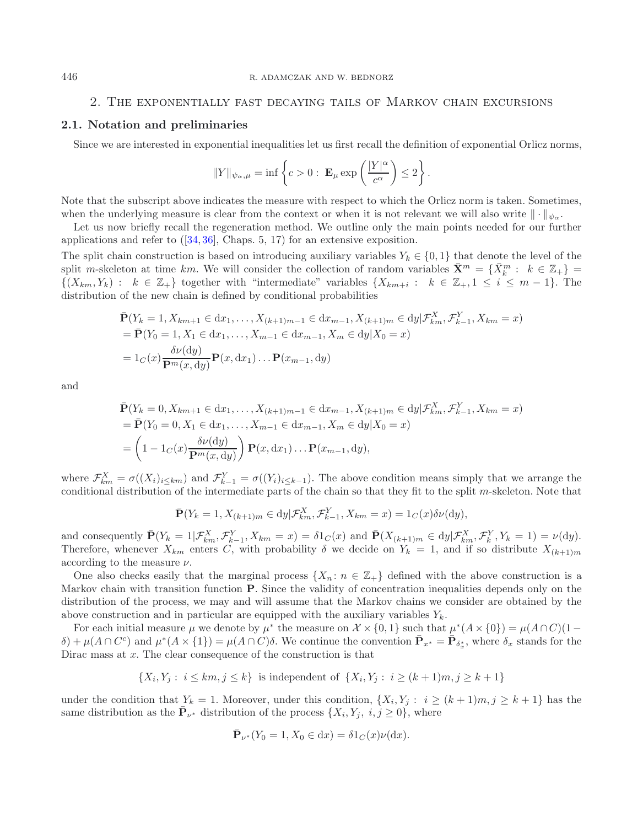# 2. The exponentially fast decaying tails of Markov chain excursions

## <span id="page-6-0"></span>**2.1. Notation and preliminaries**

Since we are interested in exponential inequalities let us first recall the definition of exponential Orlicz norms,

$$
||Y||_{\psi_{\alpha},\mu} = \inf \left\{ c > 0 : \mathbf{E}_{\mu} \exp \left( \frac{|Y|^{\alpha}}{c^{\alpha}} \right) \leq 2 \right\}.
$$

Note that the subscript above indicates the measure with respect to which the Orlicz norm is taken. Sometimes, when the underlying measure is clear from the context or when it is not relevant we will also write  $\|\cdot\|_{\psi_{\infty}}$ .

Let us now briefly recall the regeneration method. We outline only the main points needed for our further applications and refer to  $(34, 36]$  $(34, 36]$  $(34, 36]$ , Chaps. 5, 17) for an extensive exposition.

The split chain construction is based on introducing auxiliary variables  $Y_k \in \{0,1\}$  that denote the level of the split m-skeleton at time km. We will consider the collection of random variables  $\bar{\mathbf{X}}^m = \{\bar{X}_k^m : k \in \mathbb{Z}_+\}$  $\{(X_{km}, Y_k): k \in \mathbb{Z}_+\}$  together with "intermediate" variables  $\{X_{km+i}: k \in \mathbb{Z}_+, 1 \le i \le m-1\}$ . The distribution of the new chain is defined by conditional probabilities

$$
\bar{\mathbf{P}}(Y_k = 1, X_{km+1} \in dx_1, ..., X_{(k+1)m-1} \in dx_{m-1}, X_{(k+1)m} \in dy | \mathcal{F}_{km}^X, \mathcal{F}_{k-1}^Y, X_{km} = x)
$$
\n
$$
= \bar{\mathbf{P}}(Y_0 = 1, X_1 \in dx_1, ..., X_{m-1} \in dx_{m-1}, X_m \in dy | X_0 = x)
$$
\n
$$
= 1_C(x) \frac{\delta \nu(dy)}{\mathbf{P}^m(x, dy)} \mathbf{P}(x, dx_1) ... \mathbf{P}(x_{m-1}, dy)
$$

and

$$
\bar{\mathbf{P}}(Y_k = 0, X_{km+1} \in dx_1, ..., X_{(k+1)m-1} \in dx_{m-1}, X_{(k+1)m} \in dy | \mathcal{F}_{km}^X, \mathcal{F}_{k-1}^Y, X_{km} = x)
$$
\n
$$
= \bar{\mathbf{P}}(Y_0 = 0, X_1 \in dx_1, ..., X_{m-1} \in dx_{m-1}, X_m \in dy | X_0 = x)
$$
\n
$$
= \left(1 - 1_C(x) \frac{\delta \nu(dy)}{\mathbf{P}^m(x, dy)}\right) \mathbf{P}(x, dx_1) ... \mathbf{P}(x_{m-1}, dy),
$$

where  $\mathcal{F}_{km}^X = \sigma((X_i)_{i\leq km})$  and  $\mathcal{F}_{k-1}^Y = \sigma((Y_i)_{i\leq k-1})$ . The above condition means simply that we arrange the conditional distribution of the intermediate parts of the chain so that they fit to the split  $m$ -skeleton. Note that

$$
\bar{\mathbf{P}}(Y_k = 1, X_{(k+1)m} \in dy | \mathcal{F}_{km}^X, \mathcal{F}_{k-1}^Y, X_{km} = x) = 1_C(x)\delta \nu(\mathrm{d}y),
$$

and consequently  $\bar{\mathbf{P}}(Y_k = 1 | \mathcal{F}_{km}^X, \mathcal{F}_{k-1}^Y, X_{km} = x) = \delta 1_C(x)$  and  $\bar{\mathbf{P}}(X_{(k+1)m} \in dy | \mathcal{F}_{km}^X, \mathcal{F}_k^Y, Y_k = 1) = \nu(\mathrm{d}y)$ . Therefore, whenever  $X_{km}$  enters C, with probability  $\delta$  we decide on  $Y_k = 1$ , and if so distribute  $X_{(k+1)m}$ according to the measure  $\nu$ .

One also checks easily that the marginal process  $\{X_n : n \in \mathbb{Z}_+\}$  defined with the above construction is a Markov chain with transition function **P**. Since the validity of concentration inequalities depends only on the distribution of the process, we may and will assume that the Markov chains we consider are obtained by the above construction and in particular are equipped with the auxiliary variables  $Y_k$ .

For each initial measure  $\mu$  we denote by  $\mu^*$  the measure on  $\mathcal{X} \times \{0,1\}$  such that  $\mu^*(A \times \{0\}) = \mu(A \cap C)(1 \delta$  +  $\mu(A \cap C^c)$  and  $\mu^*(A \times \{1\}) = \mu(A \cap C)\delta$ . We continue the convention  $\bar{\mathbf{P}}_{x^*} = \bar{\mathbf{P}}_{\delta_x^*}$ , where  $\delta_x$  stands for the Dirac mass at  $x$ . The clear consequence of the construction is that

$$
\{X_i, Y_j : i \leq km, j \leq k\} \text{ is independent of } \{X_i, Y_j : i \geq (k+1)m, j \geq k+1\}
$$

under the condition that  $Y_k = 1$ . Moreover, under this condition,  $\{X_i, Y_j : i \geq (k+1)m, j \geq k+1\}$  has the same distribution as the  $\bar{\mathbf{P}}_{\nu^*}$  distribution of the process  $\{X_i, Y_j, i, j \geq 0\}$ , where

$$
\bar{\mathbf{P}}_{\nu^*}(Y_0 = 1, X_0 \in dx) = \delta 1_C(x)\nu(dx).
$$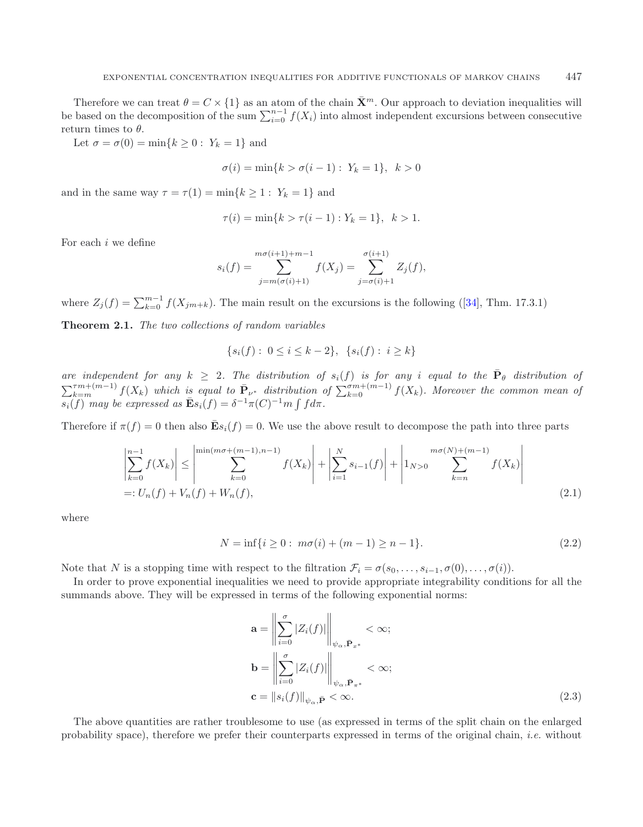Therefore we can treat  $\theta = C \times \{1\}$  as an atom of the chain  $\bar{\mathbf{X}}^m$ . Our approach to deviation inequalities will be based on the decomposition of the sum  $\sum_{i=0}^{n-1} f(X_i)$  into almost independent excursions between consecutive return times to  $\theta$ .

Let  $\sigma = \sigma(0) = \min\{k \geq 0 : Y_k = 1\}$  and

$$
\sigma(i) = \min\{k > \sigma(i-1): Y_k = 1\}, k > 0
$$

and in the same way  $\tau = \tau(1) = \min\{k \geq 1 : Y_k = 1\}$  and

$$
\tau(i) = \min\{k > \tau(i-1) : Y_k = 1\}, \ \ k > 1.
$$

For each i we define

$$
s_i(f) = \sum_{j=m(\sigma(i)+1)}^{m\sigma(i+1)+m-1} f(X_j) = \sum_{j=\sigma(i)+1}^{\sigma(i+1)} Z_j(f),
$$

where  $Z_j(f) = \sum_{k=0}^{m-1} f(X_{jm+k})$ . The main result on the excursions is the following ([\[34](#page-41-7)], Thm. 17.3.1)

**Theorem 2.1.** *The two collections of random variables*

<span id="page-7-2"></span>
$$
\{s_i(f): 0 \le i \le k-2\}, \ \{s_i(f): i \ge k\}
$$

*are independent for any*  $k \geq 2$ *. The distribution of*  $s_i(f)$  *is for any i equal to the*  $\bar{P}_{\theta}$  *distribution of*  $\sum_{k=m}^{Tm+(m-1)} f(X_k)$  which is equal to  $\bar{P}_{\nu^*}$  distribution of  $\sum_{k=0}^{\sigma m+(m-1)} f(X_k)$ . Moreover the common mean of  $\sum_{i}^{n} \sum_{j}^{n} m_{i}$  be expressed as  $\bar{\mathbf{E}}s_{i}(f) = \delta^{-1}\pi(C)^{-1}m \int f d\pi$ .

<span id="page-7-0"></span>Therefore if  $\pi(f) = 0$  then also  $\mathbf{\bar{E}} s_i(f) = 0$ . We use the above result to decompose the path into three parts

$$
\left| \sum_{k=0}^{n-1} f(X_k) \right| \le \left| \sum_{k=0}^{\min(m\sigma + (m-1), n-1)} f(X_k) \right| + \left| \sum_{i=1}^{N} s_{i-1}(f) \right| + \left| 1_{N>0} \sum_{k=n}^{m\sigma(N)+(m-1)} f(X_k) \right|
$$
\n
$$
=: U_n(f) + V_n(f) + W_n(f), \tag{2.1}
$$

where

$$
N = \inf\{i \ge 0 : m\sigma(i) + (m-1) \ge n-1\}.
$$
\n(2.2)

Note that N is a stopping time with respect to the filtration  $\mathcal{F}_i = \sigma(s_0, \ldots, s_{i-1}, \sigma(0), \ldots, \sigma(i)).$ 

In order to prove exponential inequalities we need to provide appropriate integrability conditions for all the summands above. They will be expressed in terms of the following exponential norms:

<span id="page-7-1"></span>
$$
\mathbf{a} = \left\| \sum_{i=0}^{\sigma} |Z_i(f)| \right\|_{\psi_{\alpha}, \bar{\mathbf{P}}_{x^*}} < \infty;
$$
  

$$
\mathbf{b} = \left\| \sum_{i=0}^{\sigma} |Z_i(f)| \right\|_{\psi_{\alpha}, \bar{\mathbf{P}}_{\pi^*}} < \infty;
$$
  

$$
\mathbf{c} = \|s_i(f)\|_{\psi_{\alpha}, \bar{\mathbf{P}}} < \infty.
$$
 (2.3)

The above quantities are rather troublesome to use (as expressed in terms of the split chain on the enlarged probability space), therefore we prefer their counterparts expressed in terms of the original chain, *i.e.* without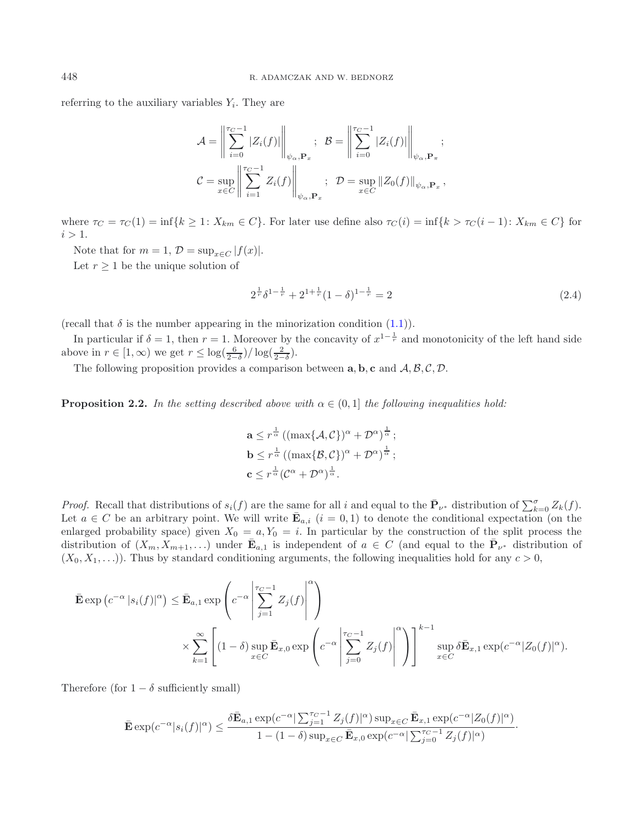referring to the auxiliary variables  $Y_i$ . They are

<span id="page-8-1"></span>
$$
\mathcal{A} = \left\| \sum_{i=0}^{\tau_C - 1} |Z_i(f)| \right\|_{\psi_{\alpha}, \mathbf{P}_x}; \quad \mathcal{B} = \left\| \sum_{i=0}^{\tau_C - 1} |Z_i(f)| \right\|_{\psi_{\alpha}, \mathbf{P}_\pi};
$$
\n
$$
\mathcal{C} = \sup_{x \in C} \left\| \sum_{i=1}^{\tau_C - 1} Z_i(f) \right\|_{\psi_{\alpha}, \mathbf{P}_x}; \quad \mathcal{D} = \sup_{x \in C} \|Z_0(f)\|_{\psi_{\alpha}, \mathbf{P}_x},
$$

where  $\tau_C = \tau_C(1) = \inf\{k \geq 1: X_{km} \in C\}$ . For later use define also  $\tau_C(i) = \inf\{k > \tau_C(i-1): X_{km} \in C\}$  for  $i > 1$ .

Note that for  $m = 1$ ,  $\mathcal{D} = \sup_{x \in C} |f(x)|$ .

Let  $r \geq 1$  be the unique solution of

$$
2^{\frac{1}{r}}\delta^{1-\frac{1}{r}} + 2^{1+\frac{1}{r}}(1-\delta)^{1-\frac{1}{r}} = 2\tag{2.4}
$$

(recall that  $\delta$  is the number appearing in the minorization condition [\(1.1\)](#page-1-0)).

<span id="page-8-0"></span>In particular if  $\delta = 1$ , then  $r = 1$ . Moreover by the concavity of  $x^{1-\frac{1}{r}}$  and monotonicity of the left hand side above in  $r \in [1, \infty)$  we get  $r \leq \log(\frac{6}{2-\delta})/\log(\frac{2}{2-\delta})$ .

The following proposition provides a comparison between  $\mathbf{a}, \mathbf{b}, \mathbf{c}$  and  $\mathcal{A}, \mathcal{B}, \mathcal{C}, \mathcal{D}$ .

**Proposition 2.2.** In the setting described above with  $\alpha \in (0,1]$  the following inequalities hold:

$$
\mathbf{a} \leq r^{\frac{1}{\alpha}} \left( (\max\{\mathcal{A}, \mathcal{C}\})^{\alpha} + \mathcal{D}^{\alpha} \right)^{\frac{1}{\alpha}};
$$
  
\n
$$
\mathbf{b} \leq r^{\frac{1}{\alpha}} \left( (\max\{\mathcal{B}, \mathcal{C}\})^{\alpha} + \mathcal{D}^{\alpha} \right)^{\frac{1}{\alpha}};
$$
  
\n
$$
\mathbf{c} \leq r^{\frac{1}{\alpha}} (\mathcal{C}^{\alpha} + \mathcal{D}^{\alpha})^{\frac{1}{\alpha}}.
$$

*Proof.* Recall that distributions of  $s_i(f)$  are the same for all i and equal to the  $\bar{\mathbf{P}}_{\nu^*}$  distribution of  $\sum_{k=0}^{\sigma} Z_k(f)$ . Let  $a \in C$  be an arbitrary point. We will write  $\mathbf{\bar{E}}_{a,i}$   $(i = 0,1)$  to denote the conditional expectation (on the enlarged probability space) given  $X_0 = a, Y_0 = i$ . In particular by the construction of the split process the distribution of  $(X_m, X_{m+1},...)$  under  $\mathbf{E}_{a,1}$  is independent of  $a \in C$  (and equal to the  $\mathbf{P}_{\nu^*}$  distribution of  $(X_0, X_1, \ldots)$ ). Thus by standard conditioning arguments, the following inequalities hold for any  $c > 0$ ,

$$
\bar{\mathbf{E}} \exp \left( c^{-\alpha} |s_i(f)|^{\alpha} \right) \leq \bar{\mathbf{E}}_{a,1} \exp \left( c^{-\alpha} \left| \sum_{j=1}^{\tau_C - 1} Z_j(f) \right|^{\alpha} \right)
$$
\n
$$
\times \sum_{k=1}^{\infty} \left[ (1 - \delta) \sup_{x \in C} \bar{\mathbf{E}}_{x,0} \exp \left( c^{-\alpha} \left| \sum_{j=0}^{\tau_C - 1} Z_j(f) \right|^{\alpha} \right) \right]^{k-1} \sup_{x \in C} \delta \bar{\mathbf{E}}_{x,1} \exp \left( c^{-\alpha} |Z_0(f)|^{\alpha} \right).
$$

Therefore (for  $1 - \delta$  sufficiently small)

$$
\bar{\mathbf{E}}\exp(c^{-\alpha}|s_i(f)|^{\alpha}) \leq \frac{\delta\bar{\mathbf{E}}_{a,1}\exp(c^{-\alpha}|\sum_{j=1}^{\tau_C-1}Z_j(f)|^{\alpha})\sup_{x\in C}\bar{\mathbf{E}}_{x,1}\exp(c^{-\alpha}|Z_0(f)|^{\alpha})}{1-(1-\delta)\sup_{x\in C}\bar{\mathbf{E}}_{x,0}\exp(c^{-\alpha}|\sum_{j=0}^{\tau_C-1}Z_j(f)|^{\alpha})}.
$$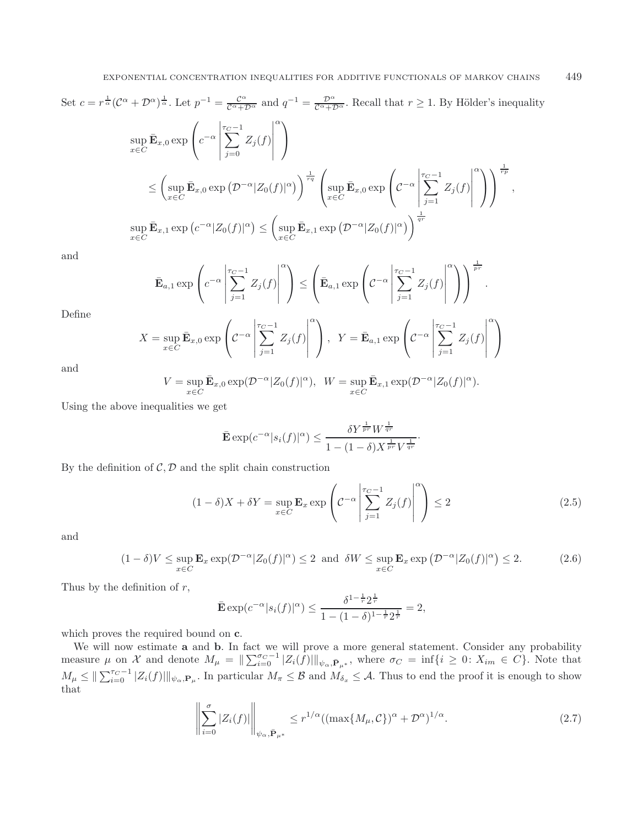Set 
$$
c = r^{\frac{1}{\alpha}} (\mathcal{C}^{\alpha} + \mathcal{D}^{\alpha})^{\frac{1}{\alpha}}
$$
. Let  $p^{-1} = \frac{\mathcal{C}^{\alpha}}{\mathcal{C}^{\alpha} + \mathcal{D}^{\alpha}}$  and  $q^{-1} = \frac{\mathcal{D}^{\alpha}}{\mathcal{C}^{\alpha} + \mathcal{D}^{\alpha}}$ . Recall that  $r \ge 1$ . By Hölder's inequality  
\n
$$
\sup_{x \in C} \bar{\mathbf{E}}_{x,0} \exp\left(c^{-\alpha} \left| \sum_{j=0}^{\tau_C - 1} Z_j(f) \right|^{\alpha}\right)
$$
\n
$$
\le \left(\sup_{x \in C} \bar{\mathbf{E}}_{x,0} \exp\left(\mathcal{D}^{-\alpha} |Z_0(f)|^{\alpha}\right)\right)^{\frac{1}{\tau q}} \left(\sup_{x \in C} \bar{\mathbf{E}}_{x,0} \exp\left(\mathcal{C}^{-\alpha} \left| \sum_{j=1}^{\tau_C - 1} Z_j(f) \right|^{\alpha}\right)\right)^{\frac{1}{\tau p}},
$$
\n
$$
\sup_{x \in C} \bar{\mathbf{E}}_{x,1} \exp\left(c^{-\alpha} |Z_0(f)|^{\alpha}\right) \le \left(\sup_{x \in C} \bar{\mathbf{E}}_{x,1} \exp\left(\mathcal{D}^{-\alpha} |Z_0(f)|^{\alpha}\right)\right)^{\frac{1}{qr}}
$$

and

<span id="page-9-0"></span>
$$
\bar{\mathbf{E}}_{a,1} \exp\left(c^{-\alpha} \left| \sum_{j=1}^{\tau_C - 1} Z_j(f) \right|^{\alpha} \right) \leq \left(\bar{\mathbf{E}}_{a,1} \exp\left(c^{-\alpha} \left| \sum_{j=1}^{\tau_C - 1} Z_j(f) \right|^{\alpha} \right)\right)^{\frac{1}{pr}}.
$$

Define

$$
X = \sup_{x \in C} \bar{\mathbf{E}}_{x,0} \exp\left(C^{-\alpha} \left| \sum_{j=1}^{\tau_C - 1} Z_j(f) \right|^{\alpha} \right), \quad Y = \bar{\mathbf{E}}_{a,1} \exp\left(C^{-\alpha} \left| \sum_{j=1}^{\tau_C - 1} Z_j(f) \right|^{\alpha} \right)
$$

and

$$
V = \sup_{x \in C} \bar{\mathbf{E}}_{x,0} \exp(\mathcal{D}^{-\alpha} |Z_0(f)|^{\alpha}), \ \ W = \sup_{x \in C} \bar{\mathbf{E}}_{x,1} \exp(\mathcal{D}^{-\alpha} |Z_0(f)|^{\alpha}).
$$

Using the above inequalities we get

<span id="page-9-1"></span>
$$
\bar{\mathbf{E}}\exp(c^{-\alpha}|s_i(f)|^{\alpha}) \le \frac{\delta Y^{\frac{1}{pr}}W^{\frac{1}{qr}}}{1 - (1 - \delta)X^{\frac{1}{pr}}V^{\frac{1}{qr}}}.
$$

By the definition of  $C, D$  and the split chain construction

$$
(1 - \delta)X + \delta Y = \sup_{x \in C} \mathbf{E}_x \exp\left( C^{-\alpha} \left| \sum_{j=1}^{\tau_C - 1} Z_j(f) \right|^\alpha \right) \le 2 \tag{2.5}
$$

and

$$
(1 - \delta)V \le \sup_{x \in C} \mathbf{E}_x \exp(\mathcal{D}^{-\alpha} |Z_0(f)|^{\alpha}) \le 2 \text{ and } \delta W \le \sup_{x \in C} \mathbf{E}_x \exp(\mathcal{D}^{-\alpha} |Z_0(f)|^{\alpha}) \le 2. \tag{2.6}
$$

Thus by the definition of  $r$ ,

<span id="page-9-2"></span>
$$
\bar{\mathbf{E}} \exp(c^{-\alpha} |s_i(f)|^{\alpha}) \le \frac{\delta^{1-\frac{1}{r}} 2^{\frac{1}{r}}}{1 - (1 - \delta)^{1-\frac{1}{r}} 2^{\frac{1}{r}}} = 2,
$$

which proves the required bound on **c**.

We will now estimate **a** and **b**. In fact we will prove a more general statement. Consider any probability measure  $\mu$  on X and denote  $M_{\mu} = \|\sum_{i=0}^{\sigma_C-1} |Z_i(f)||_{\psi_{\alpha}, \bar{\mathbf{P}}_{\mu^*}}$ , where  $\sigma_C = \inf\{i \geq 0: X_{im} \in C\}$ . Note that  $M_{\mu} \leq \|\sum_{i=0}^{\tau_C-1} |Z_i(f)|\|_{\psi_\alpha,\mathbf{P}_\mu}$ . In particular  $M_{\pi} \leq \mathcal{B}$  and  $M_{\delta_x} \leq \mathcal{A}$ . Thus to end the proof it is enough to show that

$$
\left\| \sum_{i=0}^{\sigma} |Z_i(f)| \right\|_{\psi_\alpha, \bar{\mathbf{P}}_{\mu^*}} \le r^{1/\alpha} ((\max\{M_\mu, \mathcal{C}\})^\alpha + \mathcal{D}^\alpha)^{1/\alpha}.
$$
 (2.7)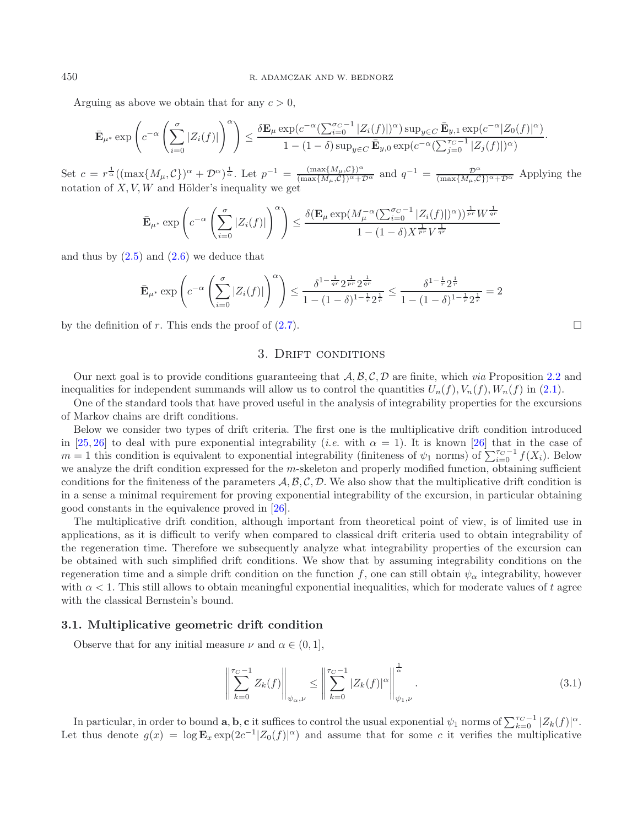Arguing as above we obtain that for any  $c > 0$ .

$$
\bar{\mathbf{E}}_{\mu^*} \exp\left(c^{-\alpha} \left(\sum_{i=0}^{\sigma} |Z_i(f)|\right)^{\alpha}\right) \leq \frac{\delta \mathbf{E}_{\mu} \exp(c^{-\alpha} (\sum_{i=0}^{\sigma_C-1} |Z_i(f)|)^{\alpha}) \sup_{y \in C} \bar{\mathbf{E}}_{y,1} \exp(c^{-\alpha} |Z_0(f)|^{\alpha})}{1 - (1-\delta) \sup_{y \in C} \bar{\mathbf{E}}_{y,0} \exp(c^{-\alpha} (\sum_{j=0}^{\tau_C-1} |Z_j(f)|)^{\alpha})}.
$$

Set  $c = r^{\frac{1}{\alpha}}((\max\{M_{\mu}, C\})^{\alpha} + \mathcal{D}^{\alpha})^{\frac{1}{\alpha}}$ . Let  $p^{-1} = \frac{(\max\{M_{\mu}, C\})^{\alpha}}{(\max\{M_{\mu}, C\})^{\alpha} + \mathcal{D}^{\alpha}}$  and  $q^{-1} = \frac{\mathcal{D}^{\alpha}}{(\max\{M_{\mu}, C\})^{\alpha} + \mathcal{D}^{\alpha}}$  Applying the notation of  $X, V, W$  and Hölder's inequality we get

$$
\bar{\mathbf{E}}_{\mu^*} \exp\left(c^{-\alpha} \left(\sum_{i=0}^{\sigma} |Z_i(f)|\right)^{\alpha}\right) \le \frac{\delta(\mathbf{E}_{\mu} \exp(M_{\mu}^{-\alpha} (\sum_{i=0}^{\sigma_C-1} |Z_i(f)|)^{\alpha}))^{\frac{1}{pr}} W^{\frac{1}{qr}}}{1 - (1-\delta)X^{\frac{1}{pr}} V^{\frac{1}{qr}}}
$$

and thus by  $(2.5)$  and  $(2.6)$  we deduce that

$$
\bar{\mathbf{E}}_{\mu^*} \exp\left(c^{-\alpha} \left(\sum_{i=0}^{\sigma} |Z_i(f)|\right)^{\alpha}\right) \le \frac{\delta^{1-\frac{1}{qr}} 2^{\frac{1}{pr}} 2^{\frac{1}{qr}}}{1 - (1 - \delta)^{1-\frac{1}{r}} 2^{\frac{1}{r}}} \le \frac{\delta^{1-\frac{1}{r}} 2^{\frac{1}{r}}}{1 - (1 - \delta)^{1-\frac{1}{r}} 2^{\frac{1}{r}}} = 2
$$

<span id="page-10-0"></span>by the definition of r. This ends the proof of  $(2.7)$ .

## 3. DRIFT CONDITIONS

Our next goal is to provide conditions guaranteeing that A, B, C, D are finite, which *via* Proposition [2.2](#page-8-0) and inequalities for independent summands will allow us to control the quantities  $U_n(f), V_n(f), W_n(f)$  in [\(2.1\)](#page-7-0).

One of the standard tools that have proved useful in the analysis of integrability properties for the excursions of Markov chains are drift conditions.

Below we consider two types of drift criteria. The first one is the multiplicative drift condition introduced in [\[25](#page-41-2), [26\]](#page-41-3) to deal with pure exponential integrability (*i.e.* with  $\alpha = 1$ ). It is known [\[26\]](#page-41-3) that in the case of  $m = 1$  this condition is equivalent to exponential integrability (finiteness of  $\psi_1$  norms) of  $\sum_{i=0}^{T_C-1} f(X_i)$ . Below we analyze the drift condition expressed for the  $m$ -skeleton and properly modified function, obtaining sufficient conditions for the finiteness of the parameters  $\mathcal{A}, \mathcal{B}, \mathcal{C}, \mathcal{D}$ . We also show that the multiplicative drift condition is in a sense a minimal requirement for proving exponential integrability of the excursion, in particular obtaining good constants in the equivalence proved in [\[26](#page-41-3)].

The multiplicative drift condition, although important from theoretical point of view, is of limited use in applications, as it is difficult to verify when compared to classical drift criteria used to obtain integrability of the regeneration time. Therefore we subsequently analyze what integrability properties of the excursion can be obtained with such simplified drift conditions. We show that by assuming integrability conditions on the regeneration time and a simple drift condition on the function f, one can still obtain  $\psi_{\alpha}$  integrability, however with  $\alpha$  < 1. This still allows to obtain meaningful exponential inequalities, which for moderate values of t agree with the classical Bernstein's bound.

### <span id="page-10-1"></span>**3.1. Multiplicative geometric drift condition**

Observe that for any initial measure  $\nu$  and  $\alpha \in (0,1],$ 

$$
\left\| \sum_{k=0}^{\tau_C - 1} Z_k(f) \right\|_{\psi_{\alpha}, \nu} \le \left\| \sum_{k=0}^{\tau_C - 1} |Z_k(f)|^{\alpha} \right\|_{\psi_1, \nu}^{\frac{1}{\alpha}}.
$$
\n(3.1)

In particular, in order to bound **a**, **b**, **c** it suffices to control the usual exponential  $\psi_1$  norms of  $\sum_{k=0}^{\tau_C-1} |Z_k(f)|^{\alpha}$ . Let thus denote  $g(x) = \log \mathbf{E}_x \exp(2c^{-1} |Z_0(f)|)^\alpha$  and assume that for some c it verifies the multiplicative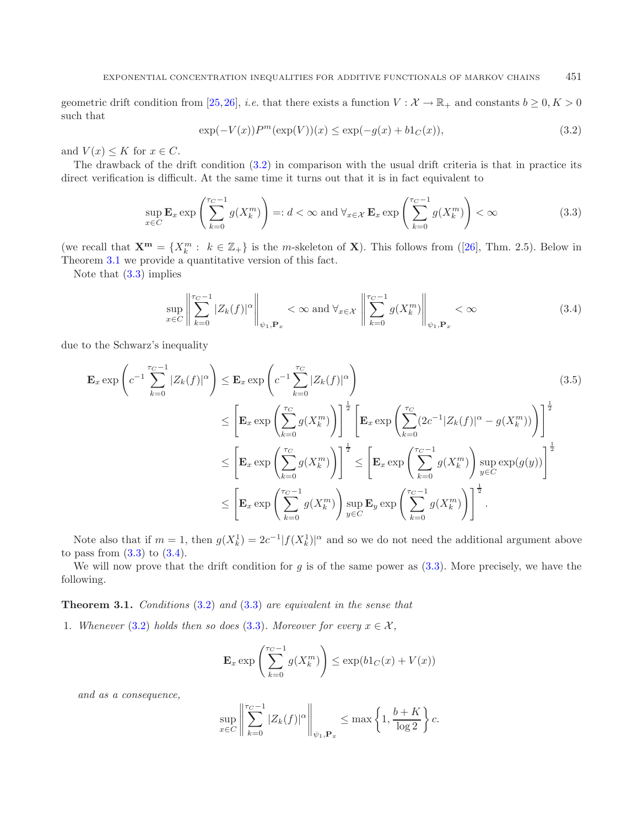<span id="page-11-3"></span><span id="page-11-0"></span>geometric drift condition from [\[25,](#page-41-2)[26\]](#page-41-3), *i.e.* that there exists a function  $V : \mathcal{X} \to \mathbb{R}_+$  and constants  $b \geq 0, K > 0$ such that

<span id="page-11-4"></span><span id="page-11-2"></span>
$$
\exp(-V(x))P^{m}(\exp(V))(x) \le \exp(-g(x) + b1_{C}(x)),
$$
\n(3.2)

and  $V(x) \leq K$  for  $x \in C$ .

The drawback of the drift condition [\(3.2\)](#page-11-0) in comparison with the usual drift criteria is that in practice its direct verification is difficult. At the same time it turns out that it is in fact equivalent to

$$
\sup_{x \in C} \mathbf{E}_x \exp\left(\sum_{k=0}^{\tau_C - 1} g(X_k^m)\right) =: d < \infty \text{ and } \forall_{x \in \mathcal{X}} \mathbf{E}_x \exp\left(\sum_{k=0}^{\tau_C - 1} g(X_k^m)\right) < \infty \tag{3.3}
$$

(we recall that  $\mathbf{X}^{\mathbf{m}} = \{X_k^m : k \in \mathbb{Z}_+\}$  is the *m*-skeleton of **X**). This follows from ([\[26](#page-41-3)], Thm. 2.5). Below in Theorem [3.1](#page-11-1) we provide a quantitative version of this fact.

Note that  $(3.3)$  implies

$$
\sup_{x \in C} \left\| \sum_{k=0}^{\tau_C - 1} |Z_k(f)|^{\alpha} \right\|_{\psi_1, \mathbf{P}_x} < \infty \text{ and } \forall_{x \in \mathcal{X}} \left\| \sum_{k=0}^{\tau_C - 1} g(X_k^m) \right\|_{\psi_1, \mathbf{P}_x} < \infty \tag{3.4}
$$

due to the Schwarz's inequality

$$
\mathbf{E}_{x} \exp\left(c^{-1} \sum_{k=0}^{\tau_{C}-1} |Z_{k}(f)|^{\alpha}\right) \leq \mathbf{E}_{x} \exp\left(c^{-1} \sum_{k=0}^{\tau_{C}} |Z_{k}(f)|^{\alpha}\right)
$$
\n
$$
\leq \left[\mathbf{E}_{x} \exp\left(\sum_{k=0}^{\tau_{C}} g(X_{k}^{m})\right)\right]^{\frac{1}{2}} \left[\mathbf{E}_{x} \exp\left(\sum_{k=0}^{\tau_{C}} (2c^{-1}|Z_{k}(f)|^{\alpha} - g(X_{k}^{m}))\right)\right]^{\frac{1}{2}}
$$
\n
$$
\leq \left[\mathbf{E}_{x} \exp\left(\sum_{k=0}^{\tau_{C}} g(X_{k}^{m})\right)\right]^{\frac{1}{2}} \leq \left[\mathbf{E}_{x} \exp\left(\sum_{k=0}^{\tau_{C}-1} g(X_{k}^{m})\right) \sup_{y \in C} \exp(g(y))\right]^{\frac{1}{2}}
$$
\n
$$
\leq \left[\mathbf{E}_{x} \exp\left(\sum_{k=0}^{\tau_{C}-1} g(X_{k}^{m})\right) \sup_{y \in C} \mathbf{E}_{y} \exp\left(\sum_{k=0}^{\tau_{C}-1} g(X_{k}^{m})\right)\right]^{\frac{1}{2}}.
$$
\n(3.5)

Note also that if  $m = 1$ , then  $g(X_k^1) = 2c^{-1}|f(X_k^1)|^{\alpha}$  and so we do not need the additional argument above to pass from  $(3.3)$  to  $(3.4)$ .

<span id="page-11-1"></span>We will now prove that the drift condition for g is of the same power as  $(3.3)$ . More precisely, we have the following.

**Theorem 3.1.** *Conditions* [\(3.2\)](#page-11-0) *and* [\(3.3\)](#page-11-2) *are equivalent in the sense that*

1. *Whenever* [\(3.2\)](#page-11-0) *holds then so does* [\(3.3\)](#page-11-2). Moreover for every  $x \in \mathcal{X}$ ,

$$
\mathbf{E}_x \exp\left(\sum_{k=0}^{\tau_C - 1} g(X_k^m)\right) \le \exp(b1_C(x) + V(x))
$$

*and as a consequence,*

$$
\sup_{x \in C} \left\| \sum_{k=0}^{T_C - 1} |Z_k(f)|^{\alpha} \right\|_{\psi_1, \mathbf{P}_x} \le \max \left\{ 1, \frac{b + K}{\log 2} \right\} c.
$$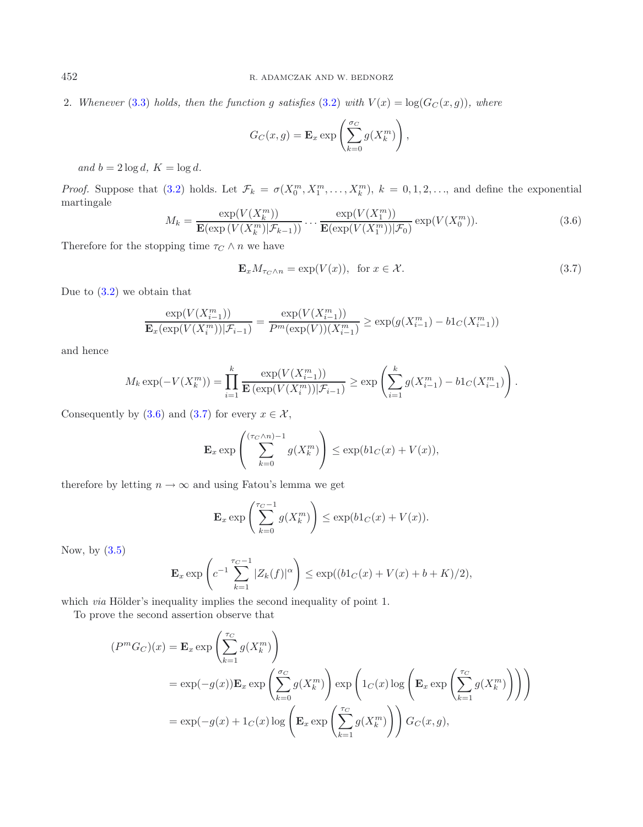2. *Whenever* [\(3.3\)](#page-11-2) *holds, then the function* g *satisfies* [\(3.2\)](#page-11-0) *with*  $V(x) = \log(G_C(x, g))$ *, where* 

<span id="page-12-1"></span>
$$
G_C(x,g) = \mathbf{E}_x \exp\left(\sum_{k=0}^{\sigma_C} g(X_k^m)\right),\,
$$

and  $b = 2 \log d$ ,  $K = \log d$ .

*Proof.* Suppose that [\(3.2\)](#page-11-0) holds. Let  $\mathcal{F}_k = \sigma(X_0^m, X_1^m, \ldots, X_k^m)$ ,  $k = 0, 1, 2, \ldots$ , and define the exponential martingale  $\left\langle \frac{1}{2} \right\rangle$ 

$$
M_k = \frac{\exp(V(X_k^m))}{\mathbf{E}(\exp(V(X_k^m)|\mathcal{F}_{k-1}))} \cdots \frac{\exp(V(X_1^m))}{\mathbf{E}(\exp(V(X_1^m))|\mathcal{F}_0)} \exp(V(X_0^m)).
$$
\n(3.6)

Therefore for the stopping time  $\tau_C \wedge n$  we have

$$
\mathbf{E}_x M_{\tau_C \wedge n} = \exp(V(x)), \text{ for } x \in \mathcal{X}.
$$
 (3.7)

Due to  $(3.2)$  we obtain that

$$
\frac{\exp(V(X_{i-1}^m))}{\mathbf{E}_x(\exp(V(X_i^m))|\mathcal{F}_{i-1})} = \frac{\exp(V(X_{i-1}^m))}{P^m(\exp(V))(X_{i-1}^m)} \ge \exp(g(X_{i-1}^m) - b1_C(X_{i-1}^m))
$$

and hence

$$
M_k \exp(-V(X_k^m)) = \prod_{i=1}^k \frac{\exp(V(X_{i-1}^m))}{\mathbf{E}(\exp(V(X_i^m)) | \mathcal{F}_{i-1})} \ge \exp\left(\sum_{i=1}^k g(X_{i-1}^m) - b1_C(X_{i-1}^m)\right).
$$

Consequently by [\(3.6\)](#page-12-0) and [\(3.7\)](#page-12-1) for every  $x \in \mathcal{X}$ ,

$$
\mathbf{E}_x \exp\left(\sum_{k=0}^{(\tau_C \wedge n)-1} g(X_k^m)\right) \le \exp(b1_C(x) + V(x)),
$$

therefore by letting  $n \to \infty$  and using Fatou's lemma we get

$$
\mathbf{E}_x \exp\left(\sum_{k=0}^{\tau_C - 1} g(X_k^m)\right) \le \exp(b1_C(x) + V(x)).
$$

Now, by  $(3.5)$ 

$$
\mathbf{E}_x \exp\left(c^{-1} \sum_{k=1}^{\tau_C - 1} |Z_k(f)|^{\alpha}\right) \le \exp((b1_C(x) + V(x) + b + K)/2),
$$

which *via* Hölder's inequality implies the second inequality of point 1.

To prove the second assertion observe that

$$
(PmGC)(x) = \mathbf{E}_x \exp\left(\sum_{k=1}^{\tau_C} g(X_k^m)\right)
$$
  
=  $\exp(-g(x))\mathbf{E}_x \exp\left(\sum_{k=0}^{\sigma_C} g(X_k^m)\right) \exp\left(1_C(x) \log\left(\mathbf{E}_x \exp\left(\sum_{k=1}^{\tau_C} g(X_k^m)\right)\right)\right)$   
=  $\exp(-g(x) + 1_C(x) \log\left(\mathbf{E}_x \exp\left(\sum_{k=1}^{\tau_C} g(X_k^m)\right)\right) G_C(x, g),$ 

<span id="page-12-0"></span>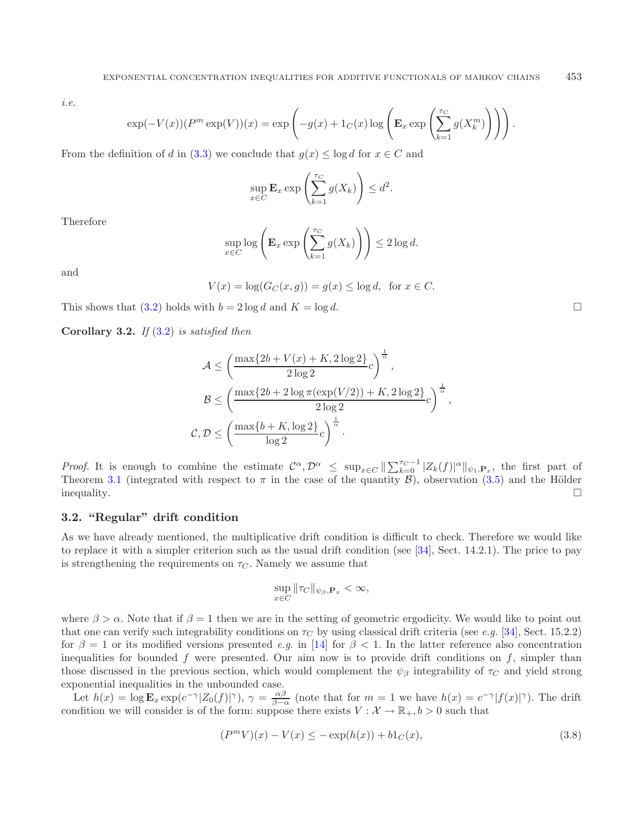*i.e.*

$$
\exp(-V(x))(P^m \exp(V))(x) = \exp\left(-g(x) + 1_C(x)\log\left(\mathbf{E}_x \exp\left(\sum_{k=1}^{\tau_C} g(X_k^m)\right)\right)\right).
$$

From the definition of d in [\(3.3\)](#page-11-2) we conclude that  $g(x) \leq \log d$  for  $x \in C$  and

$$
\sup_{x \in C} \mathbf{E}_x \exp\left(\sum_{k=1}^{\tau_C} g(X_k)\right) \le d^2.
$$

Therefore

$$
\sup_{x \in C} \log \left( \mathbf{E}_x \exp \left( \sum_{k=1}^{\tau_C} g(X_k) \right) \right) \le 2 \log d.
$$

and

 $V(x) = \log(G_C(x, q)) = q(x) \leq \log d$ , for  $x \in C$ .

This shows that [\(3.2\)](#page-11-0) holds with  $b = 2 \log d$  and  $K = \log d$ .

**Corollary 3.2.** *If* [\(3.2\)](#page-11-0) *is satisfied then*

$$
\mathcal{A} \le \left(\frac{\max\{2b + V(x) + K, 2\log 2\}}{2\log 2}c\right)^{\frac{1}{\alpha}},
$$

$$
\mathcal{B} \le \left(\frac{\max\{2b + 2\log \pi(\exp(V/2)) + K, 2\log 2\}}{2\log 2}c\right)^{\frac{1}{\alpha}},
$$

$$
\mathcal{C}, \mathcal{D} \le \left(\frac{\max\{b + K, \log 2\}}{\log 2}c\right)^{\frac{1}{\alpha}}.
$$

*Proof.* It is enough to combine the estimate  $C^{\alpha}, \mathcal{D}^{\alpha} \leq \sup_{x \in C} ||\sum_{k=0}^{\tau_C-1} |Z_k(f)|^{\alpha} ||_{\psi_1,\mathbf{P}_x}$ , the first part of Theorem [3.1](#page-11-1) (integrated with respect to  $\pi$  in the case of the quantity  $\mathcal{B}$ ), observation [\(3.5\)](#page-11-4) and the Hölder  $\Box$ 

# <span id="page-13-0"></span>**3.2. "Regular" drift condition**

As we have already mentioned, the multiplicative drift condition is difficult to check. Therefore we would like to replace it with a simpler criterion such as the usual drift condition (see [\[34\]](#page-41-7), Sect. 14.2.1). The price to pay is strengthening the requirements on  $\tau_C$ . Namely we assume that

<span id="page-13-1"></span>
$$
\sup_{x \in C} \|\tau_C\|_{\psi_\beta, \mathbf{P}_x} < \infty,
$$

where  $\beta > \alpha$ . Note that if  $\beta = 1$  then we are in the setting of geometric ergodicity. We would like to point out that one can verify such integrability conditions on  $\tau_C$  by using classical drift criteria (see *e.g.* [\[34\]](#page-41-7), Sect. 15.2.2) for  $\beta = 1$  or its modified versions presented *e.g.* in [\[14\]](#page-41-0) for  $\beta < 1$ . In the latter reference also concentration inequalities for bounded f were presented. Our aim now is to provide drift conditions on  $f$ , simpler than those discussed in the previous section, which would complement the  $\psi_{\beta}$  integrability of  $\tau_C$  and yield strong exponential inequalities in the unbounded case.

Let  $h(x) = \log \mathbf{E}_x \exp(c^{-\gamma} |Z_0(f)|^{\gamma}), \gamma = \frac{\alpha\beta}{\beta - \alpha}$  (note that for  $m = 1$  we have  $h(x) = c^{-\gamma} |f(x)|^{\gamma}$ ). The drift condition we will consider is of the form: suppose there exists  $V : \mathcal{X} \to \mathbb{R}_+$ ,  $b > 0$  such that

$$
(PmV)(x) - V(x) \le -\exp(h(x)) + b1C(x),
$$
\n(3.8)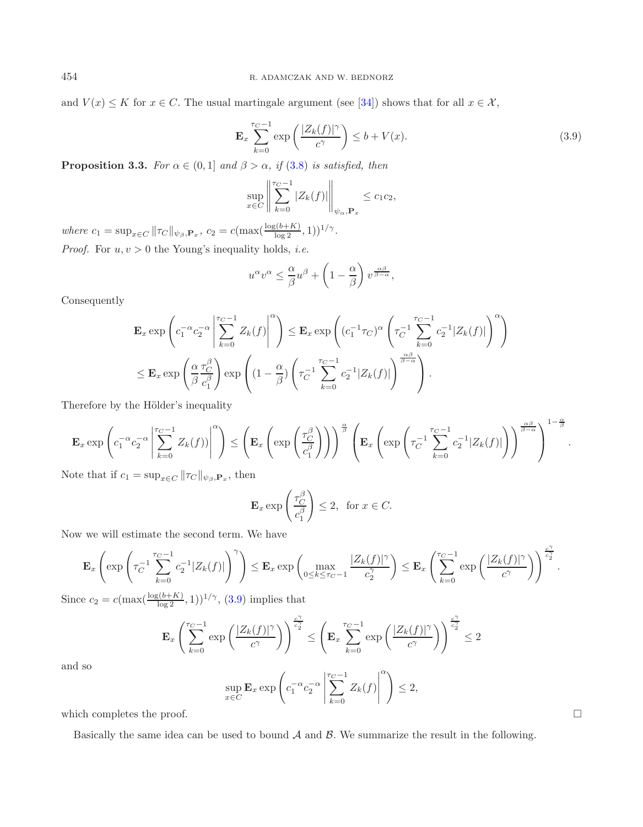<span id="page-14-0"></span>and  $V(x) \leq K$  for  $x \in C$ . The usual martingale argument (see [\[34](#page-41-7)]) shows that for all  $x \in \mathcal{X}$ ,

$$
\mathbf{E}_x \sum_{k=0}^{\tau_C - 1} \exp\left(\frac{|Z_k(f)|^{\gamma}}{c^{\gamma}}\right) \le b + V(x). \tag{3.9}
$$

**Proposition 3.3.** *For*  $\alpha \in (0,1]$  *and*  $\beta > \alpha$ *, if* [\(3.8\)](#page-13-1) *is satisfied, then* 

$$
\sup_{x \in C} \left\| \sum_{k=0}^{r_C - 1} |Z_k(f)| \right\|_{\psi_\alpha, \mathbf{P}_x} \le c_1 c_2,
$$

*where*  $c_1 = \sup_{x \in C} ||\tau_C||_{\psi_{\beta}, \mathbf{P}_x}, c_2 = c(\max(\frac{\log(b+K)}{\log 2}, 1))^{1/\gamma}.$ *Proof.* For  $u, v > 0$  the Young's inequality holds, *i.e.* 

$$
u^{\alpha}v^{\alpha} \leq \frac{\alpha}{\beta}u^{\beta} + \left(1 - \frac{\alpha}{\beta}\right)v^{\frac{\alpha\beta}{\beta - \alpha}},
$$

Consequently

$$
\mathbf{E}_x \exp\left(c_1^{-\alpha} c_2^{-\alpha} \left| \sum_{k=0}^{r_C-1} Z_k(f) \right|^{\alpha}\right) \le \mathbf{E}_x \exp\left((c_1^{-1} \tau_C)^{\alpha} \left(\tau_C^{-1} \sum_{k=0}^{r_C-1} c_2^{-1} |Z_k(f)|\right)^{\alpha}\right)
$$
  

$$
\le \mathbf{E}_x \exp\left(\frac{\alpha}{\beta} \frac{\tau_C^{\beta}}{c_1^{\beta}}\right) \exp\left((1-\frac{\alpha}{\beta}) \left(\tau_C^{-1} \sum_{k=0}^{r_C-1} c_2^{-1} |Z_k(f)|\right)^{\frac{\alpha\beta}{\beta-\alpha}}\right).
$$

Therefore by the Hölder's inequality

$$
\mathbf{E}_x \exp\left(c_1^{-\alpha} c_2^{-\alpha}\left|\sum_{k=0}^{\tau_C-1} Z_k(f)\right|\right)^{\alpha}\right) \le \left(\mathbf{E}_x \left(\exp\left(\frac{\tau_C^{\beta}}{c_1^{\beta}}\right)\right)\right)^{\frac{\alpha}{\beta}} \left(\mathbf{E}_x \left(\exp\left(\tau_C^{-1}\sum_{k=0}^{\tau_C-1} c_2^{-1} |Z_k(f)|\right)\right)^{\frac{\alpha\beta}{\beta-\alpha}}\right)^{1-\frac{\alpha}{\beta}}.
$$

Note that if  $c_1 = \sup_{x \in C} ||\tau_C||_{\psi_\beta, \mathbf{P}_x}$ , then

$$
\mathbf{E}_x \exp\left(\frac{\tau_C^{\beta}}{c_1^{\beta}}\right) \le 2, \text{ for } x \in C.
$$

Now we will estimate the second term. We have

$$
\mathbf{E}_x\left(\exp\left(\tau_C^{-1}\sum_{k=0}^{\tau_C-1}c_2^{-1}|Z_k(f)|\right)^{\gamma}\right)\leq \mathbf{E}_x\exp\left(\max_{0\leq k\leq \tau_C-1}\frac{|Z_k(f)|^{\gamma}}{c_2^{\gamma}}\right)\leq \mathbf{E}_x\left(\sum_{k=0}^{\tau_C-1}\exp\left(\frac{|Z_k(f)|^{\gamma}}{c^{\gamma}}\right)\right)^{\frac{c_2^{\gamma}}{c_2^{\gamma}}}.
$$

Since  $c_2 = c(\max(\frac{\log(b+K)}{\log 2}, 1))^{1/\gamma}, (3.9)$  $c_2 = c(\max(\frac{\log(b+K)}{\log 2}, 1))^{1/\gamma}, (3.9)$  implies that

$$
\mathbf{E}_x \left( \sum_{k=0}^{\tau_C - 1} \exp\left(\frac{|Z_k(f)|^{\gamma}}{c^{\gamma}}\right) \right)^{\frac{c^{\gamma}}{c_2^{\gamma}}} \le \left( \mathbf{E}_x \sum_{k=0}^{\tau_C - 1} \exp\left(\frac{|Z_k(f)|^{\gamma}}{c^{\gamma}}\right) \right)^{\frac{c^{\gamma}}{c_2^{\gamma}}} \le 2
$$

and so

$$
\sup_{x \in C} \mathbf{E}_x \exp\left(c_1^{-\alpha} c_2^{-\alpha} \left| \sum_{k=0}^{r_C - 1} Z_k(f) \right|^\alpha \right) \le 2,
$$

which completes the proof.

Basically the same idea can be used to bound  $A$  and  $B$ . We summarize the result in the following.

 $\Box$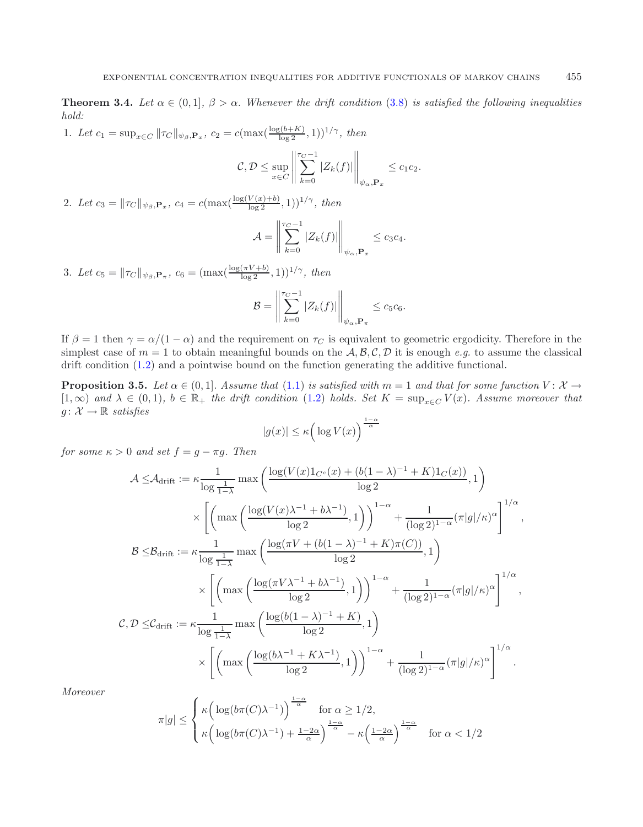<span id="page-15-1"></span>**Theorem 3.4.** *Let*  $\alpha \in (0,1]$ *,*  $\beta > \alpha$ *. Whenever the drift condition* [\(3.8\)](#page-13-1) *is satisfied the following inequalities hold:*

1. Let  $c_1 = \sup_{x \in C} ||\tau_C||_{\psi_{\beta}, \mathbf{P}_x}$ ,  $c_2 = c(\max(\frac{\log(b+K)}{\log 2}), 1))^{1/\gamma}$ , then

$$
\mathcal{C}, \mathcal{D} \le \sup_{x \in C} \left\| \sum_{k=0}^{T_C - 1} |Z_k(f)| \right\|_{\psi_\alpha, \mathbf{P}_x} \le c_1 c_2.
$$

2. Let  $c_3 = ||\tau_C||_{\psi_{\beta},\mathbf{P}_x}$ ,  $c_4 = c(\max(\frac{\log(V(x)+b)}{\log 2},1))^{1/\gamma}$ , then

$$
\mathcal{A} = \left\| \sum_{k=0}^{r_C - 1} |Z_k(f)| \right\|_{\psi_\alpha, \mathbf{P}_x} \leq c_3 c_4.
$$

3. Let  $c_5 = ||\tau_C||_{\psi_{\beta},\mathbf{P}_{\pi}}, c_6 = (\max(\frac{\log(\pi V + b)}{\log 2}, 1))^{1/\gamma},$  then

$$
\mathcal{B} = \left\| \sum_{k=0}^{\tau_C - 1} |Z_k(f)| \right\|_{\psi_\alpha, \mathbf{P}_{\pi}} \leq c_5 c_6.
$$

If  $\beta = 1$  then  $\gamma = \alpha/(1 - \alpha)$  and the requirement on  $\tau_C$  is equivalent to geometric ergodicity. Therefore in the simplest case of  $m = 1$  to obtain meaningful bounds on the  $A, B, C, D$  it is enough *e.g.* to assume the classical drift condition [\(1.2\)](#page-2-0) and a pointwise bound on the function generating the additive functional.

<span id="page-15-0"></span>**Proposition 3.5.** *Let*  $\alpha \in (0,1]$ *. Assume that*  $(1.1)$  *is satisfied with*  $m = 1$  *and that for some function*  $V: \mathcal{X} \rightarrow$  $[1,\infty)$  and  $\lambda \in (0,1)$ ,  $b \in \mathbb{R}_+$  the drift condition  $(1.2)$  holds. Set  $K = \sup_{x \in C} V(x)$ . Assume moreover that  $g: \mathcal{X} \to \mathbb{R}$  *satisfies* 

$$
|g(x)| \le \kappa \left(\log V(x)\right)^{\frac{1-\alpha}{\alpha}}
$$

*for some*  $\kappa > 0$  *and set*  $f = g - \pi g$ *. Then* 

$$
\mathcal{A} \leq \mathcal{A}_{\text{drift}} := \kappa \frac{1}{\log \frac{1}{1-\lambda}} \max \left( \frac{\log (V(x)1_{C^c}(x) + (b(1-\lambda)^{-1} + K)1_C(x))}{\log 2}, 1 \right)
$$
  

$$
\times \left[ \left( \max \left( \frac{\log (V(x)\lambda^{-1} + b\lambda^{-1})}{\log 2}, 1 \right) \right)^{1-\alpha} + \frac{1}{(\log 2)^{1-\alpha}} (\pi |g| / \kappa)^{\alpha} \right]^{1/\alpha},
$$
  

$$
\mathcal{B} \leq \mathcal{B}_{\text{drift}} := \kappa \frac{1}{\log \frac{1}{1-\lambda}} \max \left( \frac{\log (\pi V + (b(1-\lambda)^{-1} + K)\pi(C))}{\log 2}, 1 \right)
$$
  

$$
\times \left[ \left( \max \left( \frac{\log (\pi V \lambda^{-1} + b\lambda^{-1})}{\log 2}, 1 \right) \right)^{1-\alpha} + \frac{1}{(\log 2)^{1-\alpha}} (\pi |g| / \kappa)^{\alpha} \right]^{1/\alpha},
$$
  

$$
\mathcal{C}, \mathcal{D} \leq \mathcal{C}_{\text{drift}} := \kappa \frac{1}{\log \frac{1}{1-\lambda}} \max \left( \frac{\log (b(1-\lambda)^{-1} + K)}{\log 2}, 1 \right)
$$
  

$$
\times \left[ \left( \max \left( \frac{\log (b\lambda^{-1} + K\lambda^{-1})}{\log 2}, 1 \right) \right)^{1-\alpha} + \frac{1}{(\log 2)^{1-\alpha}} (\pi |g| / \kappa)^{\alpha} \right]^{1/\alpha}.
$$

*Moreover*

$$
\pi|g| \leq \begin{cases} \kappa \Big( \log(b\pi(C)\lambda^{-1}) \Big)^{\frac{1-\alpha}{\alpha}} & \text{for } \alpha \geq 1/2, \\ \kappa \Big( \log(b\pi(C)\lambda^{-1}) + \frac{1-2\alpha}{\alpha} \Big)^{\frac{1-\alpha}{\alpha}} - \kappa \Big( \frac{1-2\alpha}{\alpha} \Big)^{\frac{1-\alpha}{\alpha}} & \text{for } \alpha < 1/2 \end{cases}
$$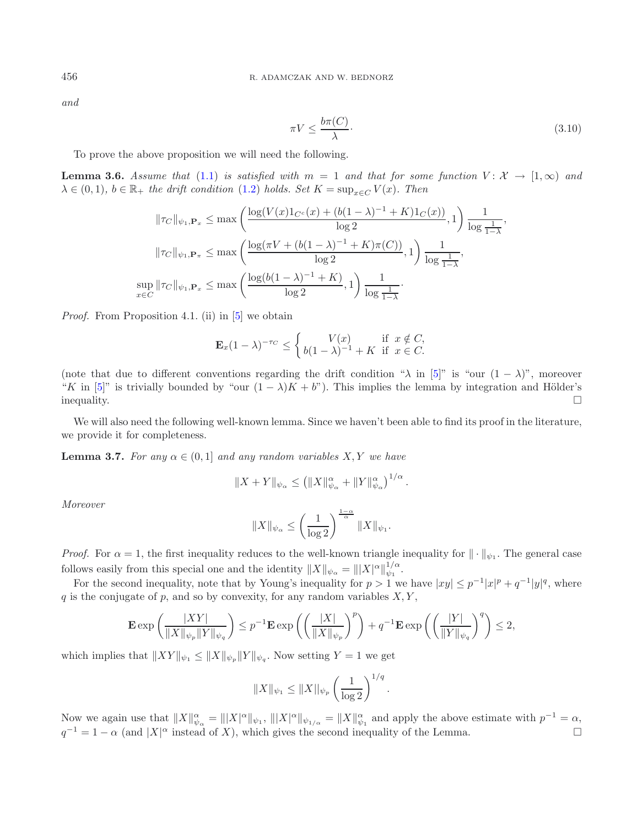*and*

<span id="page-16-0"></span>
$$
\pi V \le \frac{b\pi(C)}{\lambda}.\tag{3.10}
$$

To prove the above proposition we will need the following.

<span id="page-16-2"></span>**Lemma 3.6.** *Assume that* [\(1.1\)](#page-1-0) *is satisfied with*  $m = 1$  *and that for some function*  $V: \mathcal{X} \rightarrow [1,\infty)$  *and*  $\lambda \in (0,1)$ ,  $b \in \mathbb{R}_+$  *the drift condition* [\(1.2\)](#page-2-0) *holds. Set*  $K = \sup_{x \in C} V(x)$ *. Then* 

$$
\|\tau_C\|_{\psi_1, \mathbf{P}_x} \le \max\left(\frac{\log(V(x)1_{C^c}(x) + (b(1-\lambda)^{-1} + K)1_C(x))}{\log 2}, 1\right) \frac{1}{\log \frac{1}{1-\lambda}},
$$
  

$$
\|\tau_C\|_{\psi_1, \mathbf{P}_\pi} \le \max\left(\frac{\log(\pi V + (b(1-\lambda)^{-1} + K)\pi(C))}{\log 2}, 1\right) \frac{1}{\log \frac{1}{1-\lambda}},
$$
  

$$
\sup_{x \in C} \|\tau_C\|_{\psi_1, \mathbf{P}_x} \le \max\left(\frac{\log(b(1-\lambda)^{-1} + K)}{\log 2}, 1\right) \frac{1}{\log \frac{1}{1-\lambda}}.
$$

*Proof.* From Proposition 4.1. (ii) in [\[5\]](#page-40-10) we obtain

$$
\mathbf{E}_x(1-\lambda)^{-\tau_C} \leq \begin{cases} V(x) & \text{if } x \notin C, \\ b(1-\lambda)^{-1} + K & \text{if } x \in C. \end{cases}
$$

(note that due to different conventions regarding the drift condition " $\lambda$  in [\[5](#page-40-10)]" is "our  $(1 - \lambda)$ ", moreover "K in [\[5\]](#page-40-10)" is trivially bounded by "our  $(1 - \lambda)K + b$ "). This implies the lemma by integration and Hölder's inequality.  $\Box$ 

<span id="page-16-1"></span>We will also need the following well-known lemma. Since we haven't been able to find its proof in the literature, we provide it for completeness.

**Lemma 3.7.** *For any*  $\alpha \in (0,1]$  *and any random variables*  $X, Y$  *we have* 

$$
||X+Y||_{\psi_{\alpha}} \leq (||X||_{\psi_{\alpha}}^{\alpha} + ||Y||_{\psi_{\alpha}}^{\alpha})^{1/\alpha}.
$$

*Moreover*

$$
||X||_{\psi_{\alpha}} \le \left(\frac{1}{\log 2}\right)^{\frac{1-\alpha}{\alpha}} ||X||_{\psi_1}.
$$

*Proof.* For  $\alpha = 1$ , the first inequality reduces to the well-known triangle inequality for  $\|\cdot\|_{\psi_1}$ . The general case follows easily from this special one and the identity  $||X||_{\psi_{\alpha}} = |||X|^{\alpha}||_{\psi_1}^{1/\alpha}$ .

For the second inequality, note that by Young's inequality for  $p > 1$  we have  $|xy| \leq p^{-1}|x|^p + q^{-1}|y|^q$ , where q is the conjugate of p, and so by convexity, for any random variables  $X, Y$ ,

$$
\mathbf{E} \exp\left(\frac{|XY|}{\|X\|\psi_p\|Y\|\psi_q}\right) \le p^{-1} \mathbf{E} \exp\left(\left(\frac{|X|}{\|X\|\psi_p}\right)^p\right) + q^{-1} \mathbf{E} \exp\left(\left(\frac{|Y|}{\|Y\|\psi_q}\right)^q\right) \le 2,
$$

which implies that  $||XY||_{\psi_1} \leq ||X||_{\psi_p} ||Y||_{\psi_q}$ . Now setting  $Y = 1$  we get

$$
||X||_{\psi_1} \le ||X||_{\psi_p} \left(\frac{1}{\log 2}\right)^{1/q}.
$$

Now we again use that  $||X||_{\psi_{\alpha}}^{\alpha} = |||X|^{\alpha}||_{\psi_1}$ ,  $|||X|^{\alpha}||_{\psi_{1/\alpha}} = ||X||_{\psi_1}^{\alpha}$  and apply the above estimate with  $p^{-1} = \alpha$ ,  $q^{-1} = 1 - \alpha$  (and  $|X|^{\alpha}$  instead of X), which gives the second inequality of the Lemma.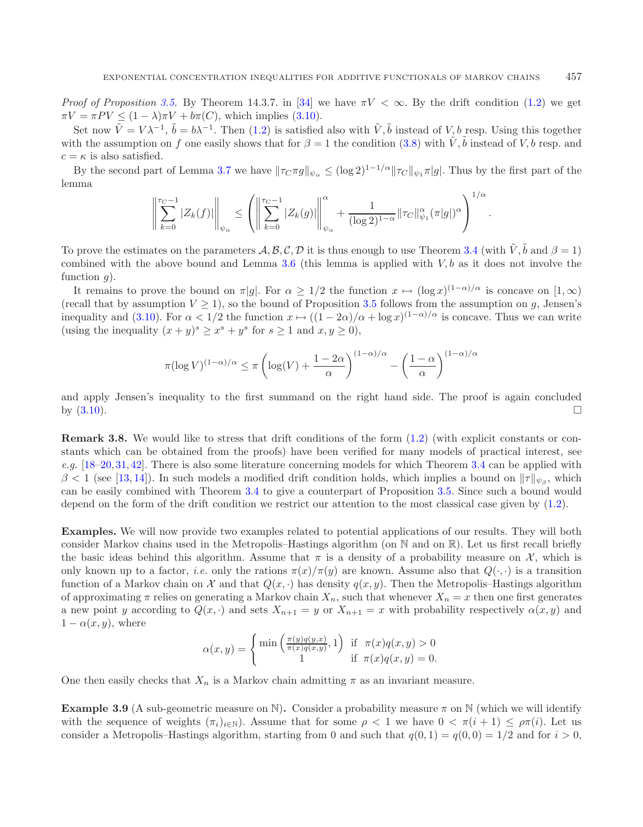*Proof of Proposition* [3.5.](#page-15-0) By Theorem 14.3.7. in [\[34](#page-41-7)] we have  $\pi V < \infty$ . By the drift condition [\(1.2\)](#page-2-0) we get  $\pi V = \pi P V \leq (1 - \lambda)\pi V + b\pi(C)$ , which implies [\(3.10\)](#page-16-0).

Set now  $\tilde{V} = V \lambda^{-1}$ ,  $\tilde{b} = b\lambda^{-1}$ . Then [\(1.2\)](#page-2-0) is satisfied also with  $\tilde{V}$ ,  $\tilde{b}$  instead of V, b resp. Using this together with the assumption on f one easily shows that for  $\beta = 1$  the condition [\(3.8\)](#page-13-1) with  $\tilde{V}$ ,  $\tilde{b}$  instead of V, b resp. and  $c = \kappa$  is also satisfied.

By the second part of Lemma [3.7](#page-16-1) we have  $\|\tau_C \pi g\|_{\psi_\alpha} \leq (\log 2)^{1-1/\alpha} \|\tau_C\|_{\psi_1} \pi |g|$ . Thus by the first part of the lemma 1/α

$$
\left\| \sum_{k=0}^{\tau_C - 1} |Z_k(f)| \right\|_{\psi_{\alpha}} \leq \left( \left\| \sum_{k=0}^{\tau_C - 1} |Z_k(g)| \right\|_{\psi_{\alpha}}^{\alpha} + \frac{1}{(\log 2)^{1-\alpha}} \|\tau_C\|_{\psi_1}^{\alpha} (\pi |g|)^{\alpha} \right)^{1/\alpha}
$$

.

To prove the estimates on the parameters  $\mathcal{A}, \mathcal{B}, \mathcal{C}, \mathcal{D}$  it is thus enough to use Theorem [3.4](#page-15-1) (with  $\tilde{V}, \tilde{b}$  and  $\beta = 1$ ) combined with the above bound and Lemma [3.6](#page-16-2) (this lemma is applied with  $V, b$  as it does not involve the function  $q$ ).

It remains to prove the bound on  $\pi|g|$ . For  $\alpha \geq 1/2$  the function  $x \mapsto (\log x)^{(1-\alpha)/\alpha}$  is concave on  $[1, \infty)$ (recall that by assumption  $V \ge 1$ ), so the bound of Proposition [3.5](#page-15-0) follows from the assumption on g, Jensen's inequality and [\(3.10\)](#page-16-0). For  $\alpha < 1/2$  the function  $x \mapsto ((1-2\alpha)/\alpha + \log x)^{(1-\alpha)/\alpha}$  is concave. Thus we can write (using the inequality  $(x + y)^s \ge x^s + y^s$  for  $s \ge 1$  and  $x, y \ge 0$ ),

$$
\pi(\log V)^{(1-\alpha)/\alpha} \le \pi \left(\log(V) + \frac{1-2\alpha}{\alpha}\right)^{(1-\alpha)/\alpha} - \left(\frac{1-\alpha}{\alpha}\right)^{(1-\alpha)/\alpha}
$$

and apply Jensen's inequality to the first summand on the right hand side. The proof is again concluded by  $(3.10)$ .

**Remark 3.8.** We would like to stress that drift conditions of the form  $(1.2)$  (with explicit constants or constants which can be obtained from the proofs) have been verified for many models of practical interest, see *e.g.* [\[18](#page-41-20)[–20](#page-41-21), [31](#page-41-22), [42](#page-41-23)]. There is also some literature concerning models for which Theorem [3.4](#page-15-1) can be applied with  $\beta$  < 1 (see [\[13,](#page-41-9) [14\]](#page-41-0)). In such models a modified drift condition holds, which implies a bound on  $\|\tau\|_{\psi_3}$ , which can be easily combined with Theorem [3.4](#page-15-1) to give a counterpart of Proposition [3.5.](#page-15-0) Since such a bound would depend on the form of the drift condition we restrict our attention to the most classical case given by [\(1.2\)](#page-2-0).

**Examples.** We will now provide two examples related to potential applications of our results. They will both consider Markov chains used in the Metropolis–Hastings algorithm (on N and on R). Let us first recall briefly the basic ideas behind this algorithm. Assume that  $\pi$  is a density of a probability measure on  $\mathcal{X}$ , which is only known up to a factor, *i.e.* only the rations  $\pi(x)/\pi(y)$  are known. Assume also that  $Q(\cdot, \cdot)$  is a transition function of a Markov chain on X and that  $Q(x, \cdot)$  has density  $q(x, y)$ . Then the Metropolis–Hastings algorithm of approximating  $\pi$  relies on generating a Markov chain  $X_n$ , such that whenever  $X_n = x$  then one first generates a new point y according to  $Q(x, \cdot)$  and sets  $X_{n+1} = y$  or  $X_{n+1} = x$  with probability respectively  $\alpha(x, y)$  and  $1 - \alpha(x, y)$ , where

$$
\alpha(x,y) = \begin{cases} \min\left(\frac{\pi(y)q(y,x)}{\pi(x)q(x,y)}, 1\right) & \text{if } \pi(x)q(x,y) > 0\\ 1 & \text{if } \pi(x)q(x,y) = 0. \end{cases}
$$

One then easily checks that  $X_n$  is a Markov chain admitting  $\pi$  as an invariant measure.

**Example 3.9** (A sub-geometric measure on N). Consider a probability measure  $\pi$  on N (which we will identify with the sequence of weights  $(\pi_i)_{i\in\mathbb{N}}$ ). Assume that for some  $\rho < 1$  we have  $0 < \pi(i+1) \leq \rho \pi(i)$ . Let us consider a Metropolis–Hastings algorithm, starting from 0 and such that  $q(0, 1) = q(0, 0) = 1/2$  and for  $i > 0$ ,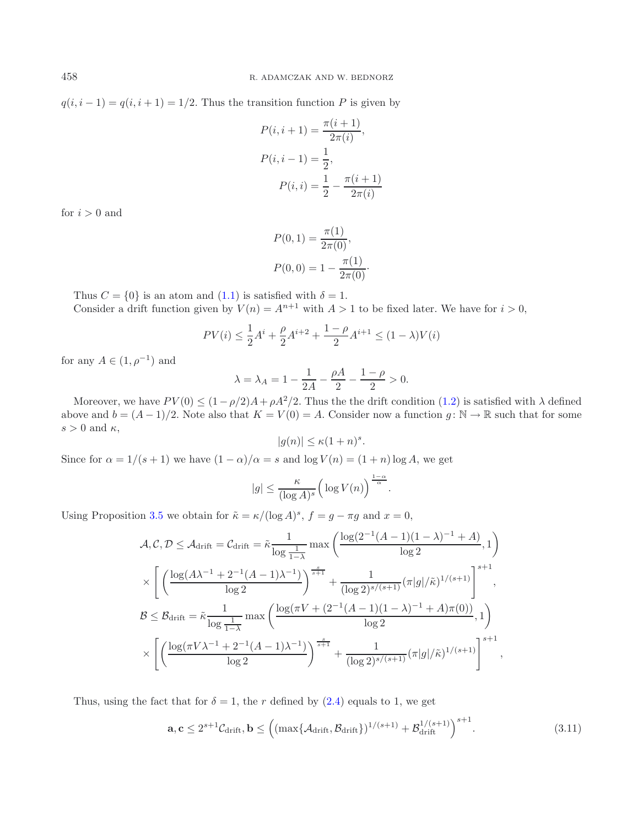$q(i, i - 1) = q(i, i + 1) = 1/2$ . Thus the transition function P is given by

$$
P(i, i + 1) = \frac{\pi(i + 1)}{2\pi(i)},
$$
  
\n
$$
P(i, i - 1) = \frac{1}{2},
$$
  
\n
$$
P(i, i) = \frac{1}{2} - \frac{\pi(i + 1)}{2\pi(i)}
$$

for  $i > 0$  and

$$
P(0,1) = \frac{\pi(1)}{2\pi(0)},
$$
  

$$
P(0,0) = 1 - \frac{\pi(1)}{2\pi(0)}.
$$

Thus  $C = \{0\}$  is an atom and  $(1.1)$  is satisfied with  $\delta = 1$ . Consider a drift function given by  $V(n) = A^{n+1}$  with  $A > 1$  to be fixed later. We have for  $i > 0$ ,

$$
PV(i) \le \frac{1}{2}A^{i} + \frac{\rho}{2}A^{i+2} + \frac{1-\rho}{2}A^{i+1} \le (1-\lambda)V(i)
$$

for any  $A \in (1, \rho^{-1})$  and

$$
\lambda = \lambda_A = 1 - \frac{1}{2A} - \frac{\rho A}{2} - \frac{1 - \rho}{2} > 0.
$$

Moreover, we have  $PV(0) \leq (1-\rho/2)A + \rho A^2/2$ . Thus the the drift condition [\(1.2\)](#page-2-0) is satisfied with  $\lambda$  defined above and  $b = (A-1)/2$ . Note also that  $K = V(0) = A$ . Consider now a function  $g: \mathbb{N} \to \mathbb{R}$  such that for some  $s > 0$  and  $\kappa$ ,

$$
|g(n)| \le \kappa (1+n)^s.
$$

Since for  $\alpha = 1/(s+1)$  we have  $(1 - \alpha)/\alpha = s$  and  $\log V(n) = (1 + n) \log A$ , we get

$$
|g| \le \frac{\kappa}{(\log A)^s} \Big(\log V(n)\Big)^{\frac{1-\alpha}{\alpha}}.
$$

Using Proposition [3.5](#page-15-0) we obtain for  $\tilde{\kappa} = \kappa/(\log A)^s$ ,  $f = g - \pi g$  and  $x = 0$ ,

$$
\mathcal{A}, \mathcal{C}, \mathcal{D} \leq \mathcal{A}_{\text{drift}} = \mathcal{C}_{\text{drift}} = \tilde{\kappa} \frac{1}{\log \frac{1}{1-\lambda}} \max \left( \frac{\log(2^{-1}(A-1)(1-\lambda)^{-1} + A)}{\log 2}, 1 \right)
$$
  
 
$$
\times \left[ \left( \frac{\log(A\lambda^{-1} + 2^{-1}(A-1)\lambda^{-1})}{\log 2} \right)^{\frac{s}{s+1}} + \frac{1}{(\log 2)^{s/(s+1)}} (\pi |g| / \tilde{\kappa})^{1/(s+1)} \right]^{s+1},
$$
  
\n
$$
\mathcal{B} \leq \mathcal{B}_{\text{drift}} = \tilde{\kappa} \frac{1}{\log \frac{1}{1-\lambda}} \max \left( \frac{\log(\pi V + (2^{-1}(A-1)(1-\lambda)^{-1} + A)\pi(0))}{\log 2}, 1 \right)
$$
  
\n
$$
\times \left[ \left( \frac{\log(\pi V \lambda^{-1} + 2^{-1}(A-1)\lambda^{-1})}{\log 2} \right)^{\frac{s}{s+1}} + \frac{1}{(\log 2)^{s/(s+1)}} (\pi |g| / \tilde{\kappa})^{1/(s+1)} \right]^{s+1},
$$

Thus, using the fact that for  $\delta = 1$ , the r defined by [\(2.4\)](#page-8-1) equals to 1, we get

$$
\mathbf{a}, \mathbf{c} \le 2^{s+1} \mathcal{C}_{\text{drift}}, \mathbf{b} \le \left( (\max\{\mathcal{A}_{\text{drift}}, \mathcal{B}_{\text{drift}}\})^{1/(s+1)} + \mathcal{B}_{\text{drift}}^{1/(s+1)} \right)^{s+1}.
$$
 (3.11)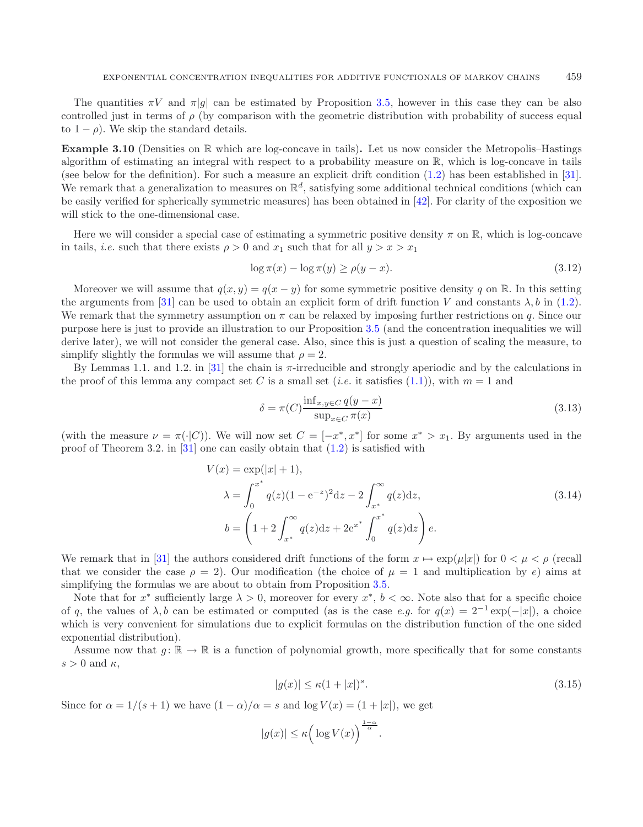The quantities  $\pi V$  and  $\pi|g|$  can be estimated by Proposition [3.5,](#page-15-0) however in this case they can be also controlled just in terms of  $\rho$  (by comparison with the geometric distribution with probability of success equal to  $1 - \rho$ ). We skip the standard details.

**Example 3.10** (Densities on R which are log-concave in tails)**.** Let us now consider the Metropolis–Hastings algorithm of estimating an integral with respect to a probability measure on R, which is log-concave in tails (see below for the definition). For such a measure an explicit drift condition [\(1.2\)](#page-2-0) has been established in [\[31](#page-41-22)]. We remark that a generalization to measures on  $\mathbb{R}^d$ , satisfying some additional technical conditions (which can be easily verified for spherically symmetric measures) has been obtained in [\[42\]](#page-41-23). For clarity of the exposition we will stick to the one-dimensional case.

Here we will consider a special case of estimating a symmetric positive density  $\pi$  on R, which is log-concave in tails, *i.e.* such that there exists  $\rho > 0$  and  $x_1$  such that for all  $y > x > x_1$ 

<span id="page-19-1"></span>
$$
\log \pi(x) - \log \pi(y) \ge \rho(y - x). \tag{3.12}
$$

Moreover we will assume that  $q(x, y) = q(x - y)$  for some symmetric positive density q on R. In this setting the arguments from [\[31](#page-41-22)] can be used to obtain an explicit form of drift function V and constants  $\lambda$ , b in [\(1.2\)](#page-2-0). We remark that the symmetry assumption on  $\pi$  can be relaxed by imposing further restrictions on q. Since our purpose here is just to provide an illustration to our Proposition [3.5](#page-15-0) (and the concentration inequalities we will derive later), we will not consider the general case. Also, since this is just a question of scaling the measure, to simplify slightly the formulas we will assume that  $\rho = 2$ .

By Lemmas 1.1. and 1.2. in [\[31](#page-41-22)] the chain is  $\pi$ -irreducible and strongly aperiodic and by the calculations in the proof of this lemma any compact set C is a small set (*i.e.* it satisfies [\(1.1\)](#page-1-0)), with  $m = 1$  and

<span id="page-19-0"></span>
$$
\delta = \pi(C) \frac{\inf_{x,y \in C} q(y-x)}{\sup_{x \in C} \pi(x)}
$$
\n(3.13)

(with the measure  $\nu = \pi(\cdot|C)$ ). We will now set  $C = [-x^*, x^*]$  for some  $x^* > x_1$ . By arguments used in the proof of Theorem 3.2. in [\[31](#page-41-22)] one can easily obtain that  $(1.2)$  is satisfied with

$$
V(x) = \exp(|x| + 1),
$$
  
\n
$$
\lambda = \int_0^{x^*} q(z)(1 - e^{-z})^2 dz - 2 \int_{x^*}^{\infty} q(z) dz,
$$
  
\n
$$
b = \left(1 + 2 \int_{x^*}^{\infty} q(z) dz + 2e^{x^*} \int_0^{x^*} q(z) dz\right) e.
$$
\n(3.14)

We remark that in [\[31\]](#page-41-22) the authors considered drift functions of the form  $x \mapsto \exp(\mu|x|)$  for  $0 \lt \mu \lt \rho$  (recall that we consider the case  $\rho = 2$ ). Our modification (the choice of  $\mu = 1$  and multiplication by e) aims at simplifying the formulas we are about to obtain from Proposition [3.5.](#page-15-0)

Note that for  $x^*$  sufficiently large  $\lambda > 0$ , moreover for every  $x^*$ ,  $b < \infty$ . Note also that for a specific choice of q, the values of  $\lambda$ , b can be estimated or computed (as is the case *e.g.* for  $q(x)=2^{-1} \exp(-|x|)$ , a choice which is very convenient for simulations due to explicit formulas on the distribution function of the one sided exponential distribution).

Assume now that  $g: \mathbb{R} \to \mathbb{R}$  is a function of polynomial growth, more specifically that for some constants  $s > 0$  and  $\kappa$ ,

$$
|g(x)| \le \kappa (1+|x|)^s. \tag{3.15}
$$

Since for  $\alpha = 1/(s+1)$  we have  $(1-\alpha)/\alpha = s$  and  $\log V(x) = (1+|x|)$ , we get

$$
|g(x)| \le \kappa \left(\log V(x)\right)^{\frac{1-\alpha}{\alpha}}.
$$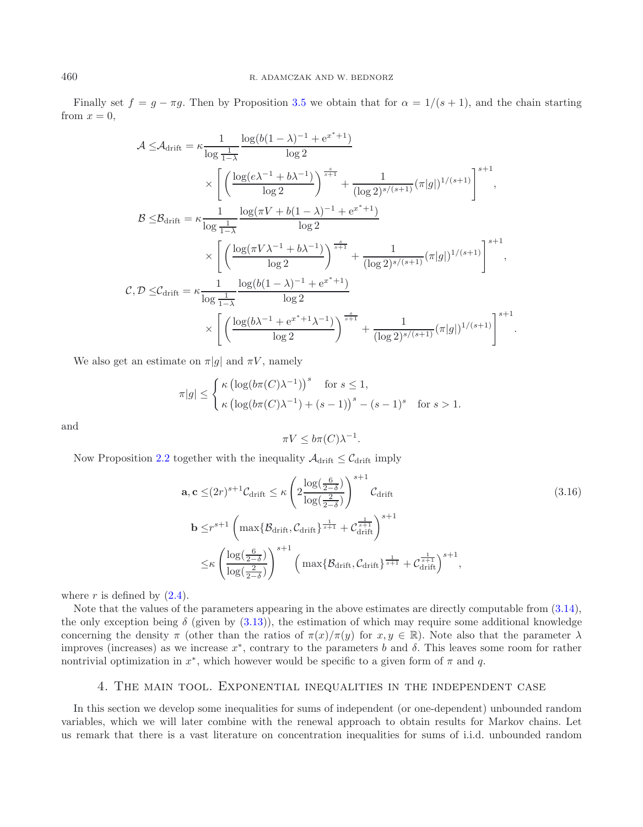Finally set  $f = g - \pi g$ . Then by Proposition [3.5](#page-15-0) we obtain that for  $\alpha = 1/(s+1)$ , and the chain starting from  $x = 0$ .

$$
\mathcal{A} \leq \mathcal{A}_{\text{drift}} = \kappa \frac{1}{\log \frac{1}{1-\lambda}} \frac{\log (b(1-\lambda)^{-1} + e^{x^*+1})}{\log 2} \times \left[ \left( \frac{\log(e\lambda^{-1} + b\lambda^{-1})}{\log 2}\right)^{\frac{s}{s+1}} + \frac{1}{(\log 2)^{s/(s+1)}} (\pi |g|)^{1/(s+1)} \right]^{s+1},
$$
  

$$
\mathcal{B} \leq \mathcal{B}_{\text{drift}} = \kappa \frac{1}{\log \frac{1}{1-\lambda}} \frac{\log(\pi V + b(1-\lambda)^{-1} + e^{x^*+1})}{\log 2} \times \left[ \left( \frac{\log(\pi V \lambda^{-1} + b\lambda^{-1})}{\log 2}\right)^{\frac{s}{s+1}} + \frac{1}{(\log 2)^{s/(s+1)}} (\pi |g|)^{1/(s+1)} \right]^{s+1},
$$
  

$$
\mathcal{C}, \mathcal{D} \leq \mathcal{C}_{\text{drift}} = \kappa \frac{1}{\log \frac{1}{1-\lambda}} \frac{\log (b(1-\lambda)^{-1} + e^{x^*+1})}{\log 2} \times \left[ \left( \frac{\log (b\lambda^{-1} + e^{x^*+1}\lambda^{-1})}{\log 2} \right)^{\frac{s}{s+1}} + \frac{1}{(\log 2)^{s/(s+1)}} (\pi |g|)^{1/(s+1)} \right]^{s+1}.
$$

We also get an estimate on  $\pi|g|$  and  $\pi V$ , namely

$$
\pi|g| \leq \begin{cases} \kappa \left(\log(b\pi(C)\lambda^{-1})\right)^s & \text{for } s \leq 1, \\ \kappa \left(\log(b\pi(C)\lambda^{-1}) + (s-1)\right)^s - (s-1)^s & \text{for } s > 1. \end{cases}
$$

and

$$
\pi V \le b\pi(C)\lambda^{-1}.
$$

Now Proposition [2.2](#page-8-0) together with the inequality  $\mathcal{A}_{\text{drift}} \leq \mathcal{C}_{\text{drift}}$  imply

$$
\mathbf{a}, \mathbf{c} \leq (2r)^{s+1} C_{\text{drift}} \leq \kappa \left( 2 \frac{\log(\frac{6}{2-\delta})}{\log(\frac{2}{2-\delta})} \right)^{s+1} C_{\text{drift}}
$$
\n
$$
\mathbf{b} \leq r^{s+1} \left( \max \{ \mathcal{B}_{\text{drift}}, \mathcal{C}_{\text{drift}} \}^{\frac{1}{s+1}} + C_{\text{drift}}^{\frac{1}{s+1}} \right)^{s+1}
$$
\n
$$
\leq \kappa \left( \frac{\log(\frac{6}{2-\delta})}{\log(\frac{2}{2-\delta})} \right)^{s+1} \left( \max \{ \mathcal{B}_{\text{drift}}, \mathcal{C}_{\text{drift}} \}^{\frac{1}{s+1}} + C_{\text{drift}}^{\frac{1}{s+1}} \right)^{s+1},
$$
\n(3.16)

where r is defined by  $(2.4)$ .

Note that the values of the parameters appearing in the above estimates are directly computable from [\(3.14\)](#page-19-0), the only exception being  $\delta$  (given by [\(3.13\)](#page-19-1)), the estimation of which may require some additional knowledge concerning the density  $\pi$  (other than the ratios of  $\pi(x)/\pi(y)$  for  $x, y \in \mathbb{R}$ ). Note also that the parameter  $\lambda$ improves (increases) as we increase  $x^*$ , contrary to the parameters b and  $\delta$ . This leaves some room for rather nontrivial optimization in  $x^*$ , which however would be specific to a given form of  $\pi$  and q.

# 4. The main tool. Exponential inequalities in the independent case

<span id="page-20-0"></span>In this section we develop some inequalities for sums of independent (or one-dependent) unbounded random variables, which we will later combine with the renewal approach to obtain results for Markov chains. Let us remark that there is a vast literature on concentration inequalities for sums of i.i.d. unbounded random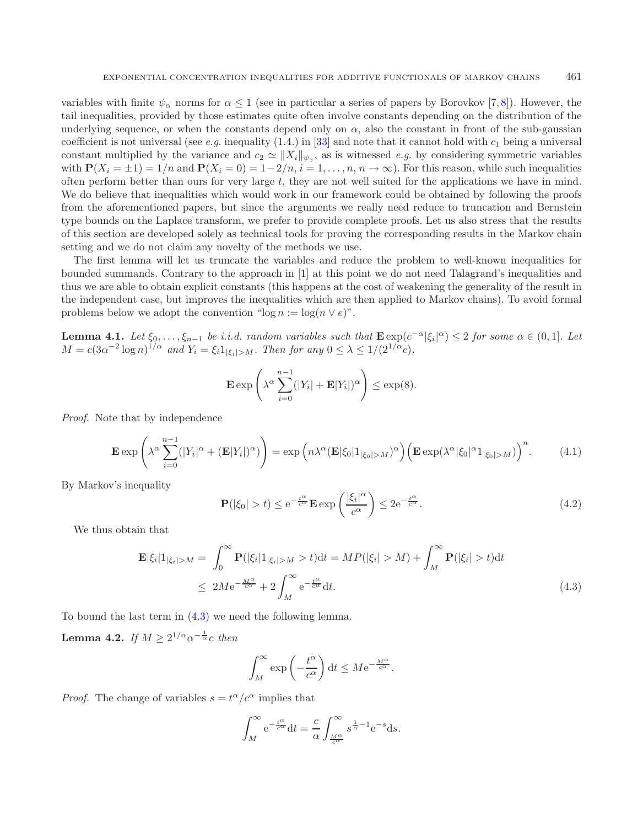variables with finite  $\psi_{\alpha}$  norms for  $\alpha \leq 1$  (see in particular a series of papers by Borovkov [\[7,](#page-40-7)[8\]](#page-40-8)). However, the tail inequalities, provided by those estimates quite often involve constants depending on the distribution of the underlying sequence, or when the constants depend only on  $\alpha$ , also the constant in front of the sub-gaussian coefficient is not universal (see *e.g.* inequality  $(1.4)$  in  $[33]$  $[33]$  and note that it cannot hold with  $c_1$  being a universal constant multiplied by the variance and  $c_2 \simeq ||X_i||_{\psi_\gamma}$ , as is witnessed *e.g.* by considering symmetric variables with  $P(X_i = \pm 1) = 1/n$  and  $P(X_i = 0) = 1-2/n$ ,  $i = 1, ..., n$ ,  $n \to \infty$ ). For this reason, while such inequalities often perform better than ours for very large t, they are not well suited for the applications we have in mind. We do believe that inequalities which would work in our framework could be obtained by following the proofs from the aforementioned papers, but since the arguments we really need reduce to truncation and Bernstein type bounds on the Laplace transform, we prefer to provide complete proofs. Let us also stress that the results of this section are developed solely as technical tools for proving the corresponding results in the Markov chain setting and we do not claim any novelty of the methods we use.

The first lemma will let us truncate the variables and reduce the problem to well-known inequalities for bounded summands. Contrary to the approach in [\[1\]](#page-40-0) at this point we do not need Talagrand's inequalities and thus we are able to obtain explicit constants (this happens at the cost of weakening the generality of the result in the independent case, but improves the inequalities which are then applied to Markov chains). To avoid formal problems below we adopt the convention "log  $n := \log(n \vee e)$ ".

<span id="page-21-4"></span><span id="page-21-2"></span>**Lemma 4.1.** *Let*  $\xi_0, \ldots, \xi_{n-1}$  *be i.i.d.* random variables such that  $\mathbf{E} \exp(c^{-\alpha} |\xi_i|^{\alpha}) \leq 2$  *for some*  $\alpha \in (0,1]$ *. Let*  $M = c(3\alpha^{-2}\log n)^{1/\alpha}$  and  $Y_i = \xi_i 1_{|\xi_i| > M}$ . Then for any  $0 \leq \lambda \leq 1/(2^{1/\alpha}c)$ ,

<span id="page-21-3"></span>
$$
\mathbf{E} \exp \left( \lambda^{\alpha} \sum_{i=0}^{n-1} (|Y_i| + \mathbf{E} |Y_i|)^{\alpha} \right) \le \exp(8).
$$

*Proof.* Note that by independence

$$
\mathbf{E} \exp\left(\lambda^{\alpha} \sum_{i=0}^{n-1} (|Y_i|^{\alpha} + (\mathbf{E}|Y_i|)^{\alpha})\right) = \exp\left(n\lambda^{\alpha} (\mathbf{E}|\xi_0|1_{|\xi_0|>M})^{\alpha}\right) \left(\mathbf{E} \exp(\lambda^{\alpha}|\xi_0|^{\alpha}1_{|\xi_0|>M})\right)^n. \tag{4.1}
$$

By Markov's inequality

<span id="page-21-1"></span>
$$
\mathbf{P}(|\xi_0| > t) \le e^{-\frac{t^{\alpha}}{c^{\alpha}}} \mathbf{E} \exp\left(\frac{|\xi_i|^{\alpha}}{c^{\alpha}}\right) \le 2e^{-\frac{t^{\alpha}}{c^{\alpha}}}.
$$
\n(4.2)

<span id="page-21-0"></span>We thus obtain that

$$
\mathbf{E}|\xi_i|1_{|\xi_i|>M} = \int_0^\infty \mathbf{P}(|\xi_i|1_{|\xi_i|>M}>t)dt = MP(|\xi_i|>M) + \int_M^\infty \mathbf{P}(|\xi_i|>t)dt
$$
  
\n
$$
\leq 2Me^{-\frac{M^\alpha}{c^\alpha}} + 2\int_M^\infty e^{-\frac{t^\alpha}{c^\alpha}}dt.
$$
\n(4.3)

To bound the last term in [\(4.3\)](#page-21-0) we need the following lemma.

**Lemma 4.2.** *If*  $M \ge 2^{1/\alpha} \alpha^{-\frac{1}{\alpha}} c$  *then* 

$$
\int_M^{\infty} \exp\left(-\frac{t^{\alpha}}{c^{\alpha}}\right) dt \leq Me^{-\frac{M^{\alpha}}{c^{\alpha}}}.
$$

*Proof.* The change of variables  $s = t^{\alpha}/c^{\alpha}$  implies that

$$
\int_M^{\infty} e^{-\frac{t^{\alpha}}{c^{\alpha}}} dt = \frac{c}{\alpha} \int_{\frac{M^{\alpha}}{c^{\alpha}}}^{\infty} s^{\frac{1}{\alpha} - 1} e^{-s} ds.
$$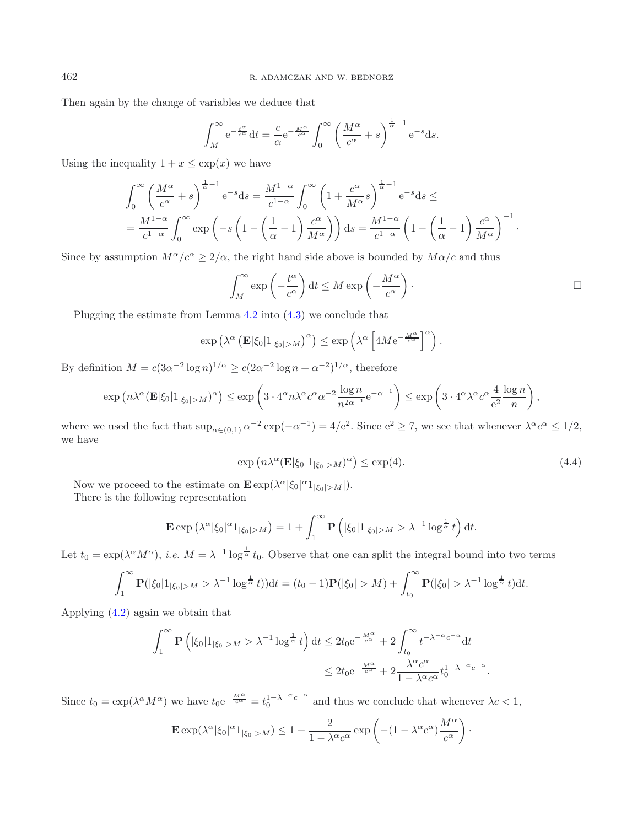Then again by the change of variables we deduce that

$$
\int_M^{\infty} e^{-\frac{t^{\alpha}}{c^{\alpha}}} dt = \frac{c}{\alpha} e^{-\frac{M^{\alpha}}{c^{\alpha}}} \int_0^{\infty} \left(\frac{M^{\alpha}}{c^{\alpha}} + s\right)^{\frac{1}{\alpha}-1} e^{-s} ds.
$$

Using the inequality  $1 + x \leq \exp(x)$  we have

$$
\int_0^\infty \left(\frac{M^\alpha}{c^\alpha} + s\right)^{\frac{1}{\alpha}-1} e^{-s} ds = \frac{M^{1-\alpha}}{c^{1-\alpha}} \int_0^\infty \left(1 + \frac{c^\alpha}{M^\alpha} s\right)^{\frac{1}{\alpha}-1} e^{-s} ds \le
$$
  
= 
$$
\frac{M^{1-\alpha}}{c^{1-\alpha}} \int_0^\infty \exp\left(-s\left(1 - \left(\frac{1}{\alpha} - 1\right) \frac{c^\alpha}{M^\alpha}\right)\right) ds = \frac{M^{1-\alpha}}{c^{1-\alpha}} \left(1 - \left(\frac{1}{\alpha} - 1\right) \frac{c^\alpha}{M^\alpha}\right)^{-1}.
$$

Since by assumption  $M^{\alpha}/c^{\alpha} \geq 2/\alpha$ , the right hand side above is bounded by  $M\alpha/c$  and thus

<span id="page-22-0"></span>
$$
\int_M^{\infty} \exp\left(-\frac{t^{\alpha}}{c^{\alpha}}\right) dt \le M \exp\left(-\frac{M^{\alpha}}{c^{\alpha}}\right).
$$

Plugging the estimate from Lemma [4.2](#page-21-1) into [\(4.3\)](#page-21-0) we conclude that

$$
\exp\left(\lambda^{\alpha}\left(\mathbf{E}|\xi_0|\mathbf{1}_{|\xi_0|>M}\right)^{\alpha}\right)\leq \exp\left(\lambda^{\alpha}\left[4M\mathrm{e}^{-\frac{M^{\alpha}}{c^{\alpha}}}\right]^{\alpha}\right).
$$

By definition  $M = c(3\alpha^{-2} \log n)^{1/\alpha} \geq c(2\alpha^{-2} \log n + \alpha^{-2})^{1/\alpha}$ , therefore

$$
\exp\left(n\lambda^{\alpha}(\mathbf{E}|\xi_0|\mathbf{1}_{|\xi_0|>M})^{\alpha}\right)\leq \exp\left(3\cdot 4^{\alpha}n\lambda^{\alpha}c^{\alpha}\alpha^{-2}\frac{\log n}{n^{2\alpha-1}}e^{-\alpha^{-1}}\right)\leq \exp\left(3\cdot 4^{\alpha}\lambda^{\alpha}c^{\alpha}\frac{4}{e^2}\frac{\log n}{n}\right),
$$

where we used the fact that  $\sup_{\alpha \in (0,1)} \alpha^{-2} \exp(-\alpha^{-1}) = 4/e^2$ . Since  $e^2 \ge 7$ , we see that whenever  $\lambda^{\alpha} c^{\alpha} \le 1/2$ , we have

$$
\exp\left(n\lambda^{\alpha}(\mathbf{E}|\xi_0|\mathbf{1}_{|\xi_0|>M})^{\alpha}\right) \leq \exp(4). \tag{4.4}
$$

Now we proceed to the estimate on  $\mathbf{E} \exp(\lambda^{\alpha} |\xi_0|^{\alpha} 1_{|\xi_0| > M}|)$ .

There is the following representation

$$
\mathbf{E} \exp \left( \lambda^{\alpha} |\xi_0|^{\alpha} 1_{|\xi_0| > M} \right) = 1 + \int_1^{\infty} \mathbf{P} \left( |\xi_0| 1_{|\xi_0| > M} > \lambda^{-1} \log^{\frac{1}{\alpha}} t \right) dt.
$$

Let  $t_0 = \exp(\lambda^{\alpha} M^{\alpha})$ , *i.e.*  $M = \lambda^{-1} \log^{\frac{1}{\alpha}} t_0$ . Observe that one can split the integral bound into two terms

$$
\int_1^{\infty} \mathbf{P}(|\xi_0| \mathbf{1}_{|\xi_0| > M} > \lambda^{-1} \log^{\frac{1}{\alpha}} t) dt = (t_0 - 1) \mathbf{P}(|\xi_0| > M) + \int_{t_0}^{\infty} \mathbf{P}(|\xi_0| > \lambda^{-1} \log^{\frac{1}{\alpha}} t) dt.
$$

Applying [\(4.2\)](#page-21-2) again we obtain that

$$
\int_{1}^{\infty} \mathbf{P} \left( |\xi_{0}| \mathbf{1}_{|\xi_{0}| > M} > \lambda^{-1} \log^{\frac{1}{\alpha}} t \right) dt \leq 2t_{0} e^{-\frac{M^{\alpha}}{c^{\alpha}}} + 2 \int_{t_{0}}^{\infty} t^{-\lambda^{-\alpha} c^{-\alpha}} dt
$$
  

$$
\leq 2t_{0} e^{-\frac{M^{\alpha}}{c^{\alpha}}} + 2 \frac{\lambda^{\alpha} c^{\alpha}}{1 - \lambda^{\alpha} c^{\alpha}} t_{0}^{1 - \lambda^{-\alpha} c^{-\alpha}}.
$$

Since  $t_0 = \exp(\lambda^{\alpha} M^{\alpha})$  we have  $t_0 e^{-\frac{M^{\alpha}}{c^{\alpha}}} = t_0^{1-\lambda^{-\alpha}c^{-\alpha}}$  and thus we conclude that whenever  $\lambda c < 1$ ,

$$
\mathbf{E}\exp(\lambda^{\alpha}|\xi_0|^{\alpha}1_{|\xi_0|>M})\leq 1+\frac{2}{1-\lambda^{\alpha}c^{\alpha}}\exp\left(-(1-\lambda^{\alpha}c^{\alpha})\frac{M^{\alpha}}{c^{\alpha}}\right)\cdot
$$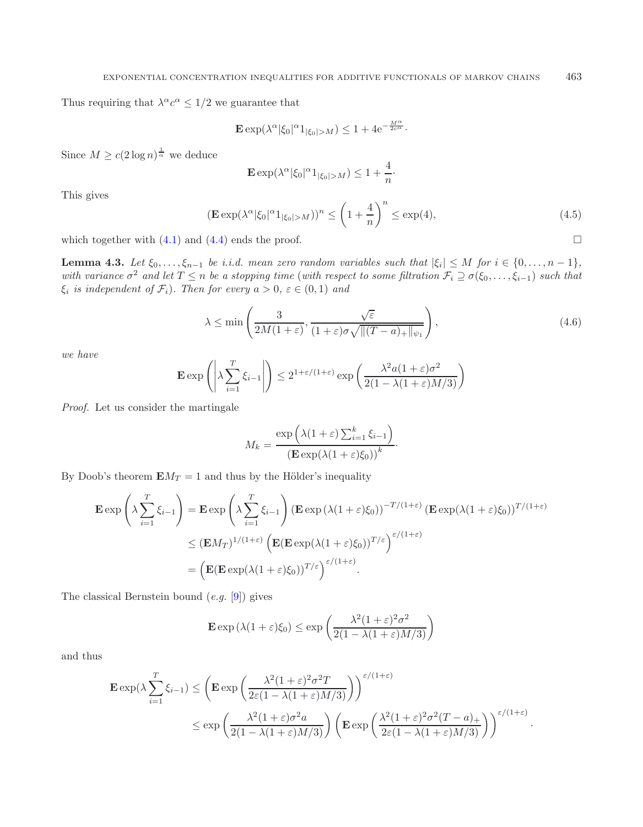Thus requiring that  $\lambda^{\alpha} c^{\alpha} \leq 1/2$  we guarantee that

<span id="page-23-0"></span>
$$
\mathbf{E} \exp(\lambda^{\alpha} |\xi_0|^{\alpha} 1_{|\xi_0| > M}) \le 1 + 4e^{-\frac{M^{\alpha}}{2c^{\alpha}}}.
$$

Since  $M \ge c(2 \log n)^{\frac{1}{\alpha}}$  we deduce

$$
\mathbf{E} \exp(\lambda^{\alpha} |\xi_0|^{\alpha} 1_{|\xi_0| > M}) \le 1 + \frac{4}{n}.
$$

This gives

$$
\left(\mathbf{E}\exp(\lambda^{\alpha}|\xi_0|^{\alpha}1_{|\xi_0|>M})\right)^n \le \left(1+\frac{4}{n}\right)^n \le \exp(4),\tag{4.5}
$$

 $\Box$ 

which together with  $(4.1)$  and  $(4.4)$  ends the proof.

<span id="page-23-1"></span>**Lemma 4.3.** *Let*  $\xi_0, \ldots, \xi_{n-1}$  *be i.i.d. mean zero random variables such that*  $|\xi_i| \leq M$  *for*  $i \in \{0, \ldots, n-1\}$ *, with variance*  $\sigma^2$  *and let*  $T \leq n$  *be a stopping time* (*with respect to some filtration*  $\mathcal{F}_i \supseteq \sigma(\xi_0, \ldots, \xi_{i-1})$  *such that*  $\xi_i$  *is independent of*  $\mathcal{F}_i$ *). Then for every*  $a > 0$ *,*  $\varepsilon \in (0, 1)$  *and* 

$$
\lambda \le \min\left(\frac{3}{2M(1+\varepsilon)}, \frac{\sqrt{\varepsilon}}{(1+\varepsilon)\sigma\sqrt{\|(T-a)_+\|_{\psi_1}}}\right),\tag{4.6}
$$

*we have*

$$
\mathbf{E} \exp\left(\left|\lambda \sum_{i=1}^T \xi_{i-1}\right|\right) \le 2^{1+\varepsilon/(1+\varepsilon)} \exp\left(\frac{\lambda^2 a (1+\varepsilon)\sigma^2}{2(1-\lambda(1+\varepsilon)M/3)}\right)
$$

*Proof.* Let us consider the martingale

$$
M_k = \frac{\exp\left(\lambda(1+\varepsilon)\sum_{i=1}^k \xi_{i-1}\right)}{\left(\mathbf{E}\exp(\lambda(1+\varepsilon)\xi_0)\right)^k}.
$$

By Doob's theorem  $EM_T = 1$  and thus by the Hölder's inequality

$$
\mathbf{E} \exp\left(\lambda \sum_{i=1}^{T} \xi_{i-1}\right) = \mathbf{E} \exp\left(\lambda \sum_{i=1}^{T} \xi_{i-1}\right) \left(\mathbf{E} \exp\left(\lambda (1+\varepsilon)\xi_0\right)\right)^{-T/(1+\varepsilon)} \left(\mathbf{E} \exp(\lambda (1+\varepsilon)\xi_0)\right)^{T/(1+\varepsilon)}
$$

$$
\leq (\mathbf{E} M_T)^{1/(1+\varepsilon)} \left(\mathbf{E} (\mathbf{E} \exp(\lambda (1+\varepsilon)\xi_0))^{T/\varepsilon}\right)^{\varepsilon/(1+\varepsilon)}
$$

$$
= \left(\mathbf{E} (\mathbf{E} \exp(\lambda (1+\varepsilon)\xi_0))^{T/\varepsilon}\right)^{\varepsilon/(1+\varepsilon)}.
$$

The classical Bernstein bound (*e.g.* [\[9](#page-40-6)]) gives

$$
\mathbf{E} \exp \left( \lambda (1 + \varepsilon) \xi_0 \right) \le \exp \left( \frac{\lambda^2 (1 + \varepsilon)^2 \sigma^2}{2 (1 - \lambda (1 + \varepsilon) M / 3)} \right)
$$

and thus

$$
\mathbf{E} \exp(\lambda \sum_{i=1}^T \xi_{i-1}) \le \left( \mathbf{E} \exp\left(\frac{\lambda^2 (1+\varepsilon)^2 \sigma^2 T}{2\varepsilon (1-\lambda(1+\varepsilon)M/3)}\right) \right)^{\varepsilon/(1+\varepsilon)}
$$
  

$$
\le \exp\left(\frac{\lambda^2 (1+\varepsilon) \sigma^2 a}{2(1-\lambda(1+\varepsilon)M/3)}\right) \left( \mathbf{E} \exp\left(\frac{\lambda^2 (1+\varepsilon)^2 \sigma^2 (T-a)_+}{2\varepsilon (1-\lambda(1+\varepsilon)M/3)}\right) \right)^{\varepsilon/(1+\varepsilon)}.
$$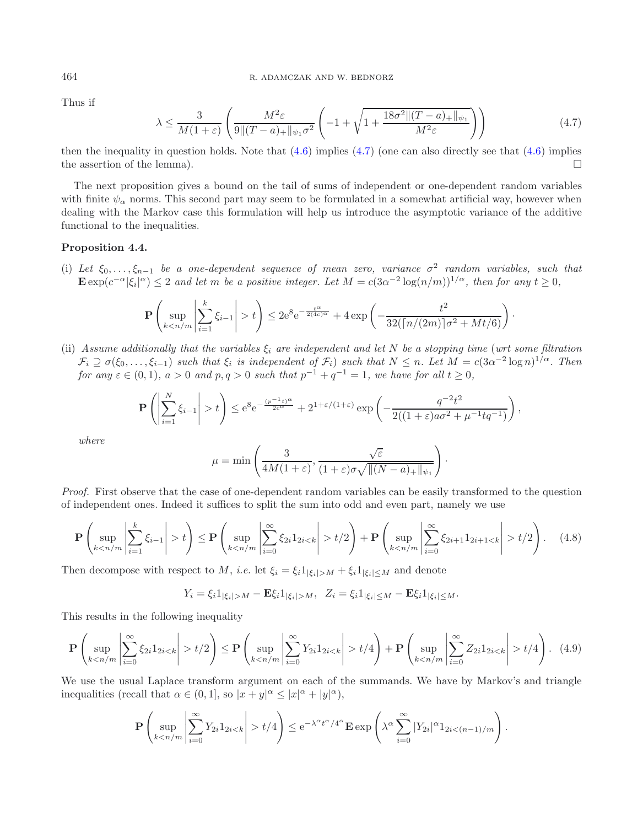Thus if

$$
\lambda \le \frac{3}{M(1+\varepsilon)} \left( \frac{M^2 \varepsilon}{9 \|(T-a)_+\|_{\psi_1} \sigma^2} \left( -1 + \sqrt{1 + \frac{18\sigma^2 \| (T-a)_+\|_{\psi_1}}{M^2 \varepsilon}} \right) \right) \tag{4.7}
$$

then the inequality in question holds. Note that  $(4.6)$  implies  $(4.7)$  (one can also directly see that  $(4.6)$  implies the assertion of the lemma).  $\Box$ 

The next proposition gives a bound on the tail of sums of independent or one-dependent random variables with finite  $\psi_{\alpha}$  norms. This second part may seem to be formulated in a somewhat artificial way, however when dealing with the Markov case this formulation will help us introduce the asymptotic variance of the additive functional to the inequalities.

### <span id="page-24-2"></span>**Proposition 4.4.**

(i) Let  $\xi_0, \ldots, \xi_{n-1}$  *be a one-dependent sequence of mean zero, variance*  $\sigma^2$  *random variables, such that*  $\mathbf{E} \exp(c^{-\alpha} |\xi_i|^{\alpha}) \leq 2$  and let m be a positive integer. Let  $M = c(3\alpha^{-2} \log(n/m))^{1/\alpha}$ , then for any  $t \geq 0$ ,

$$
\mathbf{P}\left(\sup_{k < n/m} \left|\sum_{i=1}^k \xi_{i-1}\right| > t\right) \le 2e^8 e^{-\frac{t^\alpha}{2(4c)^\alpha}} + 4\exp\left(-\frac{t^2}{32(\lceil n/(2m)\rceil \sigma^2 + Mt/6)}\right).
$$

(ii) Assume additionally that the variables  $\xi_i$  are independent and let N be a stopping time (wrt some filtration  $\mathcal{F}_i \supseteq \sigma(\xi_0,\ldots,\xi_{i-1})$  *such that*  $\xi_i$  *is independent of*  $\mathcal{F}_i$ ) *such that*  $N \leq n$ *. Let*  $M = c(3\alpha^{-2} \log n)^{1/\alpha}$ *. Then for any*  $\varepsilon \in (0, 1)$ *,*  $a > 0$  *and*  $p, q > 0$  *such that*  $p^{-1} + q^{-1} = 1$ *, we have for all*  $t \ge 0$ *,* 

$$
\mathbf{P}\left(\left|\sum_{i=1}^N \xi_{i-1}\right| > t\right) \le e^8 e^{-\frac{(p^{-1}t)^{\alpha}}{2c^{\alpha}}} + 2^{1+\varepsilon/(1+\varepsilon)} \exp\left(-\frac{q^{-2}t^2}{2((1+\varepsilon)a\sigma^2 + \mu^{-1}tq^{-1})}\right),
$$

*where*

<span id="page-24-1"></span>
$$
\mu = \min\left(\frac{3}{4M(1+\varepsilon)}, \frac{\sqrt{\varepsilon}}{(1+\varepsilon)\sigma\sqrt{\|(N-a)_+\|_{\psi_1}}}\right).
$$

*Proof.* First observe that the case of one-dependent random variables can be easily transformed to the question of independent ones. Indeed it suffices to split the sum into odd and even part, namely we use

$$
\mathbf{P}\left(\sup_{k t\right) \le \mathbf{P}\left(\sup_{k t/2\right) + \mathbf{P}\left(\sup_{k t/2\right). \tag{4.8}
$$

Then decompose with respect to M, *i.e.* let  $\xi_i = \xi_i 1_{|\xi_i| > M} + \xi_i 1_{|\xi_i| \leq M}$  and denote

$$
Y_i = \xi_i 1_{|\xi_i| > M} - \mathbf{E}\xi_i 1_{|\xi_i| > M}, \ \ Z_i = \xi_i 1_{|\xi_i| \le M} - \mathbf{E}\xi_i 1_{|\xi_i| \le M}.
$$

This results in the following inequality

$$
\mathbf{P}\left(\sup_{kt/2\right)\leq\mathbf{P}\left(\sup_{kt/4\right)+\mathbf{P}\left(\sup_{kt/4\right).
$$
 (4.9)

We use the usual Laplace transform argument on each of the summands. We have by Markov's and triangle inequalities (recall that  $\alpha \in (0,1]$ , so  $|x+y|^{\alpha} \leq |x|^{\alpha} + |y|^{\alpha}$ ),

$$
\mathbf{P}\left(\sup_{kt/4\right)\leq e^{-\lambda^{\alpha}t^{\alpha}/4^{\alpha}}\mathbf{E}\exp\left(\lambda^{\alpha}\sum_{i=0}^{\infty}|Y_{2i}|^{\alpha}1_{2i<(n-1)/m}\right).
$$

<span id="page-24-0"></span>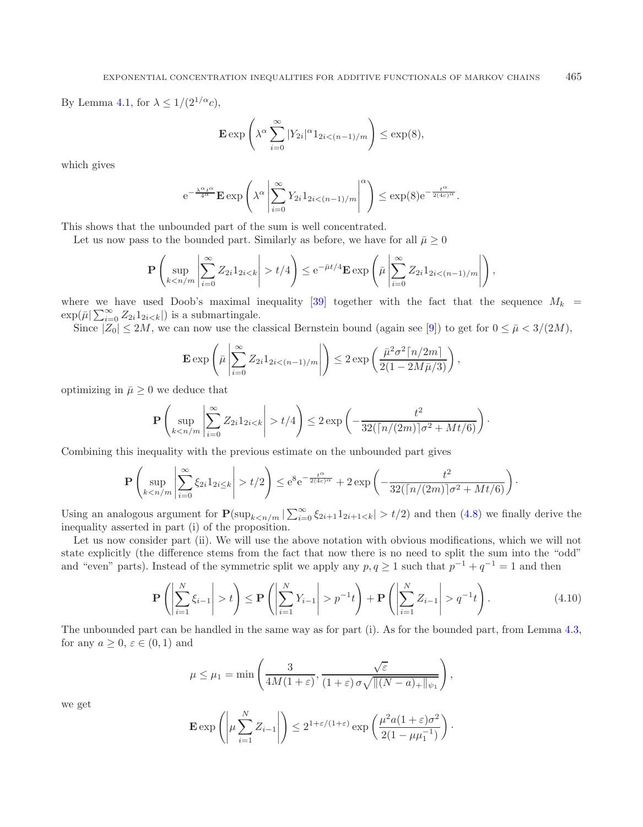By Lemma [4.1,](#page-21-4) for  $\lambda \leq 1/(2^{1/\alpha}c)$ ,

$$
\mathbf{E} \exp\left(\lambda^{\alpha} \sum_{i=0}^{\infty} |Y_{2i}|^{\alpha} 1_{2i < (n-1)/m}\right) \le \exp(8),
$$

which gives

$$
e^{-\frac{\lambda^{\alpha} t^{\alpha}}{4^{\alpha}}}\mathbf{E}\exp\left(\lambda^{\alpha}\left|\sum_{i=0}^{\infty}Y_{2i}1_{2i<(n-1)/m}\right|^{\alpha}\right)\leq \exp(8)e^{-\frac{t^{\alpha}}{2(4c)^{\alpha}}}.
$$

This shows that the unbounded part of the sum is well concentrated.

Let us now pass to the bounded part. Similarly as before, we have for all  $\bar{\mu} \geq 0$ 

$$
\mathbf{P}\left(\sup_{kt/4\right)\leq e^{-\bar{\mu}t/4}\mathbf{E}\exp\left(\bar{\mu}\left|\sum_{i=0}^{\infty}Z_{2i}1_{2i<(n-1)/m}\right|\right),
$$

where we have used Doob's maximal inequality [\[39\]](#page-41-24) together with the fact that the sequence  $M_k$  $\exp(\bar{\mu}|\sum_{i=0}^{\infty} Z_{2i}1_{2i is a submartingale.$ 

Since  $|Z_0| \le 2M$ , we can now use the classical Bernstein bound (again see [\[9](#page-40-6)]) to get for  $0 \le \bar{\mu} < 3/(2M)$ ,

$$
\mathbf{E} \exp \left( \bar{\mu} \left| \sum_{i=0}^{\infty} Z_{2i} 1_{2i < (n-1)/m} \right| \right) \leq 2 \exp \left( \frac{\bar{\mu}^2 \sigma^2 \lceil n/2m \rceil}{2(1 - 2M\bar{\mu}/3)} \right),
$$

optimizing in  $\bar{\mu} \geq 0$  we deduce that

$$
\mathbf{P}\left(\sup_{kt/4\right)\leq 2\exp\left(-\frac{t^2}{32(\lceil n/(2m)\rceil\sigma^2+Mt/6)}\right).
$$

Combining this inequality with the previous estimate on the unbounded part gives

$$
\mathbf{P}\left(\sup_{k < n/m} \left|\sum_{i=0}^{\infty} \xi_{2i} 1_{2i \leq k} \right| > t/2\right) \leq e^8 e^{-\frac{t^{\alpha}}{2(4c)^{\alpha}}} + 2\exp\left(-\frac{t^2}{32(\lceil n/(2m)\rceil \sigma^2 + Mt/6)}\right).
$$

Using an analogous argument for  $\mathbf{P}(\sup_{k \le n/m} |\sum_{i=0}^{\infty} \xi_{2i+1}1_{2i+1 t/2)$  and then [\(4.8\)](#page-24-1) we finally derive the inequality asserted in part (i) of the proposition.

Let us now consider part (ii). We will use the above notation with obvious modifications, which we will not state explicitly (the difference stems from the fact that now there is no need to split the sum into the "odd" and "even" parts). Instead of the symmetric split we apply any  $p, q \ge 1$  such that  $p^{-1} + q^{-1} = 1$  and then

$$
\mathbf{P}\left(\left|\sum_{i=1}^{N}\xi_{i-1}\right|>t\right)\leq \mathbf{P}\left(\left|\sum_{i=1}^{N}Y_{i-1}\right|>p^{-1}t\right)+\mathbf{P}\left(\left|\sum_{i=1}^{N}Z_{i-1}\right|>q^{-1}t\right).
$$
\n(4.10)

The unbounded part can be handled in the same way as for part (i). As for the bounded part, from Lemma [4.3,](#page-23-1) for any  $a \geq 0, \varepsilon \in (0,1)$  and

$$
\mu \leq \mu_1 = \min\left(\frac{3}{4M(1+\varepsilon)}, \frac{\sqrt{\varepsilon}}{(1+\varepsilon)\sigma\sqrt{\|(N-a)_+\|_{\psi_1}}}\right),
$$

we get

$$
\mathbf{E} \exp\left(\left|\mu \sum_{i=1}^N Z_{i-1}\right|\right) \leq 2^{1+\varepsilon/(1+\varepsilon)} \exp\left(\frac{\mu^2 a (1+\varepsilon)\sigma^2}{2(1-\mu\mu_1^{-1})}\right).
$$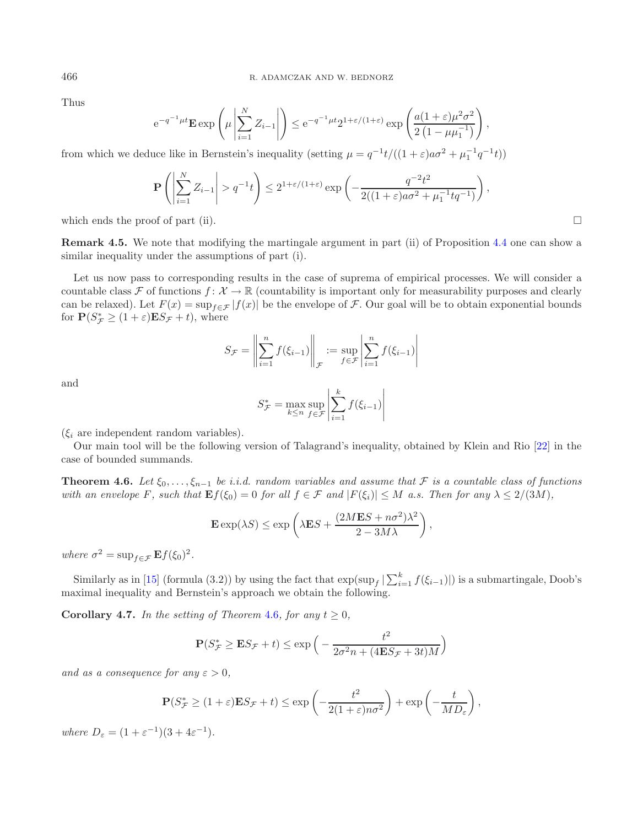Thus

$$
e^{-q^{-1}\mu t} \mathbf{E} \exp\left(\mu \left| \sum_{i=1}^N Z_{i-1} \right|\right) \leq e^{-q^{-1}\mu t} 2^{1+\varepsilon/(1+\varepsilon)} \exp\left(\frac{a(1+\varepsilon)\mu^2 \sigma^2}{2(1-\mu\mu_1^{-1})}\right),
$$

from which we deduce like in Bernstein's inequality (setting  $\mu = q^{-1}t/((1+\varepsilon)a\sigma^2 + \mu_1^{-1}q^{-1}t)$ )

$$
\mathbf{P}\left(\left|\sum_{i=1}^N Z_{i-1}\right| > q^{-1}t\right) \le 2^{1+\varepsilon/(1+\varepsilon)} \exp\left(-\frac{q^{-2}t^2}{2((1+\varepsilon)a\sigma^2 + \mu_1^{-1}tq^{-1})}\right),
$$

which ends the proof of part (ii).  $\Box$ 

**Remark 4.5.** We note that modifying the martingale argument in part (ii) of Proposition [4.4](#page-24-2) one can show a similar inequality under the assumptions of part (i).

Let us now pass to corresponding results in the case of suprema of empirical processes. We will consider a countable class F of functions  $f: \mathcal{X} \to \mathbb{R}$  (countability is important only for measurability purposes and clearly can be relaxed). Let  $F(x) = \sup_{f \in \mathcal{F}} |f(x)|$  be the envelope of F. Our goal will be to obtain exponential bounds for  $P(S_{\mathcal{F}}^* \geq (1+\varepsilon)ES_{\mathcal{F}} + t)$ , where

$$
S_{\mathcal{F}} = \left\| \sum_{i=1}^{n} f(\xi_{i-1}) \right\|_{\mathcal{F}} := \sup_{f \in \mathcal{F}} \left| \sum_{i=1}^{n} f(\xi_{i-1}) \right|
$$

and

$$
S_{\mathcal{F}}^* = \max_{k \le n} \sup_{f \in \mathcal{F}} \left| \sum_{i=1}^k f(\xi_{i-1}) \right|
$$

 $(\xi_i$  are independent random variables).

<span id="page-26-0"></span>Our main tool will be the following version of Talagrand's inequality, obtained by Klein and Rio [\[22\]](#page-41-25) in the case of bounded summands.

**Theorem 4.6.** *Let*  $\xi_0, \ldots, \xi_{n-1}$  *be i.i.d.* random variables and assume that  $\mathcal F$  is a countable class of functions *with an envelope* F, such that  $\mathbf{E}f(\xi_0)=0$  *for all*  $f \in \mathcal{F}$  *and*  $|F(\xi_i)| \leq M$  *a.s. Then for any*  $\lambda \leq 2/(3M)$ *,* 

$$
\mathbf{E}\exp(\lambda S) \le \exp\left(\lambda \mathbf{E}S + \frac{(2M\mathbf{E}S + n\sigma^2)\lambda^2}{2 - 3M\lambda}\right),\,
$$

*where*  $\sigma^2 = \sup_{f \in \mathcal{F}} \mathbf{E} f(\xi_0)^2$ .

<span id="page-26-1"></span>Similarly as in [\[15](#page-41-26)] (formula (3.2)) by using the fact that  $\exp(\sup_f |\sum_{i=1}^k f(\xi_{i-1})|)$  is a submartingale, Doob's maximal inequality and Bernstein's approach we obtain the following.

**Corollary 4.7.** *In the setting of Theorem [4.6](#page-26-0), for any*  $t \geq 0$ *,* 

$$
\mathbf{P}(S_{\mathcal{F}}^* \ge \mathbf{E}S_{\mathcal{F}} + t) \le \exp\left(-\frac{t^2}{2\sigma^2 n + (4\mathbf{E}S_{\mathcal{F}} + 3t)M}\right)
$$

*and as a consequence for any*  $\varepsilon > 0$ ,

$$
\mathbf{P}(S_{\mathcal{F}}^* \ge (1+\varepsilon)\mathbf{E}S_{\mathcal{F}} + t) \le \exp\left(-\frac{t^2}{2(1+\varepsilon)n\sigma^2}\right) + \exp\left(-\frac{t}{MD_{\varepsilon}}\right),
$$

*where*  $D_{\varepsilon} = (1 + \varepsilon^{-1})(3 + 4\varepsilon^{-1})$ *.*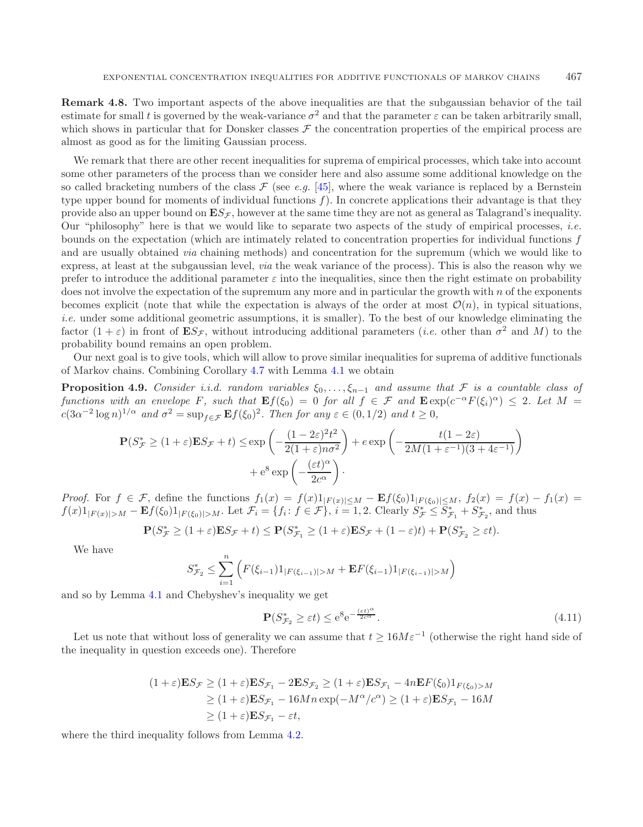**Remark 4.8.** Two important aspects of the above inequalities are that the subgaussian behavior of the tail estimate for small t is governed by the weak-variance  $\sigma^2$  and that the parameter  $\varepsilon$  can be taken arbitrarily small. which shows in particular that for Donsker classes  $\mathcal F$  the concentration properties of the empirical process are almost as good as for the limiting Gaussian process.

<span id="page-27-0"></span>We remark that there are other recent inequalities for suprema of empirical processes, which take into account some other parameters of the process than we consider here and also assume some additional knowledge on the so called bracketing numbers of the class  $\mathcal F$  (see *e.g.* [\[45\]](#page-41-27), where the weak variance is replaced by a Bernstein type upper bound for moments of individual functions  $f$ ). In concrete applications their advantage is that they provide also an upper bound on  $\mathbf{E}S_{\mathcal{F}}$ , however at the same time they are not as general as Talagrand's inequality. Our "philosophy" here is that we would like to separate two aspects of the study of empirical processes, *i.e.* bounds on the expectation (which are intimately related to concentration properties for individual functions f and are usually obtained *via* chaining methods) and concentration for the supremum (which we would like to express, at least at the subgaussian level, *via* the weak variance of the process). This is also the reason why we prefer to introduce the additional parameter  $\varepsilon$  into the inequalities, since then the right estimate on probability does not involve the expectation of the supremum any more and in particular the growth with  $n$  of the exponents becomes explicit (note that while the expectation is always of the order at most  $\mathcal{O}(n)$ , in typical situations, *i.e.* under some additional geometric assumptions, it is smaller). To the best of our knowledge eliminating the factor  $(1 + \varepsilon)$  in front of  $\mathbf{E}S_{\mathcal{F}}$ , without introducing additional parameters *(i.e.* other than  $\sigma^2$  and M) to the probability bound remains an open problem.

Our next goal is to give tools, which will allow to prove similar inequalities for suprema of additive functionals of Markov chains. Combining Corollary [4.7](#page-26-1) with Lemma [4.1](#page-21-4) we obtain

**Proposition 4.9.** *Consider i.i.d. random variables*  $\xi_0, \ldots, \xi_{n-1}$  *and assume that*  $\mathcal F$  *is a countable class of functions with an envelope* F, such that  $\mathbf{E}f(\xi_0)=0$  *for all*  $f \in \mathcal{F}$  and  $\mathbf{E} \exp(c^{-\alpha}F(\xi_i)^{\alpha}) \leq 2$ . Let  $M =$  $c(3\alpha^{-2}\log n)^{1/\alpha}$  *and*  $\sigma^2 = \sup_{f \in \mathcal{F}} \mathbf{E}f(\xi_0)^2$ *. Then for any*  $\varepsilon \in (0, 1/2)$  *and*  $t \ge 0$ *,* 

$$
\mathbf{P}(S_{\mathcal{F}}^* \ge (1+\varepsilon)\mathbf{E}S_{\mathcal{F}} + t) \le \exp\left(-\frac{(1-2\varepsilon)^2 t^2}{2(1+\varepsilon)n\sigma^2}\right) + e\exp\left(-\frac{t(1-2\varepsilon)}{2M(1+\varepsilon^{-1})(3+4\varepsilon^{-1})}\right) + e^8\exp\left(-\frac{(\varepsilon t)^\alpha}{2c^\alpha}\right).
$$

*Proof.* For  $f \in \mathcal{F}$ , define the functions  $f_1(x) = f(x)1_{|F(x)| \leq M} - \mathbf{E}f(\xi_0)1_{|F(\xi_0)| \leq M}$ ,  $f_2(x) = f(x) - f_1(x) = f(x)$  $f(x)1_{|F(x)|>M} - \mathbf{E}f(\xi_0)1_{|F(\xi_0)|>M}$ . Let  $\mathcal{F}_i = \{f_i: f \in \mathcal{F}\}, i = 1, 2$ . Clearly  $S_{\mathcal{F}}^* \leq S_{\mathcal{F}_1}^* + S_{\mathcal{F}_2}^*$ , and thus

$$
\mathbf{P}(S^*_{\mathcal{F}}\geq (1+\varepsilon)\mathbf{E} S_{\mathcal{F}}+t)\leq \mathbf{P}(S^*_{\mathcal{F}_1}\geq (1+\varepsilon)\mathbf{E} S_{\mathcal{F}}+(1-\varepsilon)t)+\mathbf{P}(S^*_{\mathcal{F}_2}\geq \varepsilon t).
$$

We have

$$
S_{\mathcal{F}_2}^* \leq \sum_{i=1}^n \left( F(\xi_{i-1}) 1_{|F(\xi_{i-1})|>M} + \mathbf{E} F(\xi_{i-1}) 1_{|F(\xi_{i-1})|>M} \right)
$$

and so by Lemma [4.1](#page-21-4) and Chebyshev's inequality we get

$$
\mathbf{P}(S_{\mathcal{F}_2}^* \ge \varepsilon t) \le e^8 e^{-\frac{(\varepsilon t)^\alpha}{2c^\alpha}}.
$$
\n(4.11)

Let us note that without loss of generality we can assume that  $t > 16M\varepsilon^{-1}$  (otherwise the right hand side of the inequality in question exceeds one). Therefore

$$
(1+\varepsilon)\mathbf{E}S_{\mathcal{F}} \ge (1+\varepsilon)\mathbf{E}S_{\mathcal{F}_1} - 2\mathbf{E}S_{\mathcal{F}_2} \ge (1+\varepsilon)\mathbf{E}S_{\mathcal{F}_1} - 4n\mathbf{E}F(\xi_0)1_{F(\xi_0) > M}
$$
  
\n
$$
\ge (1+\varepsilon)\mathbf{E}S_{\mathcal{F}_1} - 16Mn\exp(-M^{\alpha}/c^{\alpha}) \ge (1+\varepsilon)\mathbf{E}S_{\mathcal{F}_1} - 16M
$$
  
\n
$$
\ge (1+\varepsilon)\mathbf{E}S_{\mathcal{F}_1} - \varepsilon t,
$$

where the third inequality follows from Lemma [4.2.](#page-21-1)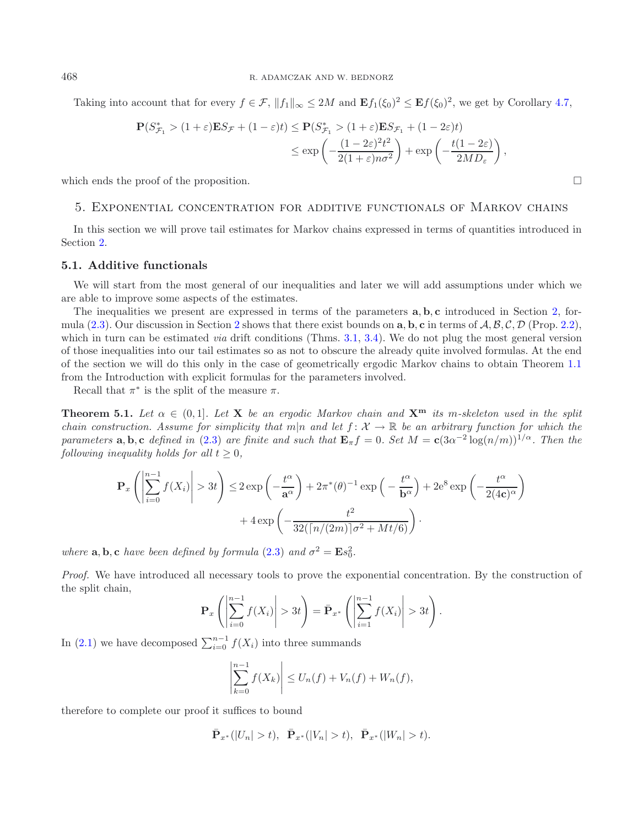Taking into account that for every  $f \in \mathcal{F}$ ,  $||f_1||_{\infty} \leq 2M$  and  $\mathbf{E} f_1(\xi_0)^2 \leq \mathbf{E} f(\xi_0)^2$ , we get by Corollary [4.7,](#page-26-1)

$$
\mathbf{P}(S_{\mathcal{F}_1}^* > (1+\varepsilon)\mathbf{E}S_{\mathcal{F}} + (1-\varepsilon)t) \le \mathbf{P}(S_{\mathcal{F}_1}^* > (1+\varepsilon)\mathbf{E}S_{\mathcal{F}_1} + (1-2\varepsilon)t)
$$
  

$$
\le \exp\left(-\frac{(1-2\varepsilon)^2t^2}{2(1+\varepsilon)n\sigma^2}\right) + \exp\left(-\frac{t(1-2\varepsilon)}{2MD\varepsilon}\right),
$$

<span id="page-28-0"></span>which ends the proof of the proposition.  $\Box$ 

## 5. Exponential concentration for additive functionals of Markov chains

In this section we will prove tail estimates for Markov chains expressed in terms of quantities introduced in Section [2.](#page-6-0)

### **5.1. Additive functionals**

We will start from the most general of our inequalities and later we will add assumptions under which we are able to improve some aspects of the estimates.

The inequalities we present are expressed in terms of the parameters **a**, **b**, **c** introduced in Section [2,](#page-6-0) formula [\(2.3\)](#page-7-1). Our discussion in Section [2](#page-6-0) shows that there exist bounds on **a**, **b**, **c** in terms of A, B, C, D (Prop. [2.2\)](#page-8-0), which in turn can be estimated *via* drift conditions (Thms. [3.1,](#page-11-1) [3.4\)](#page-15-1). We do not plug the most general version of those inequalities into our tail estimates so as not to obscure the already quite involved formulas. At the end of the section we will do this only in the case of geometrically ergodic Markov chains to obtain Theorem [1.1](#page-2-1) from the Introduction with explicit formulas for the parameters involved.

Recall that  $\pi^*$  is the split of the measure  $\pi$ .

<span id="page-28-1"></span>**Theorem 5.1.** Let  $\alpha \in (0,1]$ . Let **X** be an ergodic Markov chain and  $\mathbf{X}^{\mathbf{m}}$  its m-skeleton used in the split *chain construction. Assume for simplicity that*  $m|n$  *and let*  $f: \mathcal{X} \to \mathbb{R}$  *be an arbitrary function for which the parameters* **a**, **b**, **c** *defined in* [\(2.3\)](#page-7-1) *are finite and such that*  $\mathbf{E}_{\pi}f = 0$ *. Set*  $M = \mathbf{c}(3\alpha^{-2} \log(n/m))^{1/\alpha}$ *. Then the following inequality holds for all*  $t \geq 0$ *,* 

$$
\mathbf{P}_{x}\left(\left|\sum_{i=0}^{n-1} f(X_{i})\right| > 3t\right) \leq 2 \exp\left(-\frac{t^{\alpha}}{a^{\alpha}}\right) + 2\pi^{*}(\theta)^{-1} \exp\left(-\frac{t^{\alpha}}{b^{\alpha}}\right) + 2e^{8} \exp\left(-\frac{t^{\alpha}}{2(4c)^{\alpha}}\right) + 4 \exp\left(-\frac{t^{2}}{32(\lceil n/(2m)\rceil\sigma^{2} + Mt/6)}\right).
$$

*where*  $\mathbf{a}, \mathbf{b}, \mathbf{c}$  *have been defined by formula* [\(2.3\)](#page-7-1) *and*  $\sigma^2 = \mathbf{E} s_0^2$ .

*Proof.* We have introduced all necessary tools to prove the exponential concentration. By the construction of the split chain,

$$
\mathbf{P}_x\left(\left|\sum_{i=0}^{n-1} f(X_i)\right| > 3t\right) = \bar{\mathbf{P}}_{x^*}\left(\left|\sum_{i=1}^{n-1} f(X_i)\right| > 3t\right).
$$

In [\(2.1\)](#page-7-0) we have decomposed  $\sum_{i=0}^{n-1} f(X_i)$  into three summands

$$
\left| \sum_{k=0}^{n-1} f(X_k) \right| \le U_n(f) + V_n(f) + W_n(f),
$$

therefore to complete our proof it suffices to bound

$$
\bar{\mathbf{P}}_{x^*}(|U_n| > t), \ \ \bar{\mathbf{P}}_{x^*}(|V_n| > t), \ \ \bar{\mathbf{P}}_{x^*}(|W_n| > t).
$$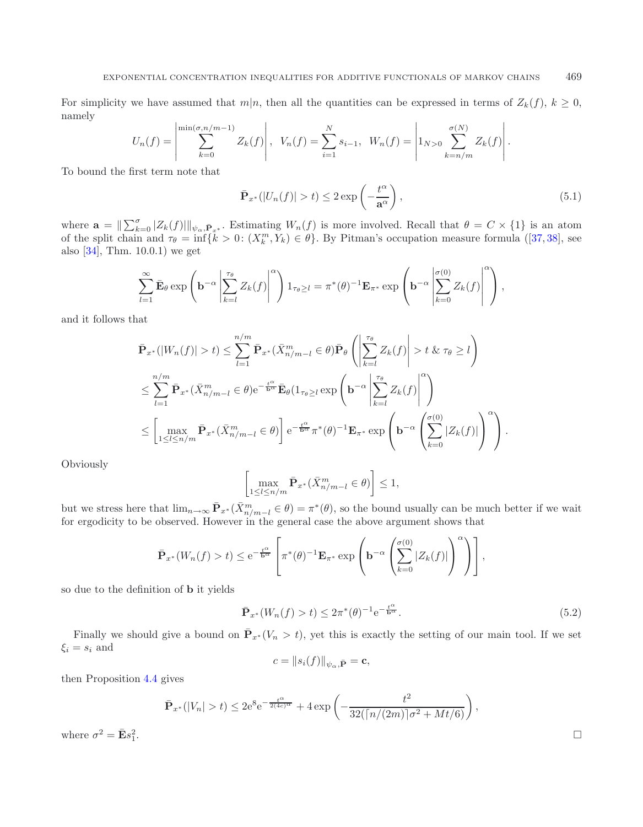For simplicity we have assumed that  $m|n$ , then all the quantities can be expressed in terms of  $Z_k(f)$ ,  $k \geq 0$ , namely

$$
U_n(f) = \left| \sum_{k=0}^{\min(\sigma, n/m-1)} Z_k(f) \right|, \quad V_n(f) = \sum_{i=1}^N s_{i-1}, \quad W_n(f) = \left| 1_{N>0} \sum_{k=n/m}^{\sigma(N)} Z_k(f) \right|.
$$

To bound the first term note that

$$
\bar{\mathbf{P}}_{x^*}(|U_n(f)| > t) \le 2 \exp\left(-\frac{t^{\alpha}}{\mathbf{a}^{\alpha}}\right),\tag{5.1}
$$

where  $\mathbf{a} = \|\sum_{k=0}^{\sigma} |Z_k(f)||_{\psi_{\alpha}, \bar{\mathbf{P}}_{x^*}}$ . Estimating  $W_n(f)$  is more involved. Recall that  $\theta = C \times \{1\}$  is an atom of the split chain and  $\tau_{\theta} = \inf \{ k > 0 : (X_k^m, Y_k) \in \theta \}.$  By Pitman's occupation measure formula ([\[37](#page-41-28), [38\]](#page-41-29), see also [\[34\]](#page-41-7), Thm. 10.0.1) we get

$$
\sum_{l=1}^{\infty} \bar{\mathbf{E}}_{\theta} \exp\left(\mathbf{b}^{-\alpha} \left| \sum_{k=l}^{\tau_{\theta}} Z_{k}(f) \right|^{\alpha} \right) 1_{\tau_{\theta} \geq l} = \pi^{*}(\theta)^{-1} \mathbf{E}_{\pi^{*}} \exp\left(\mathbf{b}^{-\alpha} \left| \sum_{k=0}^{\sigma(0)} Z_{k}(f) \right|^{\alpha} \right),
$$

and it follows that

$$
\bar{\mathbf{P}}_{x^*}(|W_n(f)| > t) \leq \sum_{l=1}^{n/m} \bar{\mathbf{P}}_{x^*}(\bar{X}_{n/m-l}^m \in \theta) \bar{\mathbf{P}}_{\theta} \left( \left| \sum_{k=l}^{\tau_{\theta}} Z_k(f) \right| > t \& \tau_{\theta} \geq l \right)
$$
\n
$$
\leq \sum_{l=1}^{n/m} \bar{\mathbf{P}}_{x^*}(\bar{X}_{n/m-l}^m \in \theta) e^{-\frac{t^{\alpha}}{b^{\alpha}}} \bar{\mathbf{E}}_{\theta} (1_{\tau_{\theta} \geq l} \exp\left(\mathbf{b}^{-\alpha} \left| \sum_{k=l}^{\tau_{\theta}} Z_k(f) \right|)^{\alpha}\right)
$$
\n
$$
\leq \left[ \max_{1 \leq l \leq n/m} \bar{\mathbf{P}}_{x^*}(\bar{X}_{n/m-l}^m \in \theta) \right] e^{-\frac{t^{\alpha}}{b^{\alpha}}} \pi^*(\theta)^{-1} \mathbf{E}_{\pi^*} \exp\left(\mathbf{b}^{-\alpha} \left( \sum_{k=0}^{\sigma(0)} |Z_k(f)| \right)^{\alpha} \right).
$$

Obviously

$$
\left[\max_{1 \le l \le n/m} \bar{\mathbf{P}}_{x^*}(\bar{X}_{n/m-l}^m \in \theta)\right] \le 1,
$$

but we stress here that  $\lim_{n\to\infty} \bar{P}_{x^*}(\bar{X}_{n/m-l}^m \in \theta) = \pi^*(\theta)$ , so the bound usually can be much better if we wait for ergodicity to be observed. However in the general case the above argument shows that

$$
\bar{\mathbf{P}}_{x^*}(W_n(f) > t) \le e^{-\frac{t^{\alpha}}{\mathbf{b}^{\alpha}}}\left[\pi^*(\theta)^{-1}\mathbf{E}_{\pi^*}\exp\left(\mathbf{b}^{-\alpha}\left(\sum_{k=0}^{\sigma(0)}|Z_k(f)|\right)^{\alpha}\right)\right],
$$

so due to the definition of **b** it yields

$$
\bar{\mathbf{P}}_{x^*}(W_n(f) > t) \le 2\pi^*(\theta)^{-1} e^{-\frac{t^{\alpha}}{b^{\alpha}}}.
$$
\n(5.2)

Finally we should give a bound on  $\bar{P}_{x*}(V_n > t)$ , yet this is exactly the setting of our main tool. If we set  $\xi_i = s_i$  and

$$
c = \|s_i(f)\|_{\psi_\alpha, \bar{\mathbf{P}}} = \mathbf{c},
$$

then Proposition [4.4](#page-24-2) gives

$$
\bar{\mathbf{P}}_{x^*}(|V_n| > t) \le 2e^8 e^{-\frac{t^{\alpha}}{2(4c)^{\alpha}}} + 4 \exp\left(-\frac{t^2}{32(\lceil n/(2m) \rceil \sigma^2 + Mt/6)}\right),
$$

where  $\sigma^2 = \bar{\mathbf{E}} s_1^2$ .

 $\frac{2}{1}$ .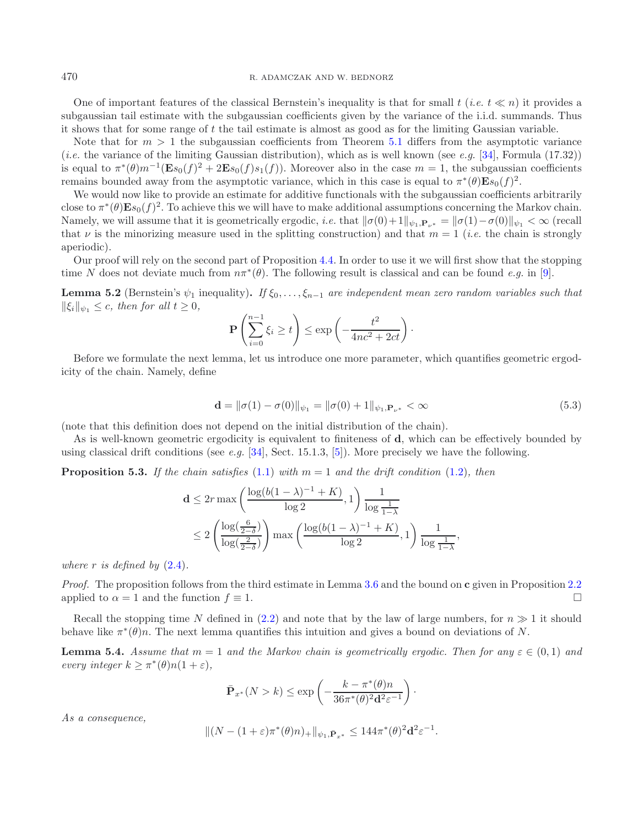470 R. ADAMCZAK AND W. BEDNORZ

One of important features of the classical Bernstein's inequality is that for small  $t$  (*i.e.*  $t \ll n$ ) it provides a subgaussian tail estimate with the subgaussian coefficients given by the variance of the i.i.d. summands. Thus it shows that for some range of t the tail estimate is almost as good as for the limiting Gaussian variable.

Note that for  $m > 1$  the subgaussian coefficients from Theorem [5.1](#page-28-1) differs from the asymptotic variance (*i.e.* the variance of the limiting Gaussian distribution), which as is well known (see *e.g.* [\[34\]](#page-41-7), Formula (17.32)) is equal to  $\pi^*(\theta)m^{-1}(\mathbf{E}s_0(f)^2 + 2\mathbf{E}s_0(f)s_1(f))$ . Moreover also in the case  $m = 1$ , the subgaussian coefficients remains bounded away from the asymptotic variance, which in this case is equal to  $\pi^*(\theta) \mathbf{E} s_0(f)^2$ .

We would now like to provide an estimate for additive functionals with the subgaussian coefficients arbitrarily close to  $\pi^*(\theta) \mathbf{E} s_0(f)^2$ . To achieve this we will have to make additional assumptions concerning the Markov chain. Namely, we will assume that it is geometrically ergodic, *i.e.* that  $\|\sigma(0)+1\|_{\psi_1,\mathbf{P}_{\nu^*}} = \|\sigma(1)-\sigma(0)\|_{\psi_1} < \infty$  (recall that  $\nu$  is the minorizing measure used in the splitting construction) and that  $m = 1$  (*i.e.* the chain is strongly aperiodic).

<span id="page-30-0"></span>Our proof will rely on the second part of Proposition [4.4.](#page-24-2) In order to use it we will first show that the stopping time N does not deviate much from  $n\pi^*(\theta)$ . The following result is classical and can be found *e.g.* in [\[9\]](#page-40-6).

**Lemma 5.2** (Bernstein's  $\psi_1$  inequality). *If*  $\xi_0, \ldots, \xi_{n-1}$  *are independent mean zero random variables such that*  $\|\xi_i\|_{\psi_1} \leq c$ *, then for all*  $t \geq 0$ *,* 

$$
\mathbf{P}\left(\sum_{i=0}^{n-1}\xi_i \ge t\right) \le \exp\left(-\frac{t^2}{4nc^2 + 2ct}\right).
$$

Before we formulate the next lemma, let us introduce one more parameter, which quantifies geometric ergodicity of the chain. Namely, define

$$
\mathbf{d} = \|\sigma(1) - \sigma(0)\|_{\psi_1} = \|\sigma(0) + 1\|_{\psi_1, \mathbf{P}_{\nu^*}} < \infty \tag{5.3}
$$

(note that this definition does not depend on the initial distribution of the chain).

<span id="page-30-2"></span>As is well-known geometric ergodicity is equivalent to finiteness of **d**, which can be effectively bounded by using classical drift conditions (see *e.g.* [\[34\]](#page-41-7), Sect. 15.1.3, [\[5](#page-40-10)]). More precisely we have the following.

**Proposition 5.3.** If the chain satisfies  $(1.1)$  with  $m = 1$  and the drift condition  $(1.2)$ *, then* 

$$
\mathbf{d} \le 2r \max\left(\frac{\log(b(1-\lambda)^{-1} + K)}{\log 2}, 1\right) \frac{1}{\log \frac{1}{1-\lambda}}
$$
  
 
$$
\le 2\left(\frac{\log(\frac{6}{2-\delta})}{\log(\frac{2}{2-\delta})}\right) \max\left(\frac{\log(b(1-\lambda)^{-1} + K)}{\log 2}, 1\right) \frac{1}{\log \frac{1}{1-\lambda}},
$$

*where*  $r$  *is defined by*  $(2.4)$ *.* 

*Proof.* The proposition follows from the third estimate in Lemma [3.6](#page-16-2) and the bound on **c** given in Proposition [2.2](#page-8-0) applied to  $\alpha = 1$  and the function  $f \equiv 1$ .

Recall the stopping time N defined in [\(2.2\)](#page-7-2) and note that by the law of large numbers, for  $n \gg 1$  it should behave like  $\pi^*(\theta)n$ . The next lemma quantifies this intuition and gives a bound on deviations of N.

<span id="page-30-1"></span>**Lemma 5.4.** *Assume that*  $m = 1$  *and the Markov chain is geometrically ergodic. Then for any*  $\varepsilon \in (0,1)$  *and every integer*  $k \geq \pi^*(\theta)n(1+\varepsilon)$ ,

$$
\bar{\mathbf{P}}_{x^*}(N > k) \le \exp\left(-\frac{k - \pi^*(\theta)n}{36\pi^*(\theta)^2 \mathbf{d}^2 \varepsilon^{-1}}\right).
$$

*As a consequence,*

$$
\|(N - (1 + \varepsilon)\pi^*(\theta)n)_+\|_{\psi_1, \bar{\mathbf{P}}_{x^*}} \le 144\pi^*(\theta)^2 \mathbf{d}^2 \varepsilon^{-1}.
$$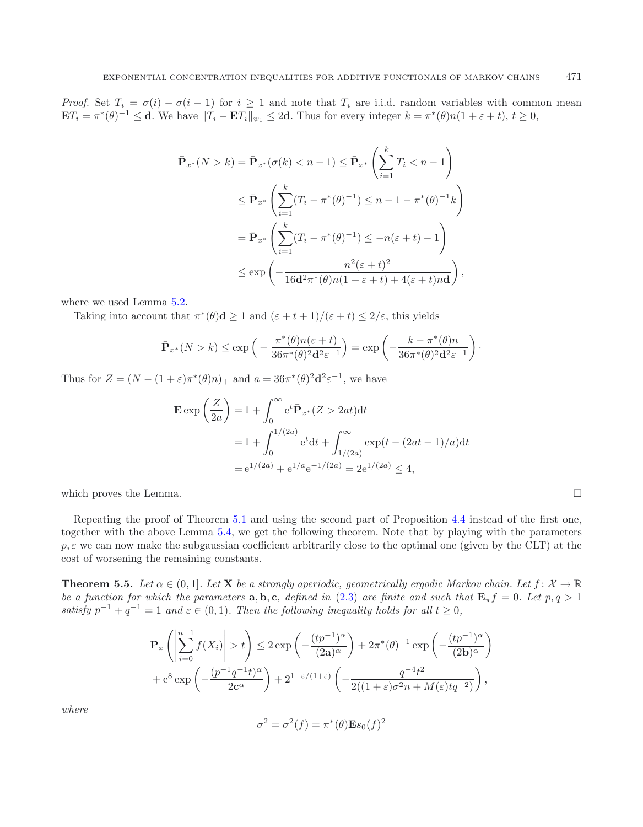*Proof.* Set  $T_i = \sigma(i) - \sigma(i-1)$  for  $i \ge 1$  and note that  $T_i$  are i.i.d. random variables with common mean  $\mathbf{E}T_i = \pi^*(\theta)^{-1} \leq \mathbf{d}$ . We have  $||T_i - \mathbf{E}T_i||_{\psi_1} \leq 2\mathbf{d}$ . Thus for every integer  $k = \pi^*(\theta)n(1 + \varepsilon + t), t \geq 0$ ,

$$
\bar{\mathbf{P}}_{x^*}(N > k) = \bar{\mathbf{P}}_{x^*}(\sigma(k) < n - 1) \leq \bar{\mathbf{P}}_{x^*} \left(\sum_{i=1}^k T_i < n - 1\right)
$$
\n
$$
\leq \bar{\mathbf{P}}_{x^*} \left(\sum_{i=1}^k (T_i - \pi^*(\theta)^{-1}) \leq n - 1 - \pi^*(\theta)^{-1}k\right)
$$
\n
$$
= \bar{\mathbf{P}}_{x^*} \left(\sum_{i=1}^k (T_i - \pi^*(\theta)^{-1}) \leq -n(\varepsilon + t) - 1\right)
$$
\n
$$
\leq \exp\left(-\frac{n^2(\varepsilon + t)^2}{16\mathbf{d}^2\pi^*(\theta)n(1 + \varepsilon + t) + 4(\varepsilon + t)n\mathbf{d}}\right),
$$

where we used Lemma [5.2.](#page-30-0)

Taking into account that  $\pi^*(\theta) \mathbf{d} \geq 1$  and  $(\varepsilon + t + 1)/(\varepsilon + t) \leq 2/\varepsilon$ , this yields

$$
\bar{\mathbf{P}}_{x^*}(N > k) \le \exp\left(-\frac{\pi^*(\theta)n(\varepsilon + t)}{36\pi^*(\theta)^2\mathbf{d}^2\varepsilon^{-1}}\right) = \exp\left(-\frac{k - \pi^*(\theta)n}{36\pi^*(\theta)^2\mathbf{d}^2\varepsilon^{-1}}\right).
$$

Thus for  $Z = (N - (1 + \varepsilon)\pi^*(\theta)n)_+$  and  $a = 36\pi^*(\theta)^2 \mathbf{d}^2 \varepsilon^{-1}$ , we have

$$
\mathbf{E} \exp\left(\frac{Z}{2a}\right) = 1 + \int_0^\infty e^t \bar{\mathbf{P}}_{x^*}(Z > 2at) dt
$$
  
= 1 +  $\int_0^{1/(2a)} e^t dt + \int_{1/(2a)}^\infty \exp(t - (2at - 1)/a) dt$   
=  $e^{1/(2a)} + e^{1/a} e^{-1/(2a)} = 2e^{1/(2a)} \le 4$ ,

which proves the Lemma.

Repeating the proof of Theorem [5.1](#page-28-1) and using the second part of Proposition [4.4](#page-24-2) instead of the first one, together with the above Lemma [5.4,](#page-30-1) we get the following theorem. Note that by playing with the parameters  $p, \varepsilon$  we can now make the subgaussian coefficient arbitrarily close to the optimal one (given by the CLT) at the cost of worsening the remaining constants.

 $\Box$ 

<span id="page-31-0"></span>**Theorem 5.5.** *Let*  $\alpha \in (0,1]$ *. Let* **X** *be a strongly aperiodic, geometrically ergodic Markov chain. Let*  $f: \mathcal{X} \to \mathbb{R}$ *be a function for which the parameters* **a**, **b**, **c**, defined in [\(2.3\)](#page-7-1) are finite and such that  $\mathbf{E}_{\pi}f = 0$ . Let  $p, q > 1$ *satisfy*  $p^{-1} + q^{-1} = 1$  *and*  $\varepsilon \in (0, 1)$ *. Then the following inequality holds for all*  $t \ge 0$ *,* 

$$
\mathbf{P}_x \left( \left| \sum_{i=0}^{n-1} f(X_i) \right| > t \right) \le 2 \exp \left( -\frac{(tp^{-1})^{\alpha}}{(2\mathbf{a})^{\alpha}} \right) + 2\pi^*(\theta)^{-1} \exp \left( -\frac{(tp^{-1})^{\alpha}}{(2\mathbf{b})^{\alpha}} \right) + e^8 \exp \left( -\frac{(p^{-1}q^{-1}t)^{\alpha}}{2c^{\alpha}} \right) + 2^{1+\varepsilon/(1+\varepsilon)} \left( -\frac{q^{-4}t^2}{2((1+\varepsilon)\sigma^2 n + M(\varepsilon)tq^{-2})} \right),
$$

*where*

$$
\sigma^2 = \sigma^2(f) = \pi^*(\theta)\mathbf{E}s_0(f)^2
$$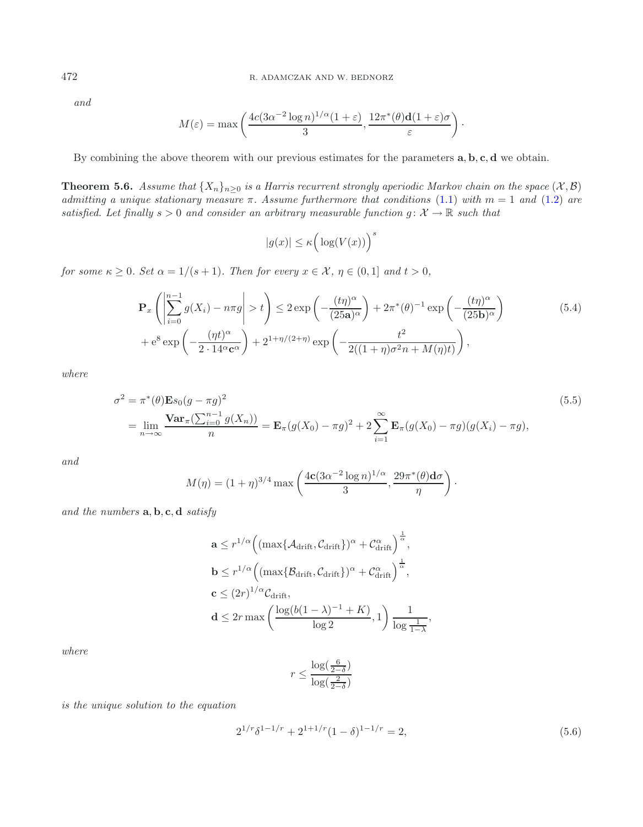*and*

$$
M(\varepsilon) = \max\left(\frac{4c(3\alpha^{-2}\log n)^{1/\alpha}(1+\varepsilon)}{3}, \frac{12\pi^*(\theta)\mathbf{d}(1+\varepsilon)\sigma}{\varepsilon}\right).
$$

By combining the above theorem with our previous estimates for the parameters **a**, **b**, **c**, **d** we obtain.

<span id="page-32-0"></span>**Theorem 5.6.** *Assume that*  $\{X_n\}_{n\geq 0}$  *is a Harris recurrent strongly aperiodic Markov chain on the space*  $(\mathcal{X}, \mathcal{B})$ *admitting a unique stationary measure*  $\pi$ . Assume furthermore that conditions [\(1.1\)](#page-1-0) with  $m = 1$  and [\(1.2\)](#page-2-0) are *satisfied. Let finally*  $s > 0$  *and consider an arbitrary measurable function*  $g: \mathcal{X} \to \mathbb{R}$  *such that* 

$$
|g(x)| \le \kappa \Big( \log(V(x)) \Big)^s
$$

*for some*  $\kappa \geq 0$ *. Set*  $\alpha = 1/(s+1)$ *. Then for every*  $x \in \mathcal{X}$ *,*  $\eta \in (0,1]$  *and*  $t > 0$ *,* 

$$
\mathbf{P}_{x}\left(\left|\sum_{i=0}^{n-1} g(X_{i}) - n\pi g\right| > t\right) \leq 2 \exp\left(-\frac{(t\eta)^{\alpha}}{(25\mathbf{a})^{\alpha}}\right) + 2\pi^{*}(\theta)^{-1} \exp\left(-\frac{(t\eta)^{\alpha}}{(25\mathbf{b})^{\alpha}}\right) \n+ e^{8} \exp\left(-\frac{(\eta t)^{\alpha}}{2 \cdot 14^{\alpha} \mathbf{c}^{\alpha}}\right) + 2^{1+\eta/(2+\eta)} \exp\left(-\frac{t^{2}}{2((1+\eta)\sigma^{2}n + M(\eta)t)}\right),
$$
\n(5.4)

*where*

$$
\sigma^{2} = \pi^{*}(\theta) \mathbf{E}s_{0}(g - \pi g)^{2}
$$
\n
$$
= \lim_{n \to \infty} \frac{\mathbf{Var}_{\pi}(\sum_{i=0}^{n-1} g(X_{n}))}{n} = \mathbf{E}_{\pi}(g(X_{0}) - \pi g)^{2} + 2 \sum_{i=1}^{\infty} \mathbf{E}_{\pi}(g(X_{0}) - \pi g)(g(X_{i}) - \pi g),
$$
\n(5.5)

*and*

$$
M(\eta) = (1+\eta)^{3/4} \max\left(\frac{4\mathbf{c}(3\alpha^{-2}\log n)^{1/\alpha}}{3}, \frac{29\pi^*(\theta)\mathbf{d}\sigma}{\eta}\right).
$$

*and the numbers* **a**, **b**, **c**, **d** *satisfy*

$$
\mathbf{a} \le r^{1/\alpha} \Big( (\max\{\mathcal{A}_{\text{drift}}, \mathcal{C}_{\text{drift}}\})^{\alpha} + \mathcal{C}_{\text{drift}}^{\alpha} \Big)^{\frac{1}{\alpha}},
$$
  
\n
$$
\mathbf{b} \le r^{1/\alpha} \Big( (\max\{\mathcal{B}_{\text{drift}}, \mathcal{C}_{\text{drift}}\})^{\alpha} + \mathcal{C}_{\text{drift}}^{\alpha} \Big)^{\frac{1}{\alpha}},
$$
  
\n
$$
\mathbf{c} \le (2r)^{1/\alpha} \mathcal{C}_{\text{drift}},
$$
  
\n
$$
\mathbf{d} \le 2r \max \left( \frac{\log(b(1-\lambda)^{-1} + K)}{\log 2}, 1 \right) \frac{1}{\log \frac{1}{1-\lambda}},
$$

*where*

$$
r \le \frac{\log(\frac{6}{2-\delta})}{\log(\frac{2}{2-\delta})}
$$

*is the unique solution to the equation*

$$
2^{1/r} \delta^{1-1/r} + 2^{1+1/r} (1-\delta)^{1-1/r} = 2,
$$
\n(5.6)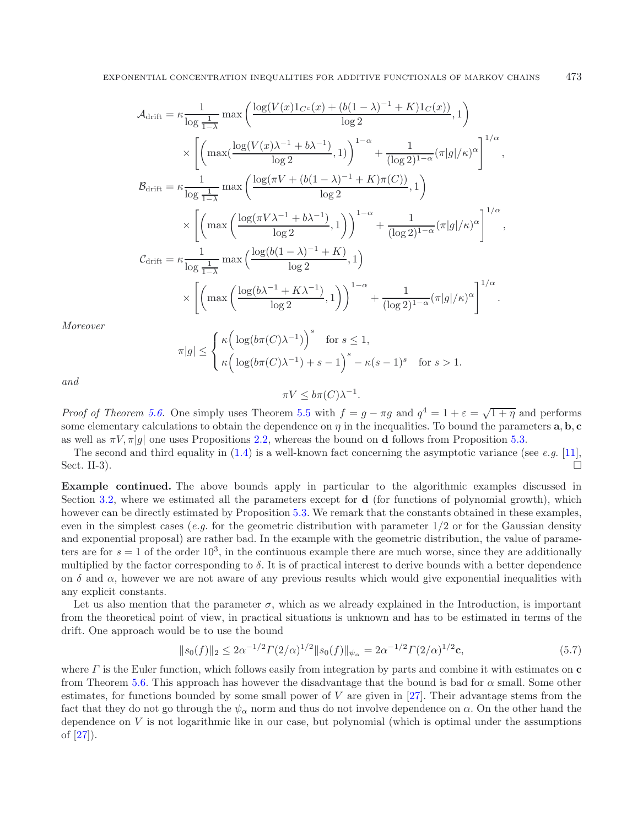$$
\mathcal{A}_{\text{drift}} = \kappa \frac{1}{\log \frac{1}{1-\lambda}} \max \left( \frac{\log (V(x)1_{C^c}(x) + (b(1-\lambda)^{-1} + K)1_{C}(x))}{\log 2}, 1 \right)
$$
  

$$
\times \left[ \left( \max \left( \frac{\log (V(x)\lambda^{-1} + b\lambda^{-1})}{\log 2}, 1 \right) \right)^{1-\alpha} + \frac{1}{(\log 2)^{1-\alpha}} (\pi |g|/\kappa)^{\alpha} \right]^{1/\alpha},
$$
  

$$
\mathcal{B}_{\text{drift}} = \kappa \frac{1}{\log \frac{1}{1-\lambda}} \max \left( \frac{\log (\pi V + (b(1-\lambda)^{-1} + K)\pi(C))}{\log 2}, 1 \right)
$$
  

$$
\times \left[ \left( \max \left( \frac{\log (\pi V \lambda^{-1} + b\lambda^{-1})}{\log 2}, 1 \right) \right)^{1-\alpha} + \frac{1}{(\log 2)^{1-\alpha}} (\pi |g|/\kappa)^{\alpha} \right]^{1/\alpha},
$$
  

$$
\mathcal{C}_{\text{drift}} = \kappa \frac{1}{\log \frac{1}{1-\lambda}} \max \left( \frac{\log (b(1-\lambda)^{-1} + K)}{\log 2}, 1 \right)
$$
  

$$
\times \left[ \left( \max \left( \frac{\log (b\lambda^{-1} + K\lambda^{-1})}{\log 2}, 1 \right) \right)^{1-\alpha} + \frac{1}{(\log 2)^{1-\alpha}} (\pi |g|/\kappa)^{\alpha} \right]^{1/\alpha}.
$$

*Moreover*

 $\pi$ 

$$
|g| \le \begin{cases} \kappa \Big( \log(b\pi(C)\lambda^{-1}) \Big)^s & \text{for } s \le 1, \\ \kappa \Big( \log(b\pi(C)\lambda^{-1}) + s - 1 \Big)^s - \kappa(s - 1)^s & \text{for } s > 1. \end{cases}
$$

*and*

*Proof of Theorem 5.6.* One simply uses Theorem 5.5 with 
$$
f = g - \pi g
$$
 and  $q^4 = 1 + \varepsilon = \sqrt{1 + \eta}$  and performs some elementary calculations to obtain the dependence on  $\eta$  in the inequalities. To bound the parameters **a**, **b**, **c** as well as  $\pi V$ ,  $\pi|g|$  one uses Propositions 2.2, whereas the bound on **d** follows from Proposition 5.3.

<span id="page-33-0"></span> $\pi V \leq b\pi(C)\lambda^{-1}.$ 

The second and third equality in [\(1.4\)](#page-2-3) is a well-known fact concerning the asymptotic variance (see *e.g.* [\[11](#page-40-5)], Sect. II-3).  $\Box$ 

**Example continued.** The above bounds apply in particular to the algorithmic examples discussed in Section [3.2,](#page-13-0) where we estimated all the parameters except for **d** (for functions of polynomial growth), which however can be directly estimated by Proposition [5.3.](#page-30-2) We remark that the constants obtained in these examples, even in the simplest cases (*e.g.* for the geometric distribution with parameter  $1/2$  or for the Gaussian density and exponential proposal) are rather bad. In the example with the geometric distribution, the value of parameters are for  $s = 1$  of the order  $10<sup>3</sup>$ , in the continuous example there are much worse, since they are additionally multiplied by the factor corresponding to  $\delta$ . It is of practical interest to derive bounds with a better dependence on  $\delta$  and  $\alpha$ , however we are not aware of any previous results which would give exponential inequalities with any explicit constants.

Let us also mention that the parameter  $\sigma$ , which as we already explained in the Introduction, is important from the theoretical point of view, in practical situations is unknown and has to be estimated in terms of the drift. One approach would be to use the bound

$$
||s_0(f)||_2 \le 2\alpha^{-1/2}\Gamma(2/\alpha)^{1/2}||s_0(f)||_{\psi_\alpha} = 2\alpha^{-1/2}\Gamma(2/\alpha)^{1/2}\mathbf{c},\tag{5.7}
$$

where Γ is the Euler function, which follows easily from integration by parts and combine it with estimates on **c** from Theorem [5.6.](#page-32-0) This approach has however the disadvantage that the bound is bad for  $\alpha$  small. Some other estimates, for functions bounded by some small power of  $V$  are given in [\[27](#page-41-30)]. Their advantage stems from the fact that they do not go through the  $\psi_{\alpha}$  norm and thus do not involve dependence on  $\alpha$ . On the other hand the dependence on  $V$  is not logarithmic like in our case, but polynomial (which is optimal under the assumptions of [\[27\]](#page-41-30)).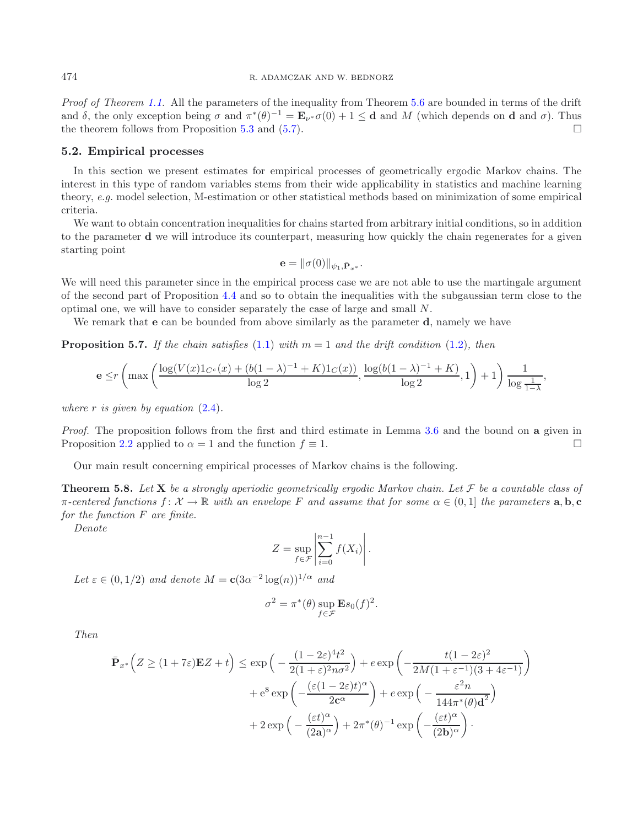*Proof of Theorem [1.1.](#page-2-1)* All the parameters of the inequality from Theorem [5.6](#page-32-0) are bounded in terms of the drift and  $\delta$ , the only exception being  $\sigma$  and  $\pi^*(\theta)^{-1} = \mathbf{E}_{\nu^*}\sigma(0) + 1 \leq \mathbf{d}$  and M (which depends on **d** and  $\sigma$ ). Thus the theorem follows from Proposition [5.3](#page-30-2) and [\(5.7\)](#page-33-0).

### **5.2. Empirical processes**

In this section we present estimates for empirical processes of geometrically ergodic Markov chains. The interest in this type of random variables stems from their wide applicability in statistics and machine learning theory, *e.g.* model selection, M-estimation or other statistical methods based on minimization of some empirical criteria.

We want to obtain concentration inequalities for chains started from arbitrary initial conditions, so in addition to the parameter **d** we will introduce its counterpart, measuring how quickly the chain regenerates for a given starting point

$$
\mathbf{e} = \|\sigma(0)\|_{\psi_1, \bar{\mathbf{P}}_{x^*}}.
$$

We will need this parameter since in the empirical process case we are not able to use the martingale argument of the second part of Proposition [4.4](#page-24-2) and so to obtain the inequalities with the subgaussian term close to the optimal one, we will have to consider separately the case of large and small N.

We remark that **e** can be bounded from above similarly as the parameter **d**, namely we have

<span id="page-34-0"></span>**Proposition 5.7.** *If the chain satisfies* [\(1.1\)](#page-1-0) *with*  $m = 1$  *and the drift condition* [\(1.2\)](#page-2-0)*, then* 

$$
\mathbf{e} \le r \left( \max \left( \frac{\log(V(x)1_{C^c}(x) + (b(1-\lambda)^{-1} + K)1_C(x))}{\log 2}, \frac{\log(b(1-\lambda)^{-1} + K)}{\log 2}, 1 \right) + 1 \right) \frac{1}{\log \frac{1}{1-\lambda}},
$$

*where* r *is given by equation* [\(2.4\)](#page-8-1)*.*

*Proof.* The proposition follows from the first and third estimate in Lemma [3.6](#page-16-2) and the bound on **a** given in Proposition [2.2](#page-8-0) applied to  $\alpha = 1$  and the function  $f \equiv 1$ .

Our main result concerning empirical processes of Markov chains is the following.

<span id="page-34-1"></span>**Theorem 5.8.** Let **X** be a strongly aperiodic geometrically ergodic Markov chain. Let  $\mathcal{F}$  be a countable class of  $\pi$ -centered functions  $f: \mathcal{X} \to \mathbb{R}$  with an envelope F and assume that for some  $\alpha \in (0, 1]$  the parameters  $\mathbf{a}, \mathbf{b}, \mathbf{c}$ *for the function* F *are finite.*

*Denote*

$$
Z = \sup_{f \in \mathcal{F}} \left| \sum_{i=0}^{n-1} f(X_i) \right|.
$$

Let  $\varepsilon \in (0, 1/2)$  *and denote*  $M = c(3\alpha^{-2} \log(n))^{1/\alpha}$  *and* 

$$
\sigma^2 = \pi^*(\theta) \sup_{f \in \mathcal{F}} \mathbf{E} s_0(f)^2.
$$

*Then*

$$
\bar{\mathbf{P}}_{x^*} \left( Z \ge (1 + 7\varepsilon) \mathbf{E} Z + t \right) \le \exp \left( -\frac{(1 - 2\varepsilon)^4 t^2}{2(1 + \varepsilon)^2 n \sigma^2} \right) + e \exp \left( -\frac{t(1 - 2\varepsilon)^2}{2M(1 + \varepsilon^{-1})(3 + 4\varepsilon^{-1})} \right) \n+ e^8 \exp \left( -\frac{(\varepsilon(1 - 2\varepsilon)t)^{\alpha}}{2c^{\alpha}} \right) + e \exp \left( -\frac{\varepsilon^2 n}{144\pi^*(\theta) \mathbf{d}^2} \right) \n+ 2 \exp \left( -\frac{(\varepsilon t)^{\alpha}}{(2\mathbf{a})^{\alpha}} \right) + 2\pi^*(\theta)^{-1} \exp \left( -\frac{(\varepsilon t)^{\alpha}}{(2\mathbf{b})^{\alpha}} \right).
$$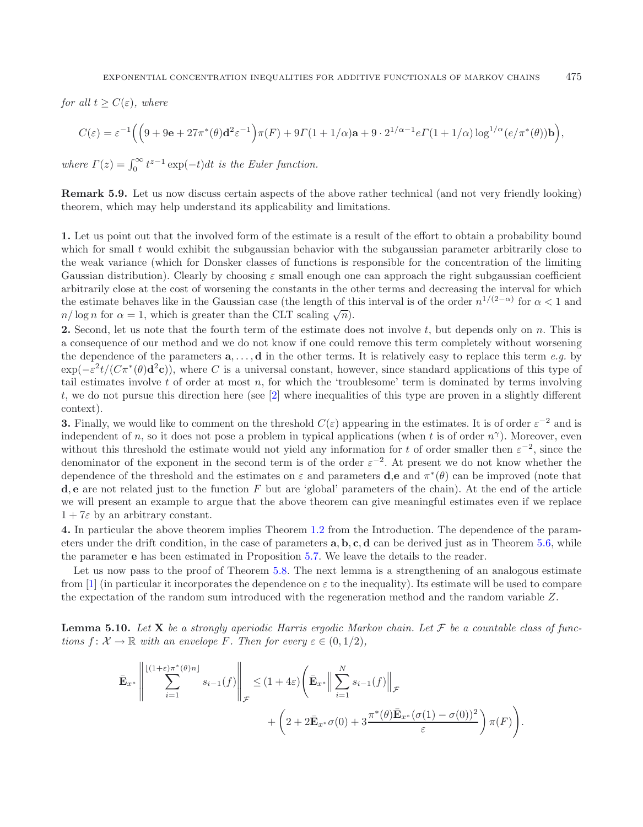*for all*  $t \geq C(\varepsilon)$ *, where* 

$$
C(\varepsilon)=\varepsilon^{-1}\Big(\Big(9+9{\rm e}+27\pi^*(\theta){\rm d}^2\varepsilon^{-1}\Big)\pi(F)+9\varGamma(1+1/\alpha){\rm a}+9\cdot 2^{1/\alpha-1}e\varGamma(1+1/\alpha)\log^{1/\alpha}(e/\pi^*(\theta)){\rm b}\Big),
$$

*where*  $\Gamma(z) = \int_0^\infty t^{z-1} \exp(-t) dt$  *is the Euler function.* 

**Remark 5.9.** Let us now discuss certain aspects of the above rather technical (and not very friendly looking) theorem, which may help understand its applicability and limitations.

**1.** Let us point out that the involved form of the estimate is a result of the effort to obtain a probability bound which for small t would exhibit the subgaussian behavior with the subgaussian parameter arbitrarily close to the weak variance (which for Donsker classes of functions is responsible for the concentration of the limiting Gaussian distribution). Clearly by choosing  $\varepsilon$  small enough one can approach the right subgaussian coefficient arbitrarily close at the cost of worsening the constants in the other terms and decreasing the interval for which the estimate behaves like in the Gaussian case (the length of this interval is of the order  $n^{1/(2-\alpha)}$  for  $\alpha < 1$  and  $n/\log n$  for  $\alpha = 1$ , which is greater than the CLT scaling  $\sqrt{n}$ ).

**2.** Second, let us note that the fourth term of the estimate does not involve t, but depends only on n. This is a consequence of our method and we do not know if one could remove this term completely without worsening the dependence of the parameters **a**,..., **d** in the other terms. It is relatively easy to replace this term *e.g.* by  $\exp(-\varepsilon^2 t/(C\pi^*(\theta)d^2c))$ , where C is a universal constant, however, since standard applications of this type of tail estimates involve  $t$  of order at most  $n$ , for which the 'troublesome' term is dominated by terms involving t, we do not pursue this direction here (see [\[2\]](#page-40-11) where inequalities of this type are proven in a slightly different context).

**3.** Finally, we would like to comment on the threshold  $C(\varepsilon)$  appearing in the estimates. It is of order  $\varepsilon^{-2}$  and is independent of n, so it does not pose a problem in typical applications (when t is of order  $n^{\gamma}$ ). Moreover, even without this threshold the estimate would not yield any information for t of order smaller then  $\varepsilon^{-2}$ , since the denominator of the exponent in the second term is of the order  $\varepsilon^{-2}$ . At present we do not know whether the dependence of the threshold and the estimates on  $\varepsilon$  and parameters **d**,**e** and  $\pi^*(\theta)$  can be improved (note that **d**, **e** are not related just to the function F but are 'global' parameters of the chain). At the end of the article we will present an example to argue that the above theorem can give meaningful estimates even if we replace  $1+7\varepsilon$  by an arbitrary constant.

**4.** In particular the above theorem implies Theorem [1.2](#page-3-0) from the Introduction. The dependence of the parameters under the drift condition, in the case of parameters **a**, **b**, **c**, **d** can be derived just as in Theorem [5.6,](#page-32-0) while the parameter **e** has been estimated in Proposition [5.7.](#page-34-0) We leave the details to the reader.

Let us now pass to the proof of Theorem [5.8.](#page-34-1) The next lemma is a strengthening of an analogous estimate from [\[1](#page-40-0)] (in particular it incorporates the dependence on  $\varepsilon$  to the inequality). Its estimate will be used to compare the expectation of the random sum introduced with the regeneration method and the random variable Z.

<span id="page-35-0"></span>**Lemma 5.10.** Let  $X$  be a strongly aperiodic Harris ergodic Markov chain. Let  $\mathcal F$  be a countable class of func*tions*  $f: \mathcal{X} \to \mathbb{R}$  *with an envelope* F. Then for every  $\varepsilon \in (0, 1/2)$ ,

$$
\bar{\mathbf{E}}_{x^*} \left\| \sum_{i=1}^{\lfloor (1+\varepsilon)\pi^*(\theta)n \rfloor} s_{i-1}(f) \right\|_{\mathcal{F}} \leq (1+4\varepsilon) \left( \bar{\mathbf{E}}_{x^*} \Big\| \sum_{i=1}^N s_{i-1}(f) \Big\|_{\mathcal{F}} \right. \\ \left. + \left( 2 + 2\bar{\mathbf{E}}_{x^*} \sigma(0) + 3 \frac{\pi^*(\theta)\bar{\mathbf{E}}_{x^*}(\sigma(1) - \sigma(0))^2}{\varepsilon} \right) \pi(F) \right).
$$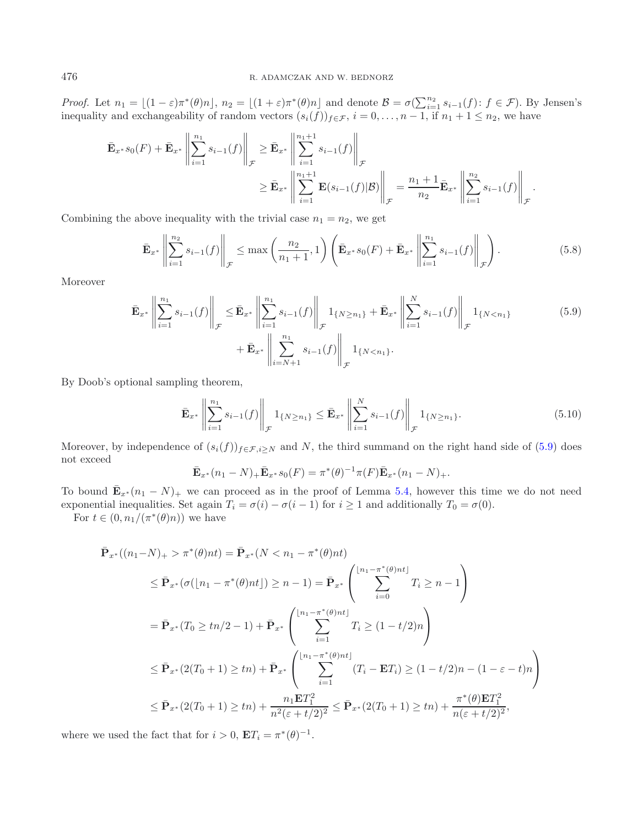*Proof.* Let  $n_1 = \lfloor (1 - \varepsilon)\pi^*(\theta)n \rfloor$ ,  $n_2 = \lfloor (1 + \varepsilon)\pi^*(\theta)n \rfloor$  and denote  $\mathcal{B} = \sigma(\sum_{i=1}^{n_2} s_{i-1}(f))$ :  $f \in \mathcal{F}$ ). By Jensen's inequality and exchangeability of random vectors  $(s_i(f))_{f \in \mathcal{F}}$ ,  $i = 0, \ldots, n-1$ , if  $n_1 + 1 \leq n_2$ , we have

$$
\bar{\mathbf{E}}_{x^*} s_0(F) + \bar{\mathbf{E}}_{x^*} \left\| \sum_{i=1}^{n_1} s_{i-1}(f) \right\|_{\mathcal{F}} \ge \bar{\mathbf{E}}_{x^*} \left\| \sum_{i=1}^{n_1+1} s_{i-1}(f) \right\|_{\mathcal{F}} \ge \bar{\mathbf{E}}_{x^*} \left\| \sum_{i=1}^{n_1+1} \mathbf{E}(s_{i-1}(f)|\mathcal{B}) \right\|_{\mathcal{F}} = \frac{n_1+1}{n_2} \bar{\mathbf{E}}_{x^*} \left\| \sum_{i=1}^{n_2} s_{i-1}(f) \right\|_{\mathcal{F}}.
$$

Combining the above inequality with the trivial case  $n_1 = n_2$ , we get

<span id="page-36-1"></span><span id="page-36-0"></span>
$$
\bar{\mathbf{E}}_{x^*} \left\| \sum_{i=1}^{n_2} s_{i-1}(f) \right\|_{\mathcal{F}} \le \max \left( \frac{n_2}{n_1 + 1}, 1 \right) \left( \bar{\mathbf{E}}_{x^*} s_0(F) + \bar{\mathbf{E}}_{x^*} \left\| \sum_{i=1}^{n_1} s_{i-1}(f) \right\|_{\mathcal{F}} \right). \tag{5.8}
$$

Moreover

$$
\bar{\mathbf{E}}_{x^*} \left\| \sum_{i=1}^{n_1} s_{i-1}(f) \right\|_{\mathcal{F}} \le \bar{\mathbf{E}}_{x^*} \left\| \sum_{i=1}^{n_1} s_{i-1}(f) \right\|_{\mathcal{F}} 1_{\{N \ge n_1\}} + \bar{\mathbf{E}}_{x^*} \left\| \sum_{i=1}^N s_{i-1}(f) \right\|_{\mathcal{F}} 1_{\{N < n_1\}} \tag{5.9}
$$
\n
$$
+ \bar{\mathbf{E}}_{x^*} \left\| \sum_{i=N+1}^{n_1} s_{i-1}(f) \right\|_{\mathcal{F}} 1_{\{N < n_1\}}.
$$

By Doob's optional sampling theorem,

<span id="page-36-2"></span>
$$
\bar{\mathbf{E}}_{x^*} \left\| \sum_{i=1}^{n_1} s_{i-1}(f) \right\|_{\mathcal{F}} 1_{\{N \ge n_1\}} \le \bar{\mathbf{E}}_{x^*} \left\| \sum_{i=1}^N s_{i-1}(f) \right\|_{\mathcal{F}} 1_{\{N \ge n_1\}}.
$$
\n(5.10)

Moreover, by independence of  $(s_i(f))_{f\in\mathcal{F},i\geq N}$  and N, the third summand on the right hand side of [\(5.9\)](#page-36-0) does not exceed

$$
\bar{\mathbf{E}}_{x^*}(n_1 - N)_{+} \bar{\mathbf{E}}_{x^*} s_0(F) = \pi^*(\theta)^{-1} \pi(F) \bar{\mathbf{E}}_{x^*}(n_1 - N)_{+}.
$$

To bound  $\mathbf{E}_{x^*}(n_1 - N)_+$  we can proceed as in the proof of Lemma [5.4,](#page-30-1) however this time we do not need exponential inequalities. Set again  $T_i = \sigma(i) - \sigma(i-1)$  for  $i \ge 1$  and additionally  $T_0 = \sigma(0)$ .

For  $t \in (0, n_1/(\pi^*(\theta)n))$  we have

$$
\begin{split}\n\bar{\mathbf{P}}_{x^*}((n_1 - N)_+ > \pi^*(\theta)nt) = \bar{\mathbf{P}}_{x^*}(N < n_1 - \pi^*(\theta)nt) \\
&\leq \bar{\mathbf{P}}_{x^*}(\sigma([n_1 - \pi^*(\theta)nt]) \geq n - 1) = \bar{\mathbf{P}}_{x^*}\left(\sum_{i=0}^{\lfloor n_1 - \pi^*(\theta)nt \rfloor} T_i \geq n - 1\right) \\
&= \bar{\mathbf{P}}_{x^*}(T_0 \geq tn/2 - 1) + \bar{\mathbf{P}}_{x^*}\left(\sum_{i=1}^{\lfloor n_1 - \pi^*(\theta)nt \rfloor} T_i \geq (1 - t/2)n\right) \\
&\leq \bar{\mathbf{P}}_{x^*}(2(T_0 + 1) \geq tn) + \bar{\mathbf{P}}_{x^*}\left(\sum_{i=1}^{\lfloor n_1 - \pi^*(\theta)nt \rfloor} (T_i - \mathbf{E}T_i) \geq (1 - t/2)n - (1 - \varepsilon - t)n\right) \\
&\leq \bar{\mathbf{P}}_{x^*}(2(T_0 + 1) \geq tn) + \frac{n_1 \mathbf{E}T_1^2}{n^2(\varepsilon + t/2)^2} \leq \bar{\mathbf{P}}_{x^*}(2(T_0 + 1) \geq tn) + \frac{\pi^*(\theta)\mathbf{E}T_1^2}{n(\varepsilon + t/2)^2},\n\end{split}
$$

where we used the fact that for  $i > 0$ ,  $\mathbf{E}T_i = \pi^*(\theta)^{-1}$ .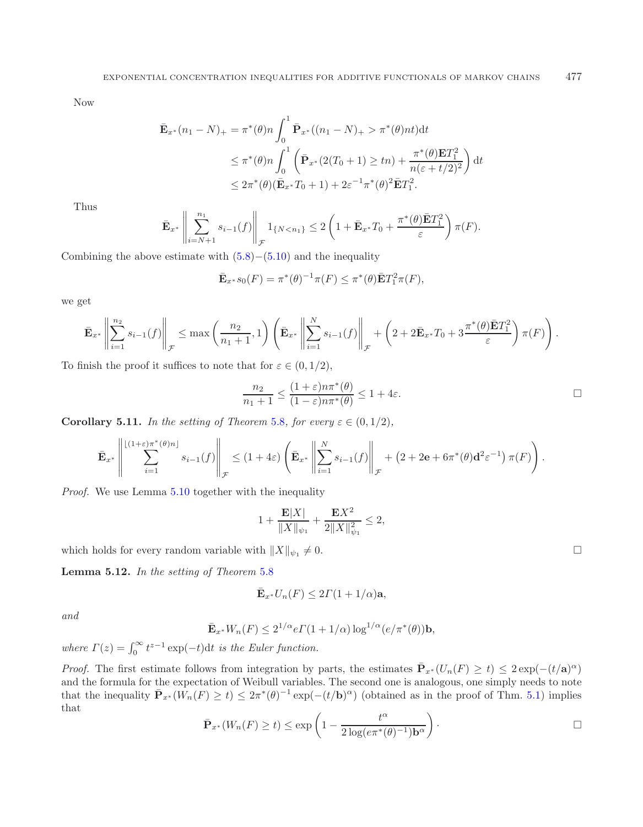Now

$$
\begin{split} \bar{\mathbf{E}}_{x^*}(n_1 - N)_{+} &= \pi^*(\theta)n \int_0^1 \bar{\mathbf{P}}_{x^*}((n_1 - N)_{+} > \pi^*(\theta)nt) \mathrm{d}t \\ &\le \pi^*(\theta)n \int_0^1 \left( \bar{\mathbf{P}}_{x^*}(2(T_0 + 1) \ge tn) + \frac{\pi^*(\theta)\mathbf{E}T_1^2}{n(\varepsilon + t/2)^2} \right) \mathrm{d}t \\ &\le 2\pi^*(\theta)(\bar{\mathbf{E}}_{x^*}T_0 + 1) + 2\varepsilon^{-1}\pi^*(\theta)^2 \bar{\mathbf{E}}T_1^2. \end{split}
$$

Thus

$$
\bar{\mathbf{E}}_{x^*} \left\| \sum_{i=N+1}^{n_1} s_{i-1}(f) \right\|_{\mathcal{F}} 1_{\{N < n_1\}} \leq 2 \left( 1 + \bar{\mathbf{E}}_{x^*} T_0 + \frac{\pi^*(\theta) \bar{\mathbf{E}} T_1^2}{\varepsilon} \right) \pi(F).
$$

Combining the above estimate with  $(5.8)–(5.10)$  $(5.8)–(5.10)$  $(5.8)–(5.10)$  and the inequality

$$
\mathbf{\bar{E}}_{x^*} s_0(F) = \pi^*(\theta)^{-1} \pi(F) \leq \pi^*(\theta) \mathbf{\bar{E}} T_1^2 \pi(F),
$$

we get

$$
\bar{\mathbf{E}}_{x^*}\left\|\sum_{i=1}^{n_2} s_{i-1}(f)\right\|_{\mathcal{F}} \le \max\left(\frac{n_2}{n_1+1},1\right) \left(\bar{\mathbf{E}}_{x^*}\left\|\sum_{i=1}^N s_{i-1}(f)\right\|_{\mathcal{F}} + \left(2+2\bar{\mathbf{E}}_{x^*}T_0+3\frac{\pi^*(\theta)\bar{\mathbf{E}}T_1^2}{\varepsilon}\right)\pi(F)\right).
$$

To finish the proof it suffices to note that for  $\varepsilon \in (0, 1/2)$ ,

$$
\frac{n_2}{n_1+1} \le \frac{(1+\varepsilon)n\pi^*(\theta)}{(1-\varepsilon)n\pi^*(\theta)} \le 1+4\varepsilon.
$$

<span id="page-37-1"></span>**Corollary 5.11.** *In the setting of Theorem [5.8](#page-34-1), for every*  $\varepsilon \in (0, 1/2)$ *,* 

$$
\bar{\mathbf{E}}_{x^*}\left\|\sum_{i=1}^{\lfloor(1+\varepsilon)\pi^*(\theta)n\rfloor} s_{i-1}(f)\right\|_{\mathcal{F}} \leq (1+4\varepsilon)\left(\bar{\mathbf{E}}_{x^*}\left\|\sum_{i=1}^N s_{i-1}(f)\right\|_{\mathcal{F}} + (2+2\mathbf{e}+6\pi^*(\theta)\mathbf{d}^2\varepsilon^{-1})\,\pi(F)\right).
$$

*Proof.* We use Lemma [5.10](#page-35-0) together with the inequality

$$
1 + \frac{\mathbf{E}|X|}{\|X\|_{\psi_1}} + \frac{\mathbf{E}X^2}{2\|X\|_{\psi_1}^2} \le 2,
$$

which holds for every random variable with  $||X||_{\psi_1} \neq 0$ .

<span id="page-37-0"></span>**Lemma 5.12.** *In the setting of Theorem* [5.8](#page-34-1)

$$
\bar{\mathbf{E}}_{x^*} U_n(F) \le 2\Gamma(1+1/\alpha)\mathbf{a},
$$

*and*

$$
\bar{\mathbf{E}}_{x^*} W_n(F) \le 2^{1/\alpha} e \Gamma(1 + 1/\alpha) \log^{1/\alpha} (e/\pi^*(\theta)) \mathbf{b},
$$

*where*  $\Gamma(z) = \int_0^\infty t^{z-1} \exp(-t) dt$  *is the Euler function.* 

*Proof.* The first estimate follows from integration by parts, the estimates  $\bar{P}_{x^*}(U_n(F) \ge t) \le 2 \exp(-(t/a)^{\alpha})$ and the formula for the expectation of Weibull variables. The second one is analogous, one simply needs to note that the inequality  $\bar{\mathbf{P}}_{x^*}(\hat{W}_n(F) \ge t) \le 2\pi^*(\theta)^{-1} \exp(-(t/\mathbf{b})^{\alpha})$  (obtained as in the proof of Thm. [5.1\)](#page-28-1) implies that

$$
\bar{\mathbf{P}}_{x^*}(W_n(F) \ge t) \le \exp\left(1 - \frac{t^{\alpha}}{2\log(e\pi^*(\theta)^{-1})\mathbf{b}^{\alpha}}\right).
$$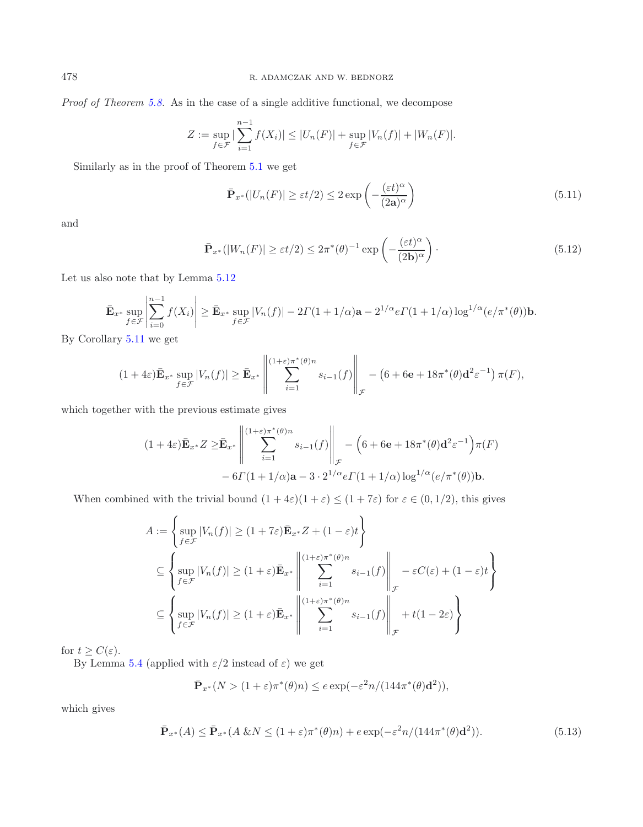*Proof of Theorem [5.8.](#page-34-1)* As in the case of a single additive functional, we decompose

$$
Z := \sup_{f \in \mathcal{F}} |\sum_{i=1}^{n-1} f(X_i)| \leq |U_n(F)| + \sup_{f \in \mathcal{F}} |V_n(f)| + |W_n(F)|.
$$

Similarly as in the proof of Theorem [5.1](#page-28-1) we get

<span id="page-38-1"></span><span id="page-38-0"></span>
$$
\bar{\mathbf{P}}_{x^*}(|U_n(F)| \ge \varepsilon t/2) \le 2 \exp\left(-\frac{(\varepsilon t)^{\alpha}}{(2\mathbf{a})^{\alpha}}\right) \tag{5.11}
$$

and

$$
\bar{\mathbf{P}}_{x^*}(|W_n(F)| \ge \varepsilon t/2) \le 2\pi^*(\theta)^{-1} \exp\left(-\frac{(\varepsilon t)^\alpha}{(2\mathbf{b})^\alpha}\right). \tag{5.12}
$$

Let us also note that by Lemma [5.12](#page-37-0)

$$
\bar{\mathbf{E}}_{x^*} \sup_{f \in \mathcal{F}} \left| \sum_{i=0}^{n-1} f(X_i) \right| \ge \bar{\mathbf{E}}_{x^*} \sup_{f \in \mathcal{F}} |V_n(f)| - 2\Gamma(1+1/\alpha)\mathbf{a} - 2^{1/\alpha} e \Gamma(1+1/\alpha) \log^{1/\alpha}(e/\pi^*(\theta)) \mathbf{b}.
$$

By Corollary [5.11](#page-37-1) we get

$$
(1+4\varepsilon)\bar{\mathbf{E}}_{x^*} \sup_{f \in \mathcal{F}} |V_n(f)| \geq \bar{\mathbf{E}}_{x^*} \left\| \sum_{i=1}^{(1+\varepsilon)\pi^*(\theta)n} s_{i-1}(f) \right\|_{\mathcal{F}} - (6+6\mathrm{e}+18\pi^*(\theta)\mathrm{d}^2\varepsilon^{-1}) \pi(F),
$$

which together with the previous estimate gives

$$
(1+4\varepsilon)\bar{\mathbf{E}}_{x^*}Z \geq \bar{\mathbf{E}}_{x^*} \left\| \sum_{i=1}^{(1+\varepsilon)\pi^*(\theta)n} s_{i-1}(f) \right\|_{\mathcal{F}} - \left(6 + 6\mathbf{e} + 18\pi^*(\theta)\mathbf{d}^2 \varepsilon^{-1}\right) \pi(F)
$$

$$
-6\Gamma(1+1/\alpha)\mathbf{a} - 3 \cdot 2^{1/\alpha} e\Gamma(1+1/\alpha) \log^{1/\alpha}(e/\pi^*(\theta))\mathbf{b}.
$$

When combined with the trivial bound  $(1+4\varepsilon)(1+\varepsilon) \leq (1+7\varepsilon)$  for  $\varepsilon \in (0,1/2)$ , this gives

$$
A := \left\{ \sup_{f \in \mathcal{F}} |V_n(f)| \ge (1 + 7\varepsilon) \bar{\mathbf{E}}_{x^*} Z + (1 - \varepsilon)t \right\}
$$
  
\n
$$
\subseteq \left\{ \sup_{f \in \mathcal{F}} |V_n(f)| \ge (1 + \varepsilon) \bar{\mathbf{E}}_{x^*} \left\| \sum_{i=1}^{(1 + \varepsilon) \pi^*(\theta)n} s_{i-1}(f) \right\|_{\mathcal{F}} - \varepsilon C(\varepsilon) + (1 - \varepsilon)t \right\}
$$
  
\n
$$
\subseteq \left\{ \sup_{f \in \mathcal{F}} |V_n(f)| \ge (1 + \varepsilon) \bar{\mathbf{E}}_{x^*} \left\| \sum_{i=1}^{(1 + \varepsilon) \pi^*(\theta)n} s_{i-1}(f) \right\|_{\mathcal{F}} + t(1 - 2\varepsilon) \right\}
$$

for  $t \geq C(\varepsilon)$ .

By Lemma [5.4](#page-30-1) (applied with  $\varepsilon/2$  instead of  $\varepsilon$ ) we get

<span id="page-38-2"></span>
$$
\bar{\mathbf{P}}_{x^*}(N > (1+\varepsilon)\pi^*(\theta)n) \le e \exp(-\varepsilon^2 n/(144\pi^*(\theta)\mathbf{d}^2)),
$$

which gives

$$
\bar{\mathbf{P}}_{x^*}(A) \le \bar{\mathbf{P}}_{x^*}(A \& N \le (1+\varepsilon)\pi^*(\theta)n) + e \exp(-\varepsilon^2 n/(144\pi^*(\theta)\mathbf{d}^2)).\tag{5.13}
$$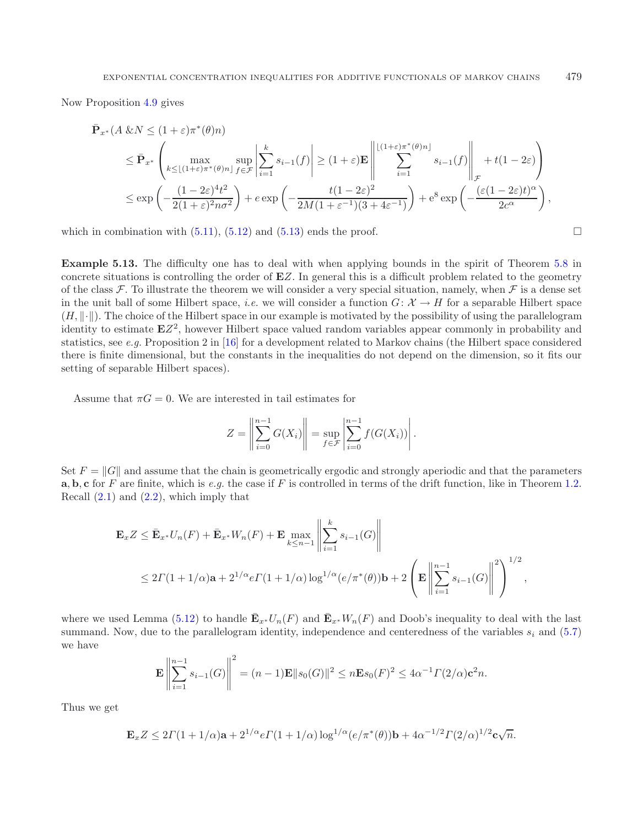Now Proposition [4.9](#page-27-0) gives

$$
\begin{split} \bar{\mathbf{P}}_{x^*}(A \& N \leq (1+\varepsilon)\pi^*(\theta)n) \\ &\leq \bar{\mathbf{P}}_{x^*} \left( \max_{k \leq \lfloor (1+\varepsilon)\pi^*(\theta)n \rfloor} \sup_{f \in \mathcal{F}} \left| \sum_{i=1}^k s_{i-1}(f) \right| \geq (1+\varepsilon)\mathbf{E} \left\| \sum_{i=1}^{\lfloor (1+\varepsilon)\pi^*(\theta)n \rfloor} s_{i-1}(f) \right\|_{\mathcal{F}} + t(1-2\varepsilon) \right) \\ &\leq \exp\left( -\frac{(1-2\varepsilon)^4 t^2}{2(1+\varepsilon)^2 n \sigma^2} \right) + e \exp\left( -\frac{t(1-2\varepsilon)^2}{2M(1+\varepsilon^{-1})(3+4\varepsilon^{-1})} \right) + e^8 \exp\left( -\frac{(\varepsilon(1-2\varepsilon)t)^\alpha}{2c^\alpha} \right), \end{split}
$$

which in combination with  $(5.11)$ ,  $(5.12)$  and  $(5.13)$  ends the proof.  $\Box$ 

**Example 5.13.** The difficulty one has to deal with when applying bounds in the spirit of Theorem [5.8](#page-34-1) in concrete situations is controlling the order of **E**Z. In general this is a difficult problem related to the geometry of the class F. To illustrate the theorem we will consider a very special situation, namely, when F is a dense set in the unit ball of some Hilbert space, *i.e.* we will consider a function  $G: \mathcal{X} \to H$  for a separable Hilbert space  $(H, \|\cdot\|)$ . The choice of the Hilbert space in our example is motivated by the possibility of using the parallelogram identity to estimate  $EZ^2$ , however Hilbert space valued random variables appear commonly in probability and statistics, see *e.g.* Proposition 2 in [\[16\]](#page-41-31) for a development related to Markov chains (the Hilbert space considered there is finite dimensional, but the constants in the inequalities do not depend on the dimension, so it fits our setting of separable Hilbert spaces).

Assume that  $\pi G = 0$ . We are interested in tail estimates for

$$
Z = \left\| \sum_{i=0}^{n-1} G(X_i) \right\| = \sup_{f \in \mathcal{F}} \left| \sum_{i=0}^{n-1} f(G(X_i)) \right|.
$$

Set  $F = ||G||$  and assume that the chain is geometrically ergodic and strongly aperiodic and that the parameters **a**, **b**, **c** for F are finite, which is *e.g.* the case if F is controlled in terms of the drift function, like in Theorem [1.2.](#page-3-0) Recall  $(2.1)$  and  $(2.2)$ , which imply that

$$
\mathbf{E}_x Z \le \bar{\mathbf{E}}_{x^*} U_n(F) + \bar{\mathbf{E}}_{x^*} W_n(F) + \mathbf{E} \max_{k \le n-1} \left\| \sum_{i=1}^k s_{i-1}(G) \right\|
$$
  
 
$$
\le 2\Gamma(1+1/\alpha)\mathbf{a} + 2^{1/\alpha} e \Gamma(1+1/\alpha) \log^{1/\alpha}(e/\pi^*(\theta))\mathbf{b} + 2\left(\mathbf{E} \left\| \sum_{i=1}^{n-1} s_{i-1}(G) \right\|^2\right)^{1/2},
$$

where we used Lemma [\(5.12\)](#page-37-0) to handle  $\mathbf{E}_{x^*} U_n(F)$  and  $\mathbf{E}_{x^*} W_n(F)$  and Doob's inequality to deal with the last summand. Now, due to the parallelogram identity, independence and centeredness of the variables  $s_i$  and [\(5.7\)](#page-33-0) we have

$$
\mathbf{E}\left\|\sum_{i=1}^{n-1} s_{i-1}(G)\right\|^2 = (n-1)\mathbf{E}\|s_0(G)\|^2 \le n\mathbf{E}s_0(F)^2 \le 4\alpha^{-1}\Gamma(2/\alpha)\mathbf{c}^2 n.
$$

Thus we get

$$
\mathbf{E}_xZ \leq 2\Gamma(1+1/\alpha)\mathbf{a} + 2^{1/\alpha}e\Gamma(1+1/\alpha)\log^{1/\alpha}(e/\pi^*(\theta))\mathbf{b} + 4\alpha^{-1/2}\Gamma(2/\alpha)^{1/2}\mathbf{c}\sqrt{n}.
$$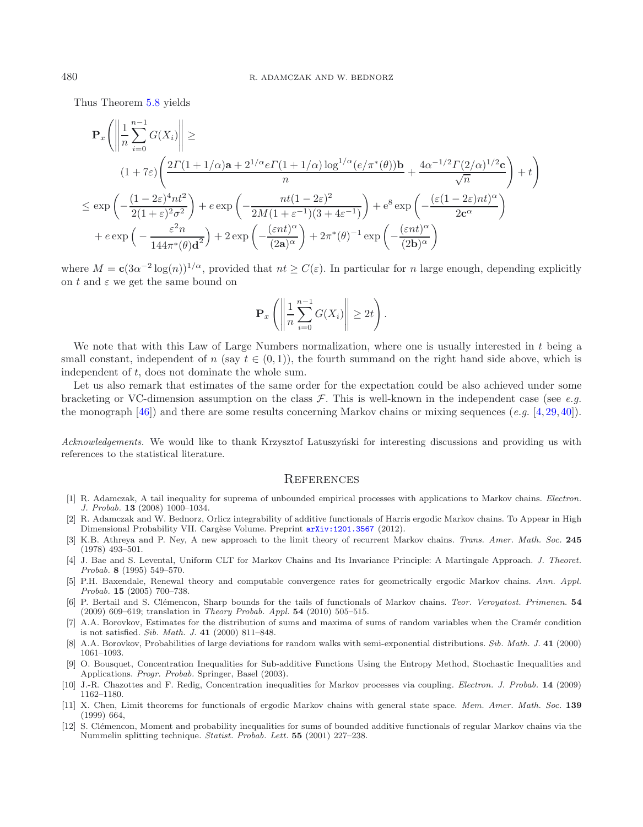Thus Theorem [5.8](#page-34-1) yields

$$
\mathbf{P}_{x}\left(\left\|\frac{1}{n}\sum_{i=0}^{n-1}G(X_{i})\right\| \geq \left(1+7\varepsilon\right)\left(\frac{2\Gamma(1+1/\alpha)\mathbf{a}+2^{1/\alpha}e\Gamma(1+1/\alpha)\log^{1/\alpha}(e/\pi^{*}(\theta))\mathbf{b}}{n}+\frac{4\alpha^{-1/2}\Gamma(2/\alpha)^{1/2}\mathbf{c}}{\sqrt{n}}\right)+t\right)
$$
  

$$
\leq \exp\left(-\frac{(1-2\varepsilon)^{4}nt^{2}}{2(1+\varepsilon)^{2}\sigma^{2}}\right)+e\exp\left(-\frac{nt(1-2\varepsilon)^{2}}{2M(1+\varepsilon^{-1})(3+4\varepsilon^{-1})}\right)+e^{8}\exp\left(-\frac{(\varepsilon(1-2\varepsilon)nt)^{\alpha}}{2c^{\alpha}}\right)
$$

$$
+e\exp\left(-\frac{\varepsilon^{2}n}{144\pi^{*}(\theta)\mathbf{d}^{2}}\right)+2\exp\left(-\frac{(\varepsilon nt)^{\alpha}}{(2\mathbf{a})^{\alpha}}\right)+2\pi^{*}(\theta)^{-1}\exp\left(-\frac{(\varepsilon nt)^{\alpha}}{(2\mathbf{b})^{\alpha}}\right)
$$

where  $M = c(3\alpha^{-2} \log(n))^{1/\alpha}$ , provided that  $nt \geq C(\varepsilon)$ . In particular for n large enough, depending explicitly on t and  $\varepsilon$  we get the same bound on

$$
\mathbf{P}_x\left(\left\|\frac{1}{n}\sum_{i=0}^{n-1}G(X_i)\right\| \geq 2t\right).
$$

We note that with this Law of Large Numbers normalization, where one is usually interested in t being a small constant, independent of n (say  $t \in (0,1)$ ), the fourth summand on the right hand side above, which is independent of t, does not dominate the whole sum.

Let us also remark that estimates of the same order for the expectation could be also achieved under some bracketing or VC-dimension assumption on the class F. This is well-known in the independent case (see *e.g.* the monograph [\[46\]](#page-41-12)) and there are some results concerning Markov chains or mixing sequences (*e.g.* [\[4,](#page-40-9)[29](#page-41-32)[,40](#page-41-11)]).

Acknowledgements. We would like to thank Krzysztof Latuszyński for interesting discussions and providing us with references to the statistical literature.

#### **REFERENCES**

- <span id="page-40-0"></span>[1] R. Adamczak, A tail inequality for suprema of unbounded empirical processes with applications to Markov chains. *Electron. J. Probab.* **13** (2008) 1000–1034.
- <span id="page-40-11"></span>[2] R. Adamczak and W. Bednorz, Orlicz integrability of additive functionals of Harris ergodic Markov chains. To Appear in High Dimensional Probability VII. Cargèse Volume. Preprint  $arXiv:1201.3567$  (2012).
- <span id="page-40-4"></span>[3] K.B. Athreya and P. Ney, A new approach to the limit theory of recurrent Markov chains. *Trans. Amer. Math. Soc.* **245** (1978) 493–501.
- <span id="page-40-9"></span>[4] J. Bae and S. Levental, Uniform CLT for Markov Chains and Its Invariance Principle: A Martingale Approach. *J. Theoret. Probab.* **8** (1995) 549–570.
- <span id="page-40-10"></span>[5] P.H. Baxendale, Renewal theory and computable convergence rates for geometrically ergodic Markov chains. *Ann. Appl. Probab.* **15** (2005) 700–738.
- <span id="page-40-1"></span>[6] P. Bertail and S. Cl´emencon, Sharp bounds for the tails of functionals of Markov chains. *Teor. Veroyatost. Primenen*. **54** (2009) 609–619; translation in *Theory Probab. Appl.* **54** (2010) 505–515.
- <span id="page-40-7"></span>[7] A.A. Borovkov, Estimates for the distribution of sums and maxima of sums of random variables when the Cramér condition is not satisfied. *Sib. Math. J.* **41** (2000) 811–848.
- <span id="page-40-8"></span>[8] A.A. Borovkov, Probabilities of large deviations for random walks with semi-exponential distributions. *Sib. Math. J.* **41** (2000) 1061–1093.
- [9] O. Bousquet, Concentration Inequalities for Sub-additive Functions Using the Entropy Method, Stochastic Inequalities and Applications. *Progr. Probab.* Springer, Basel (2003).
- <span id="page-40-6"></span><span id="page-40-2"></span>[10] J.-R. Chazottes and F. Redig, Concentration inequalities for Markov processes via coupling. *Electron. J. Probab.* **14** (2009) 1162–1180.
- <span id="page-40-5"></span>[11] X. Chen, Limit theorems for functionals of ergodic Markov chains with general state space. *Mem. Amer. Math. Soc.* **139** (1999) 664,
- <span id="page-40-3"></span>[12] S. Clémencon, Moment and probability inequalities for sums of bounded additive functionals of regular Markov chains via the Nummelin splitting technique. *Statist. Probab. Lett.* **55** (2001) 227–238.